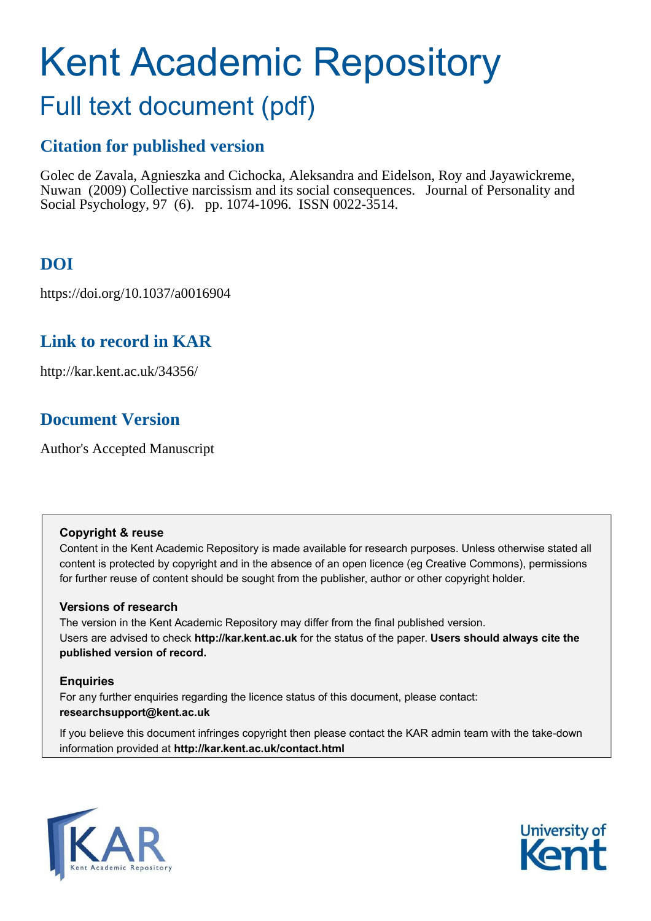# Kent Academic Repository

## Full text document (pdf)

## **Citation for published version**

Golec de Zavala, Agnieszka and Cichocka, Aleksandra and Eidelson, Roy and Jayawickreme, Nuwan (2009) Collective narcissism and its social consequences. Journal of Personality and Social Psychology, 97 (6). pp. 1074-1096. ISSN 0022-3514.

## **DOI**

https://doi.org/10.1037/a0016904

## **Link to record in KAR**

http://kar.kent.ac.uk/34356/

## **Document Version**

Author's Accepted Manuscript

#### **Copyright & reuse**

Content in the Kent Academic Repository is made available for research purposes. Unless otherwise stated all content is protected by copyright and in the absence of an open licence (eg Creative Commons), permissions for further reuse of content should be sought from the publisher, author or other copyright holder.

#### **Versions of research**

The version in the Kent Academic Repository may differ from the final published version. Users are advised to check **http://kar.kent.ac.uk** for the status of the paper. **Users should always cite the published version of record.**

#### **Enquiries**

For any further enquiries regarding the licence status of this document, please contact: **researchsupport@kent.ac.uk**

If you believe this document infringes copyright then please contact the KAR admin team with the take-down information provided at **http://kar.kent.ac.uk/contact.html**



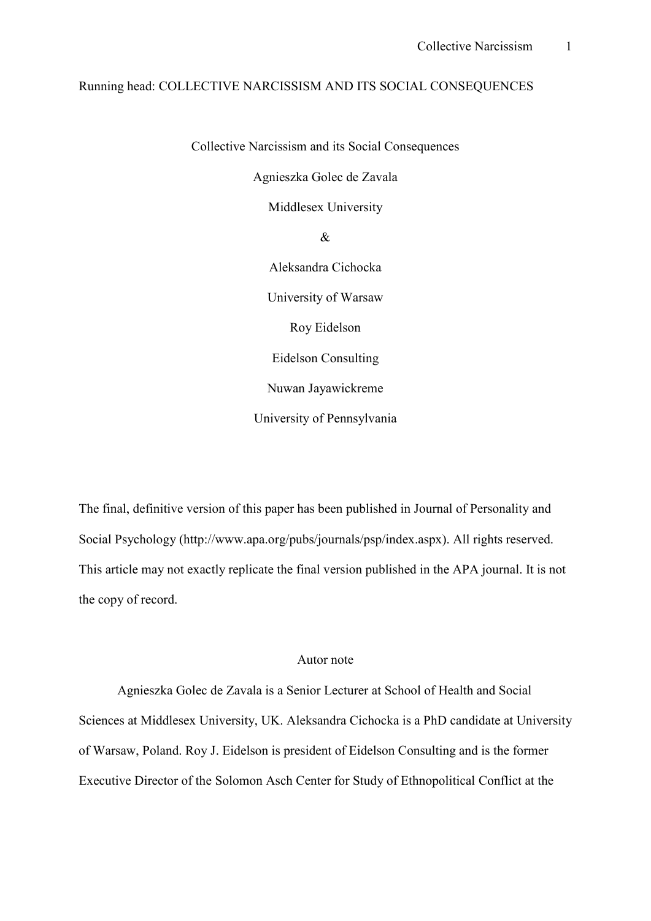#### Running head: COLLECTIVE NARCISSISM AND ITS SOCIAL CONSEQUENCES

Collective Narcissism and its Social Consequences

Agnieszka Golec de Zavala

Middlesex University

&

Aleksandra Cichocka University of Warsaw Roy Eidelson Eidelson Consulting Nuwan Jayawickreme University of Pennsylvania

The final, definitive version of this paper has been published in Journal of Personality and Social Psychology (http://www.apa.org/pubs/journals/psp/index.aspx). All rights reserved. This article may not exactly replicate the final version published in the APA journal. It is not the copy of record.

#### Autor note

Agnieszka Golec de Zavala is a Senior Lecturer at School of Health and Social Sciences at Middlesex University, UK. Aleksandra Cichocka is a PhD candidate at University of Warsaw, Poland. Roy J. Eidelson is president of Eidelson Consulting and is the former Executive Director of the Solomon Asch Center for Study of Ethnopolitical Conflict at the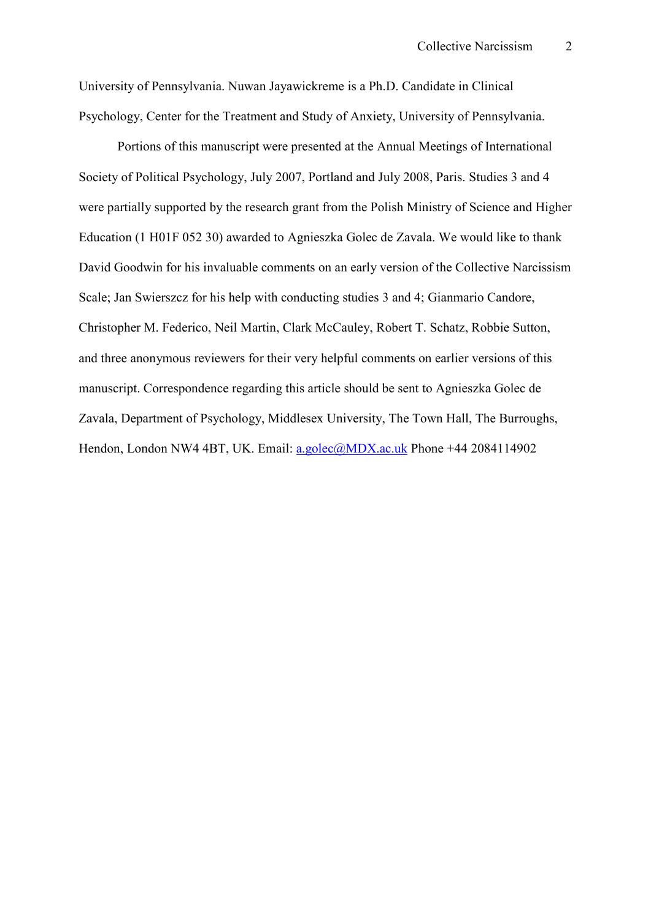University of Pennsylvania. Nuwan Jayawickreme is a Ph.D. Candidate in Clinical Psychology, Center for the Treatment and Study of Anxiety, University of Pennsylvania.

Portions of this manuscript were presented at the Annual Meetings of International Society of Political Psychology, July 2007, Portland and July 2008, Paris. Studies 3 and 4 were partially supported by the research grant from the Polish Ministry of Science and Higher Education (1 H01F 052 30) awarded to Agnieszka Golec de Zavala. We would like to thank David Goodwin for his invaluable comments on an early version of the Collective Narcissism Scale; Jan Swierszcz for his help with conducting studies 3 and 4; Gianmario Candore, Christopher M. Federico, Neil Martin, Clark McCauley, Robert T. Schatz, Robbie Sutton, and three anonymous reviewers for their very helpful comments on earlier versions of this manuscript. Correspondence regarding this article should be sent to Agnieszka Golec de Zavala, Department of Psychology, Middlesex University, The Town Hall, The Burroughs, Hendon, London NW4 4BT, UK. Email: a.golec@MDX.ac.uk Phone +44 2084114902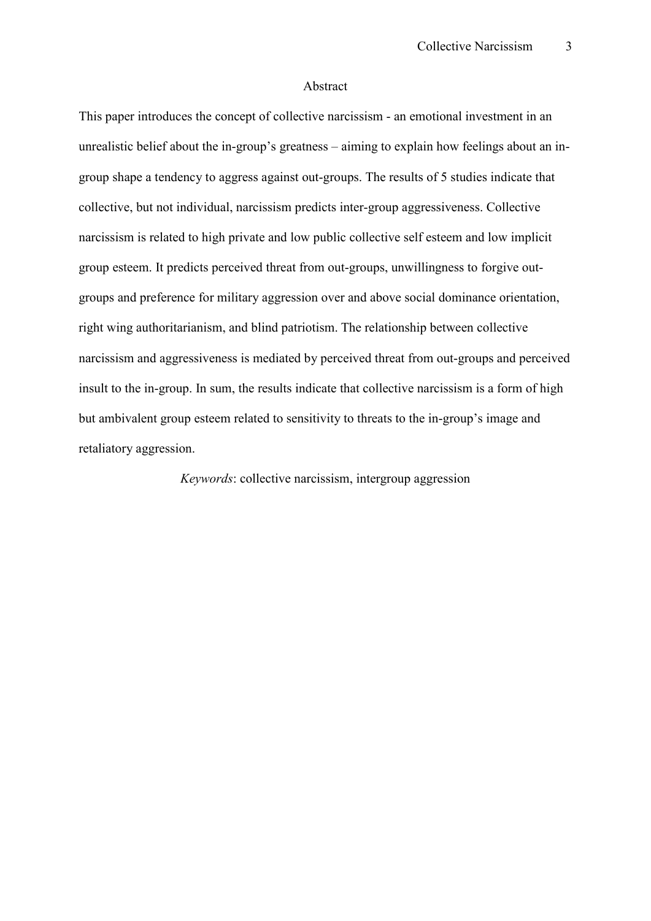#### Abstract

This paper introduces the concept of collective narcissism - an emotional investment in an unrealistic belief about the in-group's greatness – aiming to explain how feelings about an ingroup shape a tendency to aggress against out-groups. The results of 5 studies indicate that collective, but not individual, narcissism predicts inter-group aggressiveness. Collective narcissism is related to high private and low public collective self esteem and low implicit group esteem. It predicts perceived threat from out-groups, unwillingness to forgive outgroups and preference for military aggression over and above social dominance orientation, right wing authoritarianism, and blind patriotism. The relationship between collective narcissism and aggressiveness is mediated by perceived threat from out-groups and perceived insult to the in-group. In sum, the results indicate that collective narcissism is a form of high but ambivalent group esteem related to sensitivity to threats to the in-group's image and retaliatory aggression.

*Keywords*: collective narcissism, intergroup aggression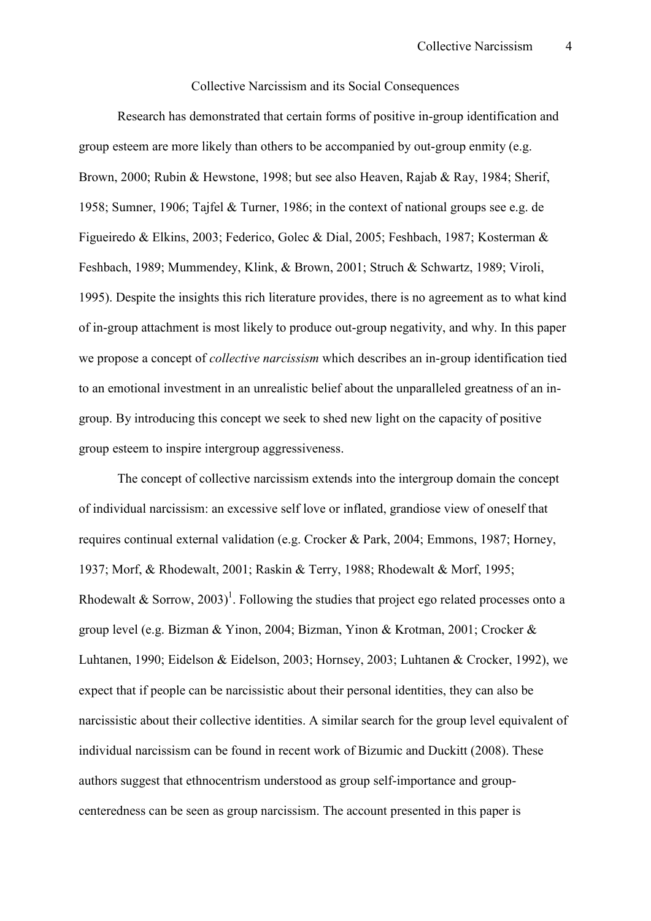#### Collective Narcissism and its Social Consequences

Research has demonstrated that certain forms of positive in-group identification and group esteem are more likely than others to be accompanied by out-group enmity (e.g. Brown, 2000; Rubin & Hewstone, 1998; but see also Heaven, Rajab & Ray, 1984; Sherif, 1958; Sumner, 1906; Tajfel & Turner, 1986; in the context of national groups see e.g. de Figueiredo & Elkins, 2003; Federico, Golec & Dial, 2005; Feshbach, 1987; Kosterman & Feshbach, 1989; Mummendey, Klink, & Brown, 2001; Struch & Schwartz, 1989; Viroli, 1995). Despite the insights this rich literature provides, there is no agreement as to what kind of in-group attachment is most likely to produce out-group negativity, and why. In this paper we propose a concept of *collective narcissism* which describes an in-group identification tied to an emotional investment in an unrealistic belief about the unparalleled greatness of an ingroup. By introducing this concept we seek to shed new light on the capacity of positive group esteem to inspire intergroup aggressiveness.

The concept of collective narcissism extends into the intergroup domain the concept of individual narcissism: an excessive self love or inflated, grandiose view of oneself that requires continual external validation (e.g. Crocker & Park, 2004; Emmons, 1987; Horney, 1937; Morf, & Rhodewalt, 2001; Raskin & Terry, 1988; Rhodewalt & Morf, 1995; Rhodewalt & Sorrow, 2003)<sup>1</sup>. Following the studies that project ego related processes onto a group level (e.g. Bizman & Yinon, 2004; Bizman, Yinon & Krotman, 2001; Crocker & Luhtanen, 1990; Eidelson & Eidelson, 2003; Hornsey, 2003; Luhtanen & Crocker, 1992), we expect that if people can be narcissistic about their personal identities, they can also be narcissistic about their collective identities. A similar search for the group level equivalent of individual narcissism can be found in recent work of Bizumic and Duckitt (2008). These authors suggest that ethnocentrism understood as group self-importance and groupcenteredness can be seen as group narcissism. The account presented in this paper is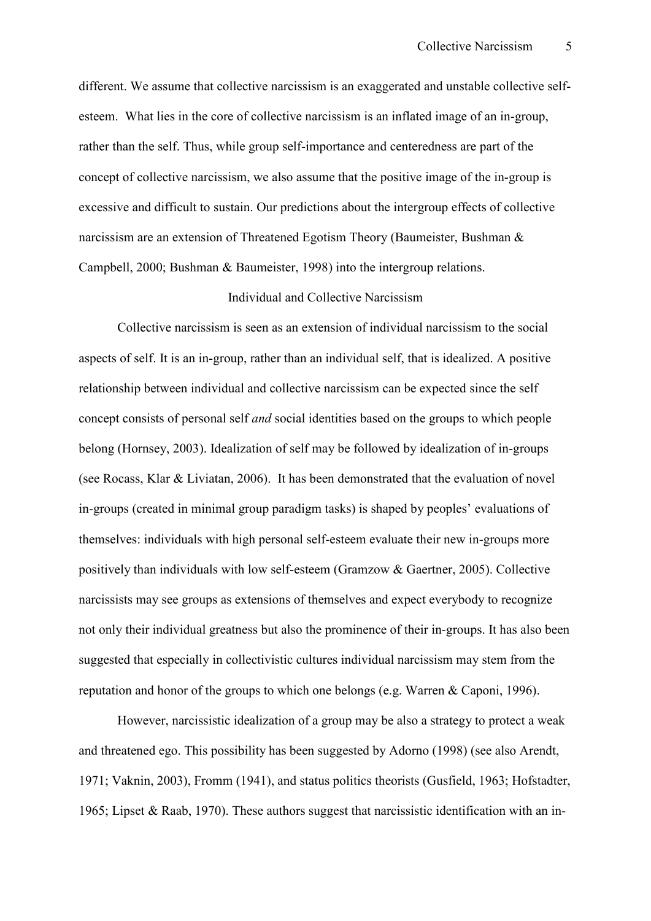different. We assume that collective narcissism is an exaggerated and unstable collective selfesteem. What lies in the core of collective narcissism is an inflated image of an in-group, rather than the self. Thus, while group self-importance and centeredness are part of the concept of collective narcissism, we also assume that the positive image of the in-group is excessive and difficult to sustain. Our predictions about the intergroup effects of collective narcissism are an extension of Threatened Egotism Theory (Baumeister, Bushman & Campbell, 2000; Bushman & Baumeister, 1998) into the intergroup relations.

#### Individual and Collective Narcissism

Collective narcissism is seen as an extension of individual narcissism to the social aspects of self. It is an in-group, rather than an individual self, that is idealized. A positive relationship between individual and collective narcissism can be expected since the self concept consists of personal self *and* social identities based on the groups to which people belong (Hornsey, 2003). Idealization of self may be followed by idealization of in-groups (see Rocass, Klar & Liviatan, 2006). It has been demonstrated that the evaluation of novel in-groups (created in minimal group paradigm tasks) is shaped by peoples' evaluations of themselves: individuals with high personal self-esteem evaluate their new in-groups more positively than individuals with low self-esteem (Gramzow  $&$  Gaertner, 2005). Collective narcissists may see groups as extensions of themselves and expect everybody to recognize not only their individual greatness but also the prominence of their in-groups. It has also been suggested that especially in collectivistic cultures individual narcissism may stem from the reputation and honor of the groups to which one belongs (e.g. Warren & Caponi, 1996).

However, narcissistic idealization of a group may be also a strategy to protect a weak and threatened ego. This possibility has been suggested by Adorno (1998) (see also Arendt, 1971; Vaknin, 2003), Fromm (1941), and status politics theorists (Gusfield, 1963; Hofstadter, 1965; Lipset & Raab, 1970). These authors suggest that narcissistic identification with an in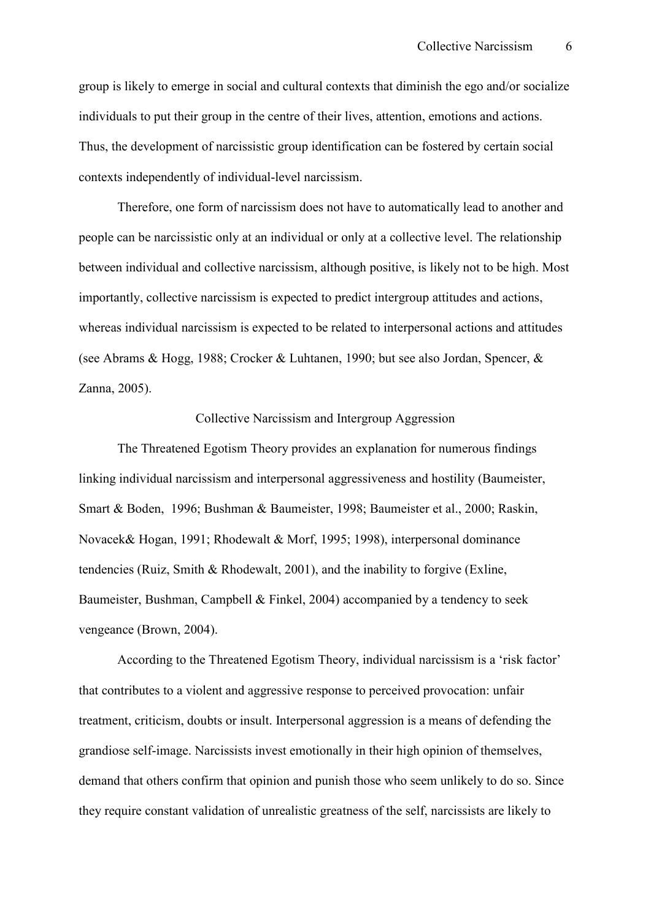group is likely to emerge in social and cultural contexts that diminish the ego and/or socialize individuals to put their group in the centre of their lives, attention, emotions and actions. Thus, the development of narcissistic group identification can be fostered by certain social contexts independently of individual-level narcissism.

Therefore, one form of narcissism does not have to automatically lead to another and people can be narcissistic only at an individual or only at a collective level. The relationship between individual and collective narcissism, although positive, is likely not to be high. Most importantly, collective narcissism is expected to predict intergroup attitudes and actions, whereas individual narcissism is expected to be related to interpersonal actions and attitudes (see Abrams & Hogg, 1988; Crocker & Luhtanen, 1990; but see also Jordan, Spencer, & Zanna, 2005).

#### Collective Narcissism and Intergroup Aggression

The Threatened Egotism Theory provides an explanation for numerous findings linking individual narcissism and interpersonal aggressiveness and hostility (Baumeister, Smart & Boden, 1996; Bushman & Baumeister, 1998; Baumeister et al., 2000; Raskin, Novacek& Hogan, 1991; Rhodewalt & Morf, 1995; 1998), interpersonal dominance tendencies (Ruiz, Smith & Rhodewalt, 2001), and the inability to forgive (Exline, Baumeister, Bushman, Campbell & Finkel, 2004) accompanied by a tendency to seek vengeance (Brown, 2004).

According to the Threatened Egotism Theory, individual narcissism is a 'risk factor' that contributes to a violent and aggressive response to perceived provocation: unfair treatment, criticism, doubts or insult. Interpersonal aggression is a means of defending the grandiose self-image. Narcissists invest emotionally in their high opinion of themselves, demand that others confirm that opinion and punish those who seem unlikely to do so. Since they require constant validation of unrealistic greatness of the self, narcissists are likely to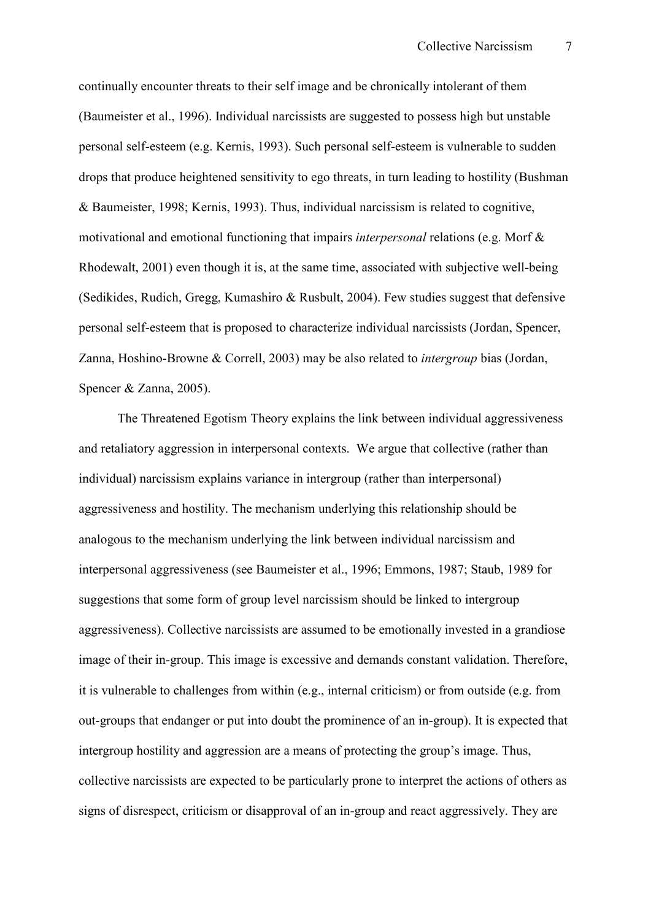continually encounter threats to their self image and be chronically intolerant of them (Baumeister et al., 1996). Individual narcissists are suggested to possess high but unstable personal self-esteem (e.g. Kernis, 1993). Such personal self-esteem is vulnerable to sudden drops that produce heightened sensitivity to ego threats, in turn leading to hostility (Bushman & Baumeister, 1998; Kernis, 1993). Thus, individual narcissism is related to cognitive, motivational and emotional functioning that impairs *interpersonal* relations (e.g. Morf & Rhodewalt,  $2001$ ) even though it is, at the same time, associated with subjective well-being (Sedikides, Rudich, Gregg, Kumashiro & Rusbult, 2004). Few studies suggest that defensive personal self-esteem that is proposed to characterize individual narcissists (Jordan, Spencer, Zanna, Hoshino-Browne & Correll, 2003) may be also related to *intergroup* bias (Jordan, Spencer & Zanna, 2005).

The Threatened Egotism Theory explains the link between individual aggressiveness and retaliatory aggression in interpersonal contexts. We argue that collective (rather than individual) narcissism explains variance in intergroup (rather than interpersonal) aggressiveness and hostility. The mechanism underlying this relationship should be analogous to the mechanism underlying the link between individual narcissism and interpersonal aggressiveness (see Baumeister et al., 1996; Emmons, 1987; Staub, 1989 for suggestions that some form of group level narcissism should be linked to intergroup aggressiveness). Collective narcissists are assumed to be emotionally invested in a grandiose image of their in-group. This image is excessive and demands constant validation. Therefore, it is vulnerable to challenges from within (e.g., internal criticism) or from outside (e.g. from out-groups that endanger or put into doubt the prominence of an in-group). It is expected that intergroup hostility and aggression are a means of protecting the group's image. Thus, collective narcissists are expected to be particularly prone to interpret the actions of others as signs of disrespect, criticism or disapproval of an in-group and react aggressively. They are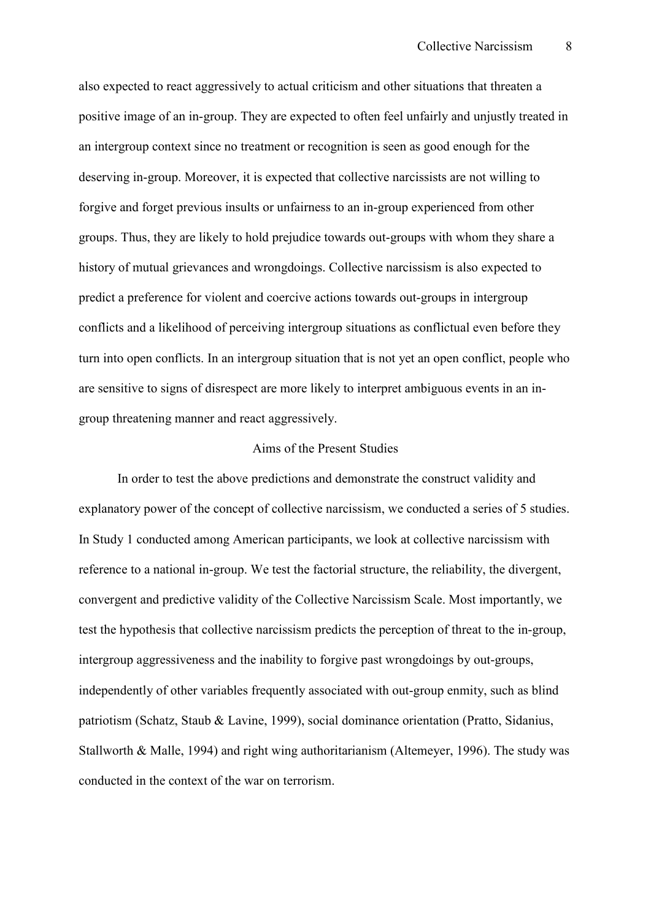also expected to react aggressively to actual criticism and other situations that threaten a positive image of an in-group. They are expected to often feel unfairly and unjustly treated in an intergroup context since no treatment or recognition is seen as good enough for the deserving in-group. Moreover, it is expected that collective narcissists are not willing to forgive and forget previous insults or unfairness to an in-group experienced from other groups. Thus, they are likely to hold prejudice towards out-groups with whom they share a history of mutual grievances and wrongdoings. Collective narcissism is also expected to predict a preference for violent and coercive actions towards out-groups in intergroup conflicts and a likelihood of perceiving intergroup situations as conflictual even before they turn into open conflicts. In an intergroup situation that is not yet an open conflict, people who are sensitive to signs of disrespect are more likely to interpret ambiguous events in an ingroup threatening manner and react aggressively.

#### Aims of the Present Studies

In order to test the above predictions and demonstrate the construct validity and explanatory power of the concept of collective narcissism, we conducted a series of 5 studies. In Study 1 conducted among American participants, we look at collective narcissism with reference to a national in-group. We test the factorial structure, the reliability, the divergent, convergent and predictive validity of the Collective Narcissism Scale. Most importantly, we test the hypothesis that collective narcissism predicts the perception of threat to the in-group, intergroup aggressiveness and the inability to forgive past wrongdoings by out-groups, independently of other variables frequently associated with out-group enmity, such as blind patriotism (Schatz, Staub & Lavine, 1999), social dominance orientation (Pratto, Sidanius, Stallworth & Malle, 1994) and right wing authoritarianism (Altemeyer, 1996). The study was conducted in the context of the war on terrorism.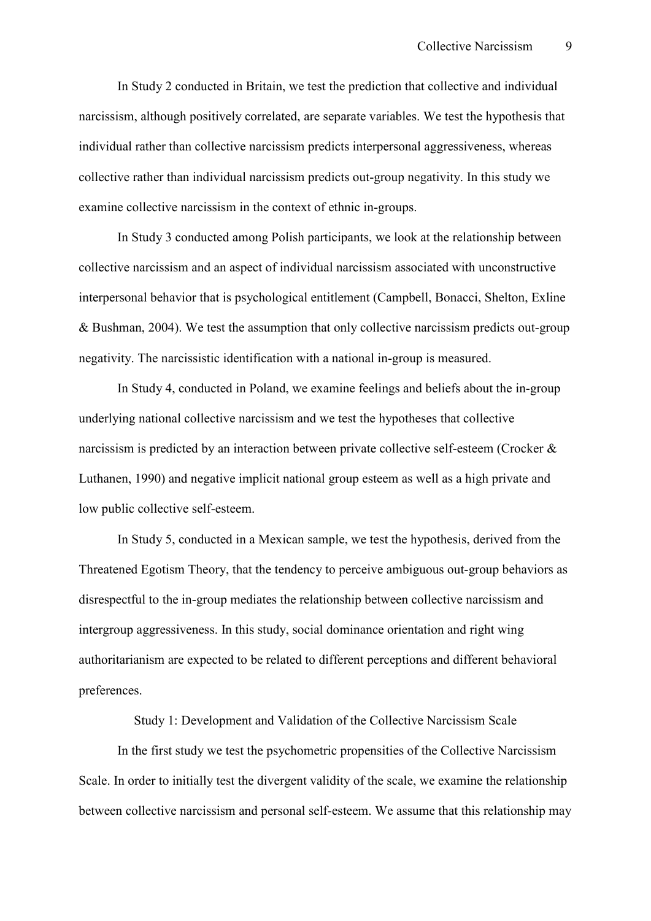In Study 2 conducted in Britain, we test the prediction that collective and individual narcissism, although positively correlated, are separate variables. We test the hypothesis that individual rather than collective narcissism predicts interpersonal aggressiveness, whereas collective rather than individual narcissism predicts out-group negativity. In this study we examine collective narcissism in the context of ethnic in-groups.

In Study 3 conducted among Polish participants, we look at the relationship between collective narcissism and an aspect of individual narcissism associated with unconstructive interpersonal behavior that is psychological entitlement (Campbell, Bonacci, Shelton, Exline  $& Bushman, 2004$ . We test the assumption that only collective narcissism predicts out-group negativity. The narcissistic identification with a national in-group is measured.

In Study 4, conducted in Poland, we examine feelings and beliefs about the in-group underlying national collective narcissism and we test the hypotheses that collective narcissism is predicted by an interaction between private collective self-esteem (Crocker  $\&$ Luthanen, 1990) and negative implicit national group esteem as well as a high private and low public collective self-esteem.

In Study 5, conducted in a Mexican sample, we test the hypothesis, derived from the Threatened Egotism Theory, that the tendency to perceive ambiguous out-group behaviors as disrespectful to the in-group mediates the relationship between collective narcissism and intergroup aggressiveness. In this study, social dominance orientation and right wing authoritarianism are expected to be related to different perceptions and different behavioral preferences.

Study 1: Development and Validation of the Collective Narcissism Scale

In the first study we test the psychometric propensities of the Collective Narcissism Scale. In order to initially test the divergent validity of the scale, we examine the relationship between collective narcissism and personal self-esteem. We assume that this relationship may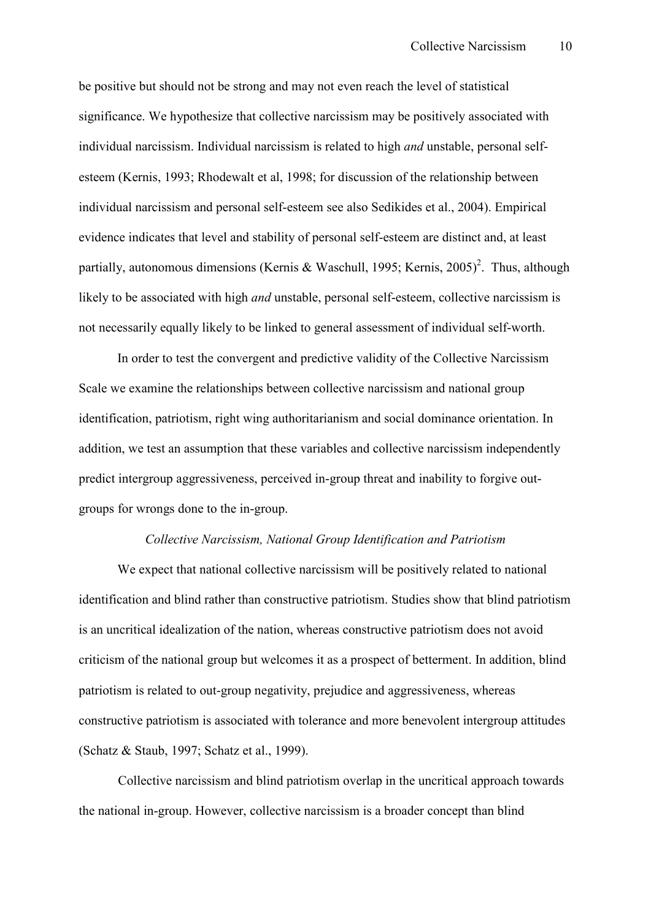be positive but should not be strong and may not even reach the level of statistical significance. We hypothesize that collective narcissism may be positively associated with individual narcissism. Individual narcissism is related to high *and* unstable, personal selfesteem (Kernis, 1993; Rhodewalt et al, 1998; for discussion of the relationship between individual narcissism and personal self-esteem see also Sedikides et al., 2004). Empirical evidence indicates that level and stability of personal self-esteem are distinct and, at least partially, autonomous dimensions (Kernis & Waschull, 1995; Kernis, 2005)<sup>2</sup>. Thus, although likely to be associated with high *and* unstable, personal self-esteem, collective narcissism is not necessarily equally likely to be linked to general assessment of individual self-worth.

In order to test the convergent and predictive validity of the Collective Narcissism Scale we examine the relationships between collective narcissism and national group identification, patriotism, right wing authoritarianism and social dominance orientation. In addition, we test an assumption that these variables and collective narcissism independently predict intergroup aggressiveness, perceived in-group threat and inability to forgive outgroups for wrongs done to the in-group.

#### *Collective Narcissism, National Group Identification and Patriotism*

We expect that national collective narcissism will be positively related to national identification and blind rather than constructive patriotism. Studies show that blind patriotism is an uncritical idealization of the nation, whereas constructive patriotism does not avoid criticism of the national group but welcomes it as a prospect of betterment. In addition, blind patriotism is related to out-group negativity, prejudice and aggressiveness, whereas constructive patriotism is associated with tolerance and more benevolent intergroup attitudes (Schatz & Staub, 1997; Schatz et al., 1999).

Collective narcissism and blind patriotism overlap in the uncritical approach towards the national in-group. However, collective narcissism is a broader concept than blind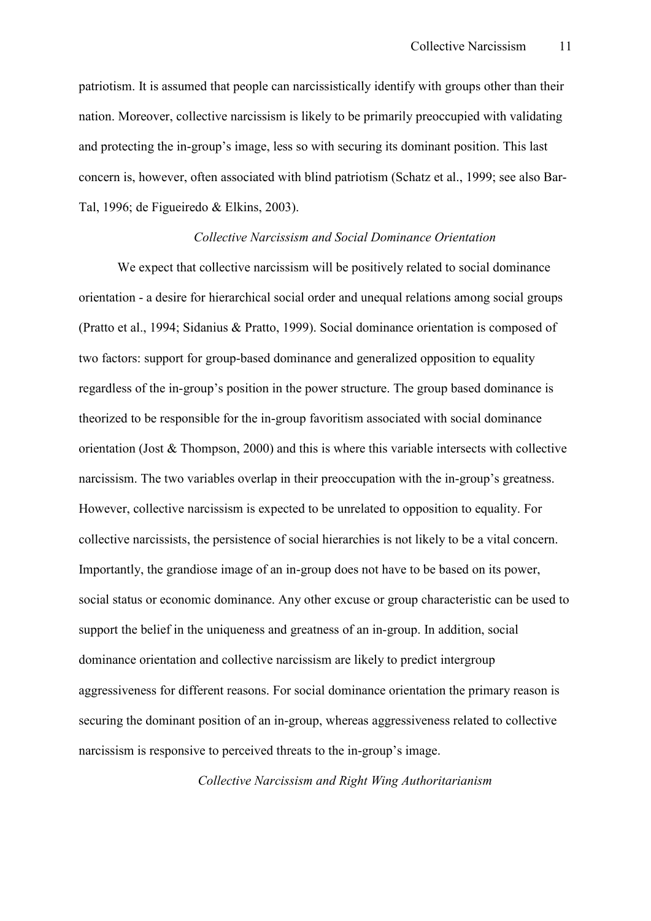patriotism. It is assumed that people can narcissistically identify with groups other than their nation. Moreover, collective narcissism is likely to be primarily preoccupied with validating and protecting the in-group's image, less so with securing its dominant position. This last concern is, however, often associated with blind patriotism (Schatz et al., 1999; see also Bar-Tal, 1996; de Figueiredo & Elkins, 2003).

#### *Collective Narcissism and Social Dominance Orientation*

We expect that collective narcissism will be positively related to social dominance orientation - a desire for hierarchical social order and unequal relations among social groups (Pratto et al., 1994; Sidanius & Pratto, 1999). Social dominance orientation is composed of two factors: support for group-based dominance and generalized opposition to equality regardless of the in-group's position in the power structure. The group based dominance is theorized to be responsible for the in-group favoritism associated with social dominance orientation (Jost & Thompson, 2000) and this is where this variable intersects with collective narcissism. The two variables overlap in their preoccupation with the in-group's greatness. However, collective narcissism is expected to be unrelated to opposition to equality. For collective narcissists, the persistence of social hierarchies is not likely to be a vital concern. Importantly, the grandiose image of an in-group does not have to be based on its power, social status or economic dominance. Any other excuse or group characteristic can be used to support the belief in the uniqueness and greatness of an in-group. In addition, social dominance orientation and collective narcissism are likely to predict intergroup aggressiveness for different reasons. For social dominance orientation the primary reason is securing the dominant position of an in-group, whereas aggressiveness related to collective narcissism is responsive to perceived threats to the in-group's image.

*Collective Narcissism and Right Wing Authoritarianism*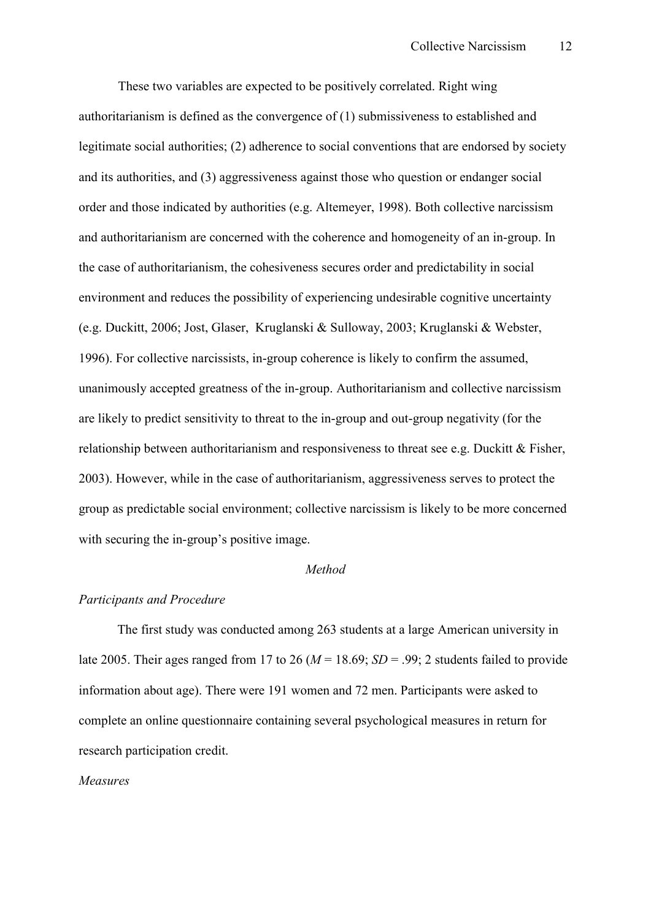These two variables are expected to be positively correlated. Right wing authoritarianism is defined as the convergence of (1) submissiveness to established and legitimate social authorities; (2) adherence to social conventions that are endorsed by society and its authorities, and (3) aggressiveness against those who question or endanger social order and those indicated by authorities (e.g. Altemeyer, 1998). Both collective narcissism and authoritarianism are concerned with the coherence and homogeneity of an in-group. In the case of authoritarianism, the cohesiveness secures order and predictability in social environment and reduces the possibility of experiencing undesirable cognitive uncertainty (e.g. Duckitt, 2006; Jost, Glaser, Kruglanski & Sulloway, 2003; Kruglanski & Webster, 1996). For collective narcissists, in-group coherence is likely to confirm the assumed, unanimously accepted greatness of the in-group. Authoritarianism and collective narcissism are likely to predict sensitivity to threat to the in-group and out-group negativity (for the relationship between authoritarianism and responsiveness to threat see e.g. Duckitt & Fisher, 2003). However, while in the case of authoritarianism, aggressiveness serves to protect the group as predictable social environment; collective narcissism is likely to be more concerned with securing the in-group's positive image.

#### *Method*

#### *Participants and Procedure*

 The first study was conducted among 263 students at a large American university in late 2005. Their ages ranged from 17 to 26 ( $M = 18.69$ ;  $SD = .99$ ; 2 students failed to provide information about age). There were 191 women and 72 men. Participants were asked to complete an online questionnaire containing several psychological measures in return for research participation credit.

#### *Measures*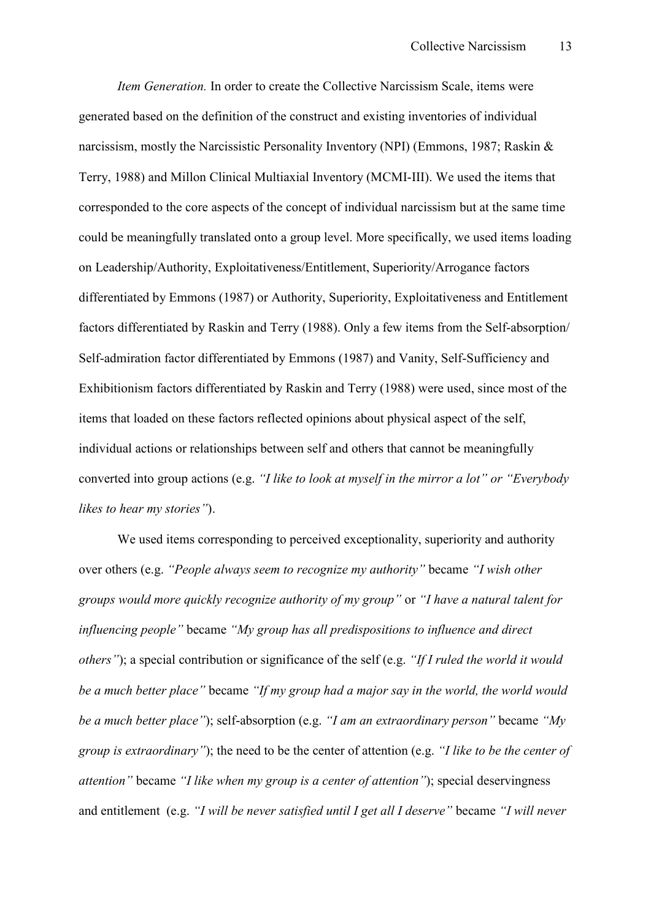*Item Generation.* In order to create the Collective Narcissism Scale, items were generated based on the definition of the construct and existing inventories of individual narcissism, mostly the Narcissistic Personality Inventory (NPI) (Emmons, 1987; Raskin & Terry, 1988) and Millon Clinical Multiaxial Inventory (MCMIHIII). We used the items that corresponded to the core aspects of the concept of individual narcissism but at the same time could be meaningfully translated onto a group level. More specifically, we used items loading on Leadership/Authority, Exploitativeness/Entitlement, Superiority/Arrogance factors differentiated by Emmons (1987) or Authority, Superiority, Exploitativeness and Entitlement factors differentiated by Raskin and Terry (1988). Only a few items from the Self-absorption/ Self-admiration factor differentiated by Emmons (1987) and Vanity, Self-Sufficiency and Exhibitionism factors differentiated by Raskin and Terry (1988) were used, since most of the items that loaded on these factors reflected opinions about physical aspect of the self, individual actions or relationships between self and others that cannot be meaningfully converted into group actions (e.g. *"I like to look at myself in the mirror a lot" or "Everybody likes to hear my stories"*).

We used items corresponding to perceived exceptionality, superiority and authority over others (e.g. *"People always seem to recognize my authority"* became *"I wish other groups would more quickly recognize authority of my group"* or *"I have a natural talent for influencing people"* became *"My group has all predispositions to influence and direct others"*); a special contribution or significance of the self (e.g. *"If I ruled the world it would be a much better place"* became *"If my group had a major say in the world, the world would be a much better place"*); self-absorption (e.g. *"I am an extraordinary person"* became *"My group is extraordinary"*); the need to be the center of attention (e.g. *"I like to be the center of attention"* became *"I like when my group is a center of attention"*); special deservingness and entitlement (e.g. *"I will be never satisfied until I get all I deserve"* became *"I will never*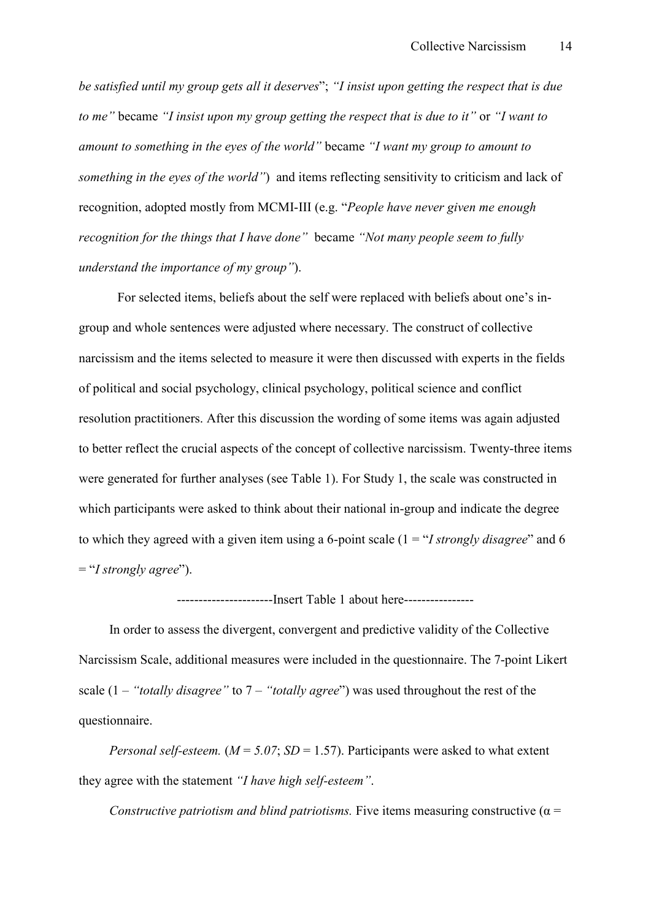*be satisfied until my group gets all it deserves*"; *"I insist upon getting the respect that is due to me"* became *"I insist upon my group getting the respect that is due to it"* or *"I want to amount to something in the eyes of the world"* became *"I want my group to amount to something in the eyes of the world"*) and items reflecting sensitivity to criticism and lack of recognition, adopted mostly from MCMI-III (e.g. "*People have never given me enough recognition for the things that I have done"* became *"Not many people seem to fully understand the importance of my group"*).

For selected items, beliefs about the self were replaced with beliefs about one's ingroup and whole sentences were adjusted where necessary. The construct of collective narcissism and the items selected to measure it were then discussed with experts in the fields of political and social psychology, clinical psychology, political science and conflict resolution practitioners. After this discussion the wording of some items was again adjusted to better reflect the crucial aspects of the concept of collective narcissism. Twenty-three items were generated for further analyses (see Table 1). For Study 1, the scale was constructed in which participants were asked to think about their national in-group and indicate the degree to which they agreed with a given item using a 6-point scale  $(1 = "I strongly disagree"$  and 6 = "*I strongly agree*").

------------------Insert Table 1 about here-----------------

 In order to assess the divergent, convergent and predictive validity of the Collective Narcissism Scale, additional measures were included in the questionnaire. The 7-point Likert scale (1 – *"totally disagree"* to 7 – *"totally agree*") was used throughout the rest of the questionnaire.

*Personal self-esteem.*  $(M = 5.07; SD = 1.57)$ . Participants were asked to what extent they agree with the statement *"I have high self.esteem"*.

*Constructive patriotism and blind patriotisms.* Five items measuring constructive ( $\alpha$  =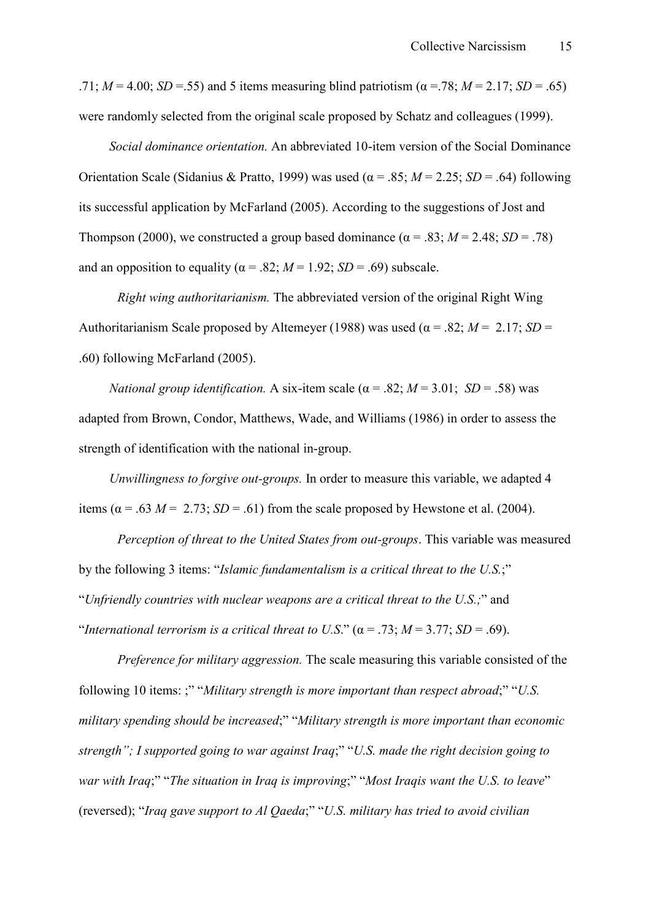.71;  $M = 4.00$ ;  $SD = .55$ ) and 5 items measuring blind patriotism ( $\alpha = .78$ ;  $M = 2.17$ ;  $SD = .65$ ) were randomly selected from the original scale proposed by Schatz and colleagues (1999).

*Social dominance orientation.* An abbreviated 10-item version of the Social Dominance Orientation Scale (Sidanius & Pratto, 1999) was used (α = .85; *M* = 2.25; *SD* = .64) following its successful application by McFarland (2005). According to the suggestions of Jost and Thompson (2000), we constructed a group based dominance ( $\alpha$  = .83; *M* = 2.48; *SD* = .78) and an opposition to equality ( $\alpha$  = .82;  $M$  = 1.92; *SD* = .69) subscale.

*Right wing authoritarianism.* The abbreviated version of the original Right Wing Authoritarianism Scale proposed by Altemeyer (1988) was used ( $\alpha$  = .82; *M* = 2.17; *SD* = .60) following McFarland (2005).

*National group identification.* A six-item scale ( $\alpha$  = .82; *M* = 3.01; *SD* = .58) was adapted from Brown, Condor, Matthews, Wade, and Williams (1986) in order to assess the strength of identification with the national in-group.

 *Unwillingness to forgive out.groups.* In order to measure this variable, we adapted 4 items ( $\alpha$  = .63 *M* = 2.73; *SD* = .61) from the scale proposed by Hewstone et al. (2004).

*Perception of threat to the United States from out.groups*. This variable was measured by the following 3 items: "*Islamic fundamentalism is a critical threat to the U.S.*;" "*Unfriendly countries with nuclear weapons are a critical threat to the U.S.;*" and "*International terrorism is a critical threat to U.S."*  $(\alpha = .73; M = 3.77; SD = .69)$ .

*Preference for military aggression.* The scale measuring this variable consisted of the following 10 items: ;" "*Military strength is more important than respect abroad*;" "*U.S. military spending should be increased*;" "*Military strength is more important than economic strength"; I supported going to war against Iraq*;" "*U.S. made the right decision going to war with Iraq*;" "*The situation in Iraq is improving*;" "*Most Iraqis want the U.S. to leave*" (reversed); "*Iraq gave support to Al Qaeda*;" "*U.S. military has tried to avoid civilian*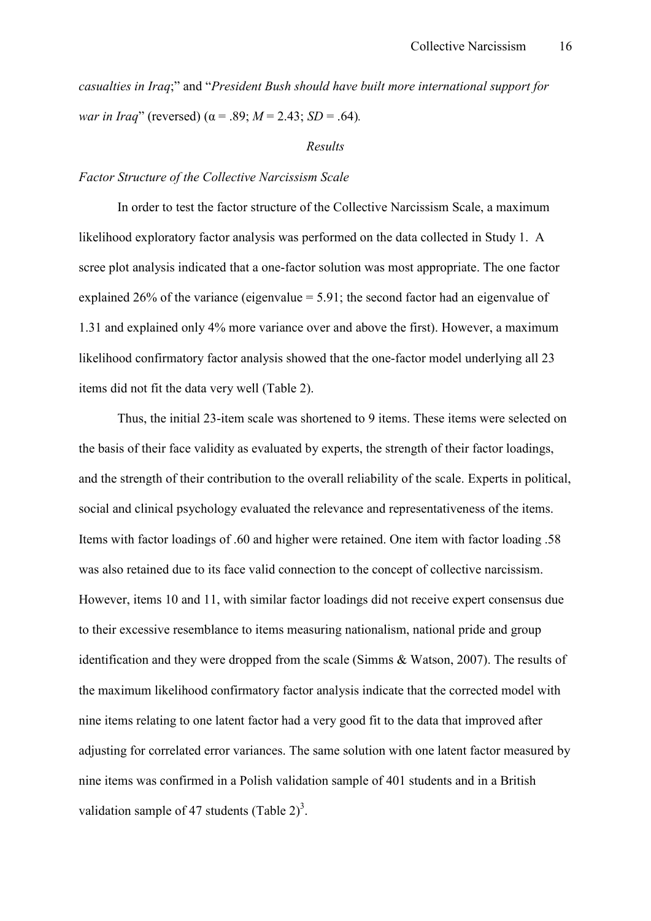*casualties in Iraq*;" and "*President Bush should have built more international support for war in Iraq*" (reversed) ( $\alpha$  = .89; *M* = 2.43; *SD* = .64).

#### *Results*

#### *Factor Structure of the Collective Narcissism Scale*

In order to test the factor structure of the Collective Narcissism Scale, a maximum likelihood exploratory factor analysis was performed on the data collected in Study 1. A scree plot analysis indicated that a one-factor solution was most appropriate. The one factor explained 26% of the variance (eigenvalue  $= 5.91$ ; the second factor had an eigenvalue of 1.31 and explained only 4% more variance over and above the first). However, a maximum likelihood confirmatory factor analysis showed that the one-factor model underlying all 23 items did not fit the data very well (Table 2).

Thus, the initial 23-item scale was shortened to 9 items. These items were selected on the basis of their face validity as evaluated by experts, the strength of their factor loadings, and the strength of their contribution to the overall reliability of the scale. Experts in political, social and clinical psychology evaluated the relevance and representativeness of the items. Items with factor loadings of .60 and higher were retained. One item with factor loading .58 was also retained due to its face valid connection to the concept of collective narcissism. However, items 10 and 11, with similar factor loadings did not receive expert consensus due to their excessive resemblance to items measuring nationalism, national pride and group identification and they were dropped from the scale (Simms & Watson, 2007). The results of the maximum likelihood confirmatory factor analysis indicate that the corrected model with nine items relating to one latent factor had a very good fit to the data that improved after adjusting for correlated error variances. The same solution with one latent factor measured by nine items was confirmed in a Polish validation sample of 401 students and in a British validation sample of 47 students (Table  $2^{\alpha}$ )<sup>3</sup>.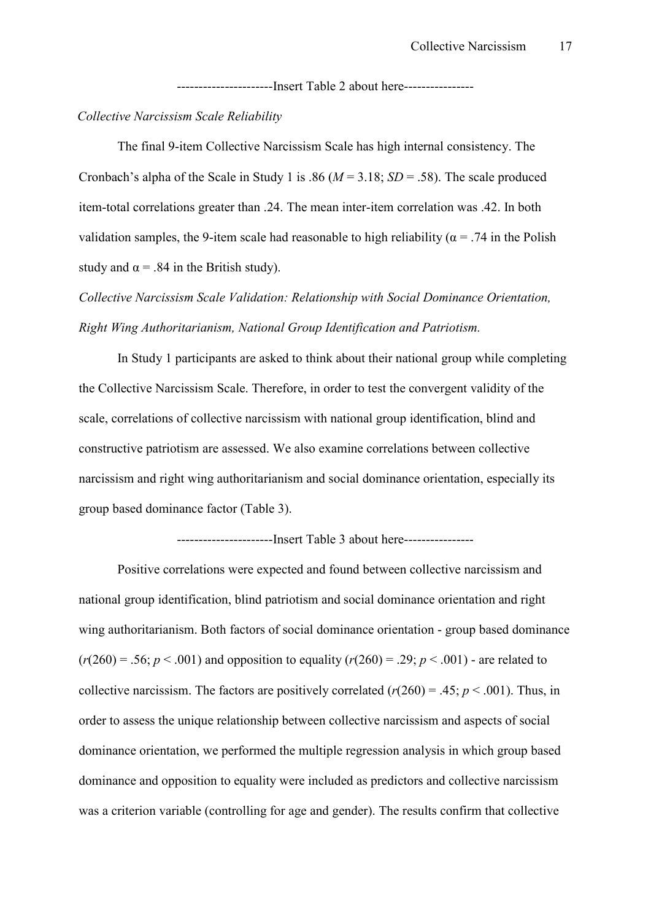------------------------Insert Table 2 about here-----------------

#### *Collective Narcissism Scale Reliability*

The final 9-item Collective Narcissism Scale has high internal consistency. The Cronbach's alpha of the Scale in Study 1 is .86 ( $M = 3.18$ ;  $SD = .58$ ). The scale produced item-total correlations greater than .24. The mean inter-item correlation was .42. In both validation samples, the 9-item scale had reasonable to high reliability ( $\alpha$  = .74 in the Polish study and  $\alpha$  = .84 in the British study).

*Collective Narcissism Scale Validation: Relationship with Social Dominance Orientation, Right Wing Authoritarianism, National Group Identification and Patriotism.* 

In Study 1 participants are asked to think about their national group while completing the Collective Narcissism Scale. Therefore, in order to test the convergent validity of the scale, correlations of collective narcissism with national group identification, blind and constructive patriotism are assessed. We also examine correlations between collective narcissism and right wing authoritarianism and social dominance orientation, especially its group based dominance factor (Table 3).

-----------------------Insert Table 3 about here-----------------

Positive correlations were expected and found between collective narcissism and national group identification, blind patriotism and social dominance orientation and right wing authoritarianism. Both factors of social dominance orientation - group based dominance  $(r(260) = .56; p < .001)$  and opposition to equality  $(r(260) = .29; p < .001)$  - are related to collective narcissism. The factors are positively correlated  $(r(260) = .45; p < .001)$ . Thus, in order to assess the unique relationship between collective narcissism and aspects of social dominance orientation, we performed the multiple regression analysis in which group based dominance and opposition to equality were included as predictors and collective narcissism was a criterion variable (controlling for age and gender). The results confirm that collective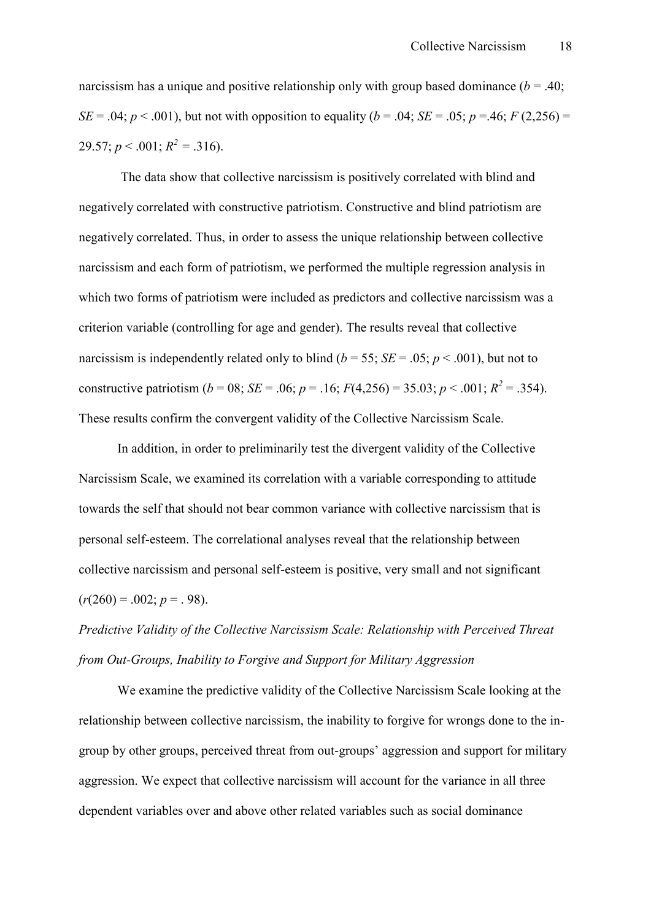narcissism has a unique and positive relationship only with group based dominance ( $b = .40$ ; *SE* = .04; *p* < .001), but not with opposition to equality (*b* = .04; *SE* = .05; *p* = .46; *F* (2,256) = 29.57;  $p < .001$ ;  $R^2 = .316$ ).

 The data show that collective narcissism is positively correlated with blind and negatively correlated with constructive patriotism. Constructive and blind patriotism are negatively correlated. Thus, in order to assess the unique relationship between collective narcissism and each form of patriotism, we performed the multiple regression analysis in which two forms of patriotism were included as predictors and collective narcissism was a criterion variable (controlling for age and gender). The results reveal that collective narcissism is independently related only to blind  $(b = 55; SE = .05; p < .001)$ , but not to constructive patriotism (*b* = 08; *SE* = .06; *p* = .16;  $F(4,256) = 35.03$ ; *p* < .001;  $R^2 = .354$ ). These results confirm the convergent validity of the Collective Narcissism Scale.

In addition, in order to preliminarily test the divergent validity of the Collective Narcissism Scale, we examined its correlation with a variable corresponding to attitude towards the self that should not bear common variance with collective narcissism that is personal self-esteem. The correlational analyses reveal that the relationship between collective narcissism and personal self-esteem is positive, very small and not significant  $(r(260) = .002; p = .98)$ .

## *Predictive Validity of the Collective Narcissism Scale: Relationship with Perceived Threat from Out.Groups, Inability to Forgive and Support for Military Aggression*

We examine the predictive validity of the Collective Narcissism Scale looking at the relationship between collective narcissism, the inability to forgive for wrongs done to the ingroup by other groups, perceived threat from out-groups' aggression and support for military aggression. We expect that collective narcissism will account for the variance in all three dependent variables over and above other related variables such as social dominance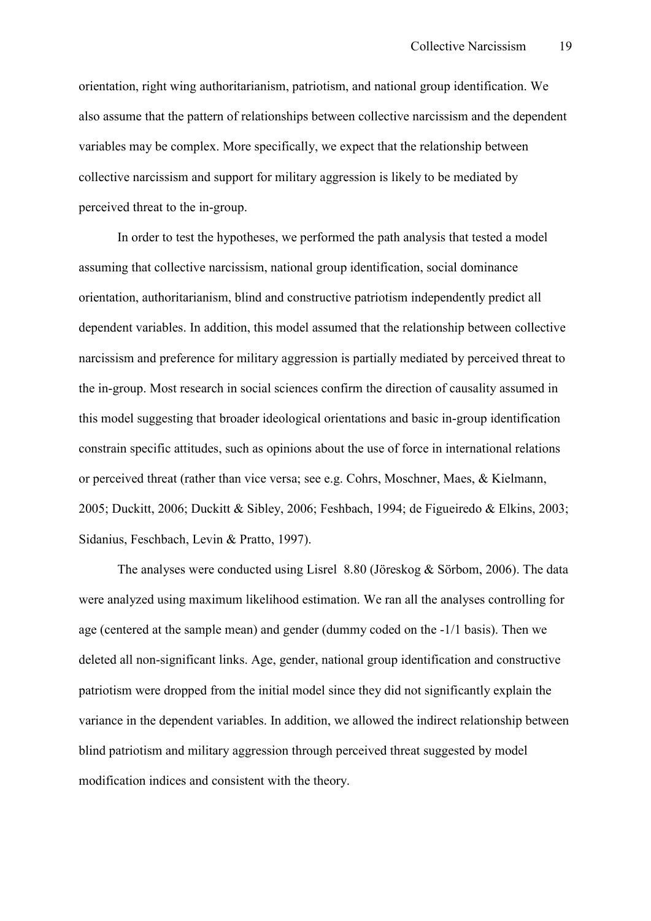orientation, right wing authoritarianism, patriotism, and national group identification. We also assume that the pattern of relationships between collective narcissism and the dependent variables may be complex. More specifically, we expect that the relationship between collective narcissism and support for military aggression is likely to be mediated by perceived threat to the in-group.

In order to test the hypotheses, we performed the path analysis that tested a model assuming that collective narcissism, national group identification, social dominance orientation, authoritarianism, blind and constructive patriotism independently predict all dependent variables. In addition, this model assumed that the relationship between collective narcissism and preference for military aggression is partially mediated by perceived threat to the in-group. Most research in social sciences confirm the direction of causality assumed in this model suggesting that broader ideological orientations and basic in-group identification constrain specific attitudes, such as opinions about the use of force in international relations or perceived threat (rather than vice versa; see e.g. Cohrs, Moschner, Maes, & Kielmann, 2005; Duckitt, 2006; Duckitt & Sibley, 2006; Feshbach, 1994; de Figueiredo & Elkins, 2003; Sidanius, Feschbach, Levin & Pratto, 1997).

The analyses were conducted using Lisrel 8.80 (Jöreskog & Sörbom, 2006). The data were analyzed using maximum likelihood estimation. We ran all the analyses controlling for age (centered at the sample mean) and gender (dummy coded on the  $-1/1$  basis). Then we deleted all non-significant links. Age, gender, national group identification and constructive patriotism were dropped from the initial model since they did not significantly explain the variance in the dependent variables. In addition, we allowed the indirect relationship between blind patriotism and military aggression through perceived threat suggested by model modification indices and consistent with the theory.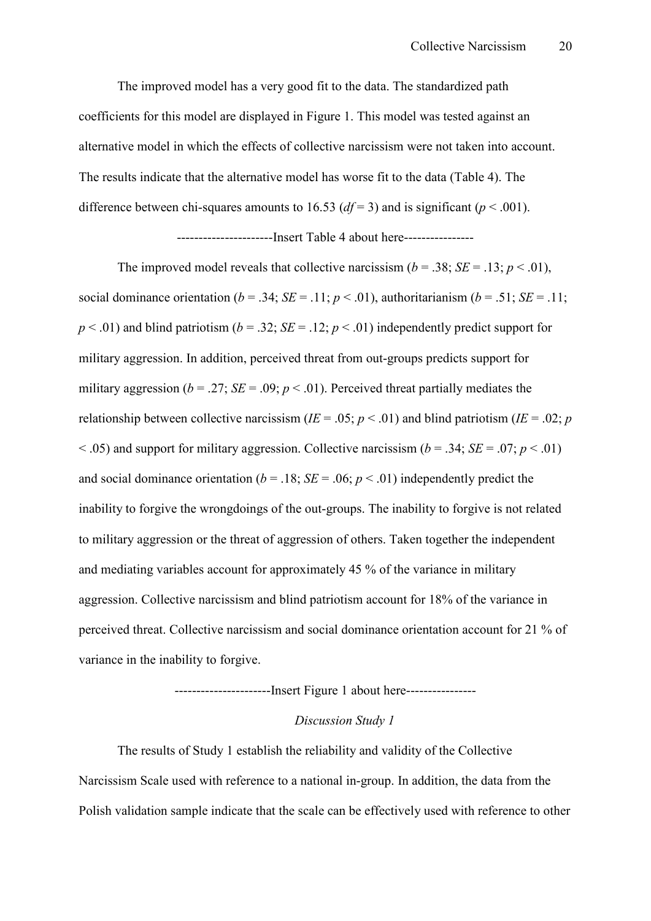The improved model has a very good fit to the data. The standardized path coefficients for this model are displayed in Figure 1. This model was tested against an alternative model in which the effects of collective narcissism were not taken into account. The results indicate that the alternative model has worse fit to the data (Table 4). The difference between chi-squares amounts to 16.53 ( $df = 3$ ) and is significant ( $p < .001$ ).

#### ------------------------Insert Table 4 about here-----------------

The improved model reveals that collective narcissism  $(b = .38; SE = .13; p < .01)$ , social dominance orientation ( $b = .34$ ; *SE* = .11;  $p < .01$ ), authoritarianism ( $b = .51$ ; *SE* = .11;  $p < .01$ ) and blind patriotism ( $b = .32$ ; *SE* = .12;  $p < .01$ ) independently predict support for military aggression. In addition, perceived threat from out-groups predicts support for military aggression ( $b = .27$ ; *SE* = .09;  $p < .01$ ). Perceived threat partially mediates the relationship between collective narcissism ( $IE = .05$ ;  $p < .01$ ) and blind patriotism ( $IE = .02$ ; *p*  $(6 - .05)$  and support for military aggression. Collective narcissism ( $b = .34$ ; *SE* = .07; *p* < .01) and social dominance orientation ( $b = .18$ ;  $SE = .06$ ;  $p < .01$ ) independently predict the inability to forgive the wrongdoings of the out-groups. The inability to forgive is not related to military aggression or the threat of aggression of others. Taken together the independent and mediating variables account for approximately 45 % of the variance in military aggression. Collective narcissism and blind patriotism account for 18% of the variance in perceived threat. Collective narcissism and social dominance orientation account for 21 % of variance in the inability to forgive.

#### HHHHHHHHHHHHHHHHHHHHHHInsert Figure 1 about hereHHHHHHHHHHHHHHHH

#### *Discussion Study 1*

The results of Study 1 establish the reliability and validity of the Collective Narcissism Scale used with reference to a national in-group. In addition, the data from the Polish validation sample indicate that the scale can be effectively used with reference to other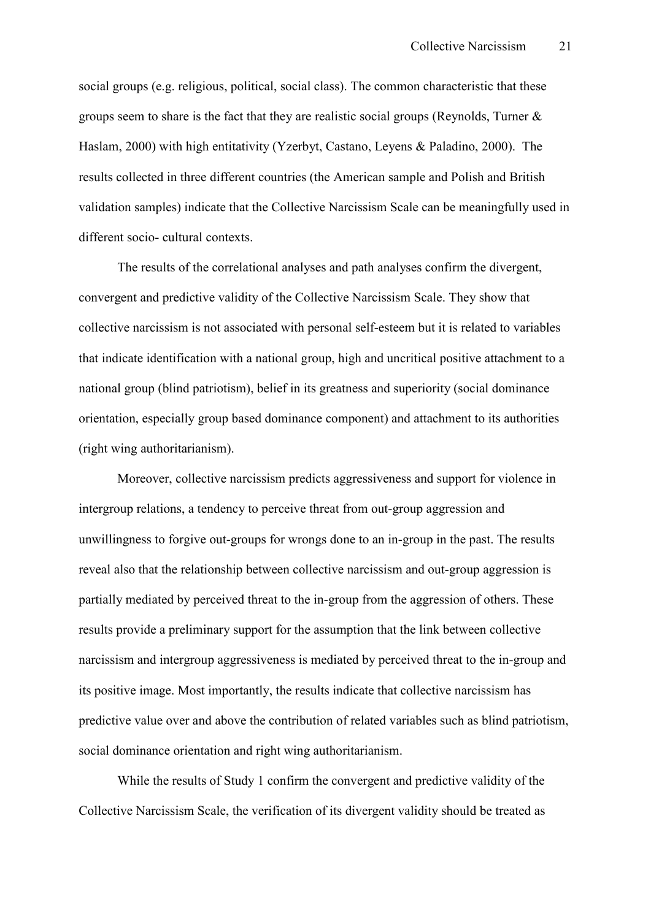social groups (e.g. religious, political, social class). The common characteristic that these groups seem to share is the fact that they are realistic social groups (Reynolds, Turner & Haslam, 2000) with high entitativity (Yzerbyt, Castano, Leyens & Paladino, 2000). The results collected in three different countries (the American sample and Polish and British validation samples) indicate that the Collective Narcissism Scale can be meaningfully used in different socio- cultural contexts.

The results of the correlational analyses and path analyses confirm the divergent, convergent and predictive validity of the Collective Narcissism Scale. They show that collective narcissism is not associated with personal self-esteem but it is related to variables that indicate identification with a national group, high and uncritical positive attachment to a national group (blind patriotism), belief in its greatness and superiority (social dominance orientation, especially group based dominance component) and attachment to its authorities (right wing authoritarianism).

Moreover, collective narcissism predicts aggressiveness and support for violence in intergroup relations, a tendency to perceive threat from out-group aggression and unwillingness to forgive out-groups for wrongs done to an in-group in the past. The results reveal also that the relationship between collective narcissism and out-group aggression is partially mediated by perceived threat to the in-group from the aggression of others. These results provide a preliminary support for the assumption that the link between collective narcissism and intergroup aggressiveness is mediated by perceived threat to the in-group and its positive image. Most importantly, the results indicate that collective narcissism has predictive value over and above the contribution of related variables such as blind patriotism, social dominance orientation and right wing authoritarianism.

While the results of Study 1 confirm the convergent and predictive validity of the Collective Narcissism Scale, the verification of its divergent validity should be treated as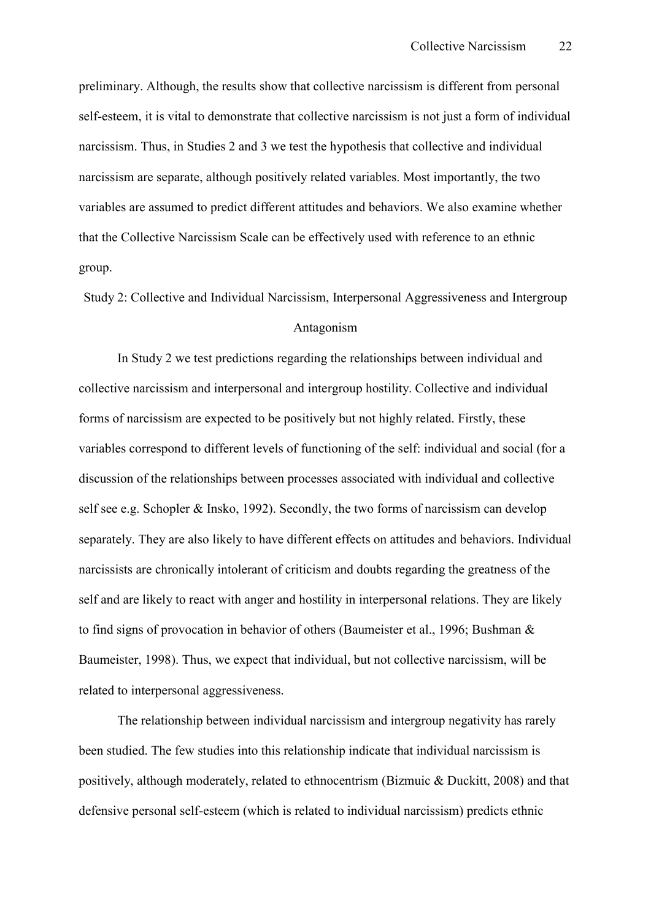preliminary. Although, the results show that collective narcissism is different from personal self-esteem, it is vital to demonstrate that collective narcissism is not just a form of individual narcissism. Thus, in Studies 2 and 3 we test the hypothesis that collective and individual narcissism are separate, although positively related variables. Most importantly, the two variables are assumed to predict different attitudes and behaviors. We also examine whether that the Collective Narcissism Scale can be effectively used with reference to an ethnic group.

Study 2: Collective and Individual Narcissism, Interpersonal Aggressiveness and Intergroup Antagonism

In Study 2 we test predictions regarding the relationships between individual and collective narcissism and interpersonal and intergroup hostility. Collective and individual forms of narcissism are expected to be positively but not highly related. Firstly, these variables correspond to different levels of functioning of the self: individual and social (for a discussion of the relationships between processes associated with individual and collective self see e.g. Schopler & Insko, 1992). Secondly, the two forms of narcissism can develop separately. They are also likely to have different effects on attitudes and behaviors. Individual narcissists are chronically intolerant of criticism and doubts regarding the greatness of the self and are likely to react with anger and hostility in interpersonal relations. They are likely to find signs of provocation in behavior of others (Baumeister et al., 1996; Bushman & Baumeister, 1998). Thus, we expect that individual, but not collective narcissism, will be related to interpersonal aggressiveness.

The relationship between individual narcissism and intergroup negativity has rarely been studied. The few studies into this relationship indicate that individual narcissism is positively, although moderately, related to ethnocentrism (Bizmuic & Duckitt, 2008) and that defensive personal self-esteem (which is related to individual narcissism) predicts ethnic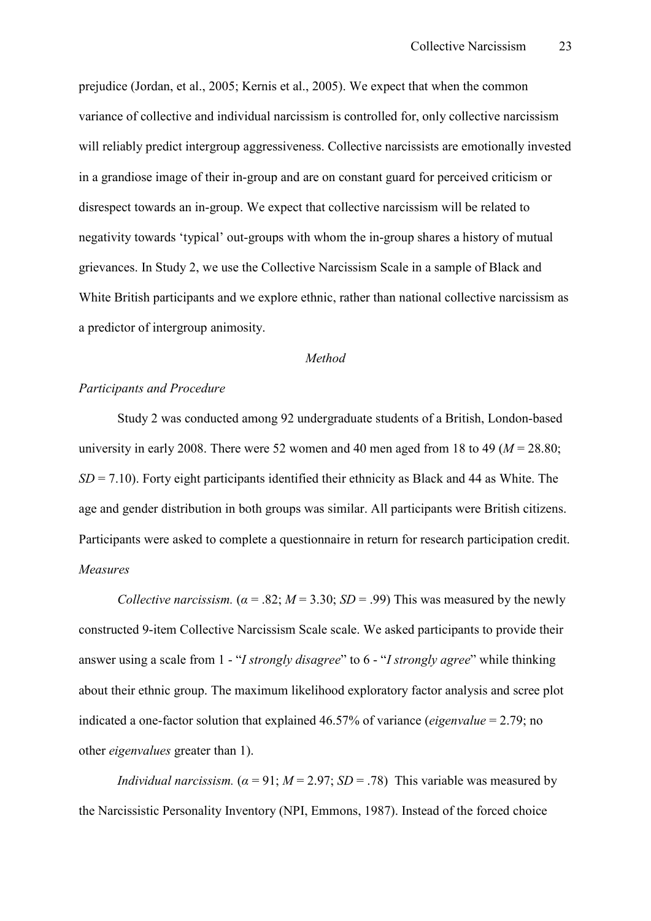prejudice (Jordan, et al., 2005; Kernis et al., 2005). We expect that when the common variance of collective and individual narcissism is controlled for, only collective narcissism will reliably predict intergroup aggressiveness. Collective narcissists are emotionally invested in a grandiose image of their in-group and are on constant guard for perceived criticism or disrespect towards an in-group. We expect that collective narcissism will be related to negativity towards 'typical' out-groups with whom the in-group shares a history of mutual grievances. In Study 2, we use the Collective Narcissism Scale in a sample of Black and White British participants and we explore ethnic, rather than national collective narcissism as a predictor of intergroup animosity.

#### *Method*

#### *Participants and Procedure*

Study 2 was conducted among 92 undergraduate students of a British, London-based university in early 2008. There were 52 women and 40 men aged from 18 to 49 ( $M = 28.80$ ; *SD* = 7.10). Forty eight participants identified their ethnicity as Black and 44 as White. The age and gender distribution in both groups was similar. All participants were British citizens. Participants were asked to complete a questionnaire in return for research participation credit. *Measures* 

*Collective narcissism.* ( $\alpha$  = .82;  $M$  = 3.30; *SD* = .99) This was measured by the newly constructed 9-item Collective Narcissism Scale scale. We asked participants to provide their answer using a scale from 1 - "*I strongly disagree*" to 6 - "*I strongly agree*" while thinking about their ethnic group. The maximum likelihood exploratory factor analysis and scree plot indicated a one-factor solution that explained  $46.57\%$  of variance (*eigenvalue* = 2.79; no other *eigenvalues* greater than 1).

*Individual narcissism.*  $(a = 91; M = 2.97; SD = .78)$  This variable was measured by the Narcissistic Personality Inventory (NPI, Emmons, 1987). Instead of the forced choice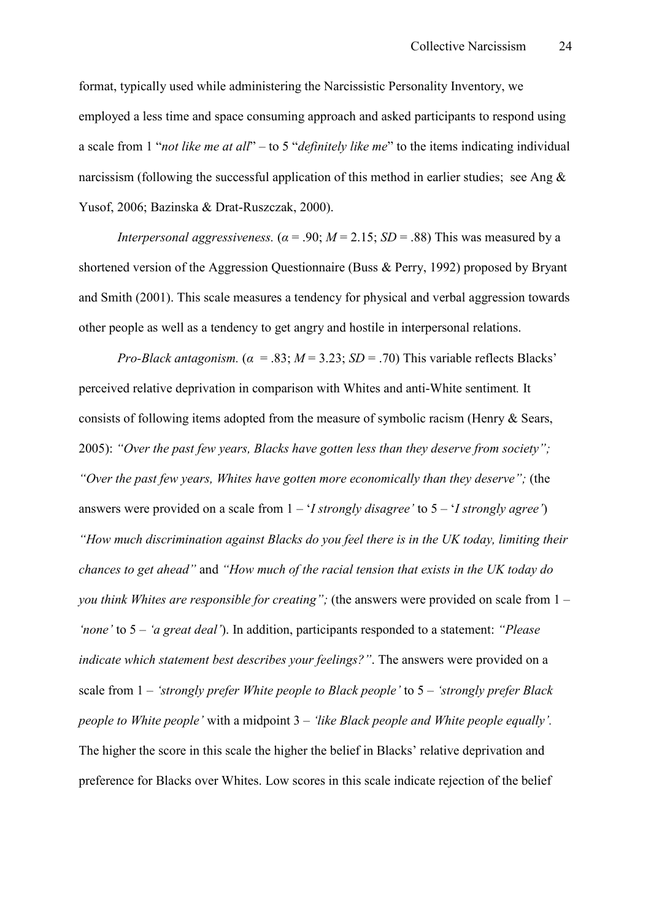format, typically used while administering the Narcissistic Personality Inventory, we employed a less time and space consuming approach and asked participants to respond using a scale from 1 "*not like me at all*" – to 5 "*definitely like me*" to the items indicating individual narcissism (following the successful application of this method in earlier studies; see Ang & Yusof, 2006; Bazinska & Drat-Ruszczak, 2000).

*Interpersonal aggressiveness.*  $(a = .90; M = 2.15; SD = .88)$  This was measured by a shortened version of the Aggression Questionnaire (Buss & Perry, 1992) proposed by Bryant and Smith (2001). This scale measures a tendency for physical and verbal aggression towards other people as well as a tendency to get angry and hostile in interpersonal relations.

*Pro-Black antagonism.* ( $\alpha = .83$ ;  $M = 3.23$ ;  $SD = .70$ ) This variable reflects Blacks' perceived relative deprivation in comparison with Whites and anti-White sentiment. It consists of following items adopted from the measure of symbolic racism (Henry & Sears, 2005): *"Over the past few years, Blacks have gotten less than they deserve from society"; "Over the past few years, Whites have gotten more economically than they deserve";* (the answers were provided on a scale from 1 – '*I strongly disagree'* to 5 – '*I strongly agree'*) *"How much discrimination against Blacks do you feel there is in the UK today, limiting their chances to get ahead"* and *"How much of the racial tension that exists in the UK today do you think Whites are responsible for creating";* (the answers were provided on scale from 1 – *'none'* to 5 – *'a great deal'*). In addition, participants responded to a statement: *"Please indicate which statement best describes your feelings?"*. The answers were provided on a scale from 1 – *'strongly prefer White people to Black people'* to 5 – *'strongly prefer Black people to White people'* with a midpoint 3 – *'like Black people and White people equally'.*  The higher the score in this scale the higher the belief in Blacks' relative deprivation and preference for Blacks over Whites. Low scores in this scale indicate rejection of the belief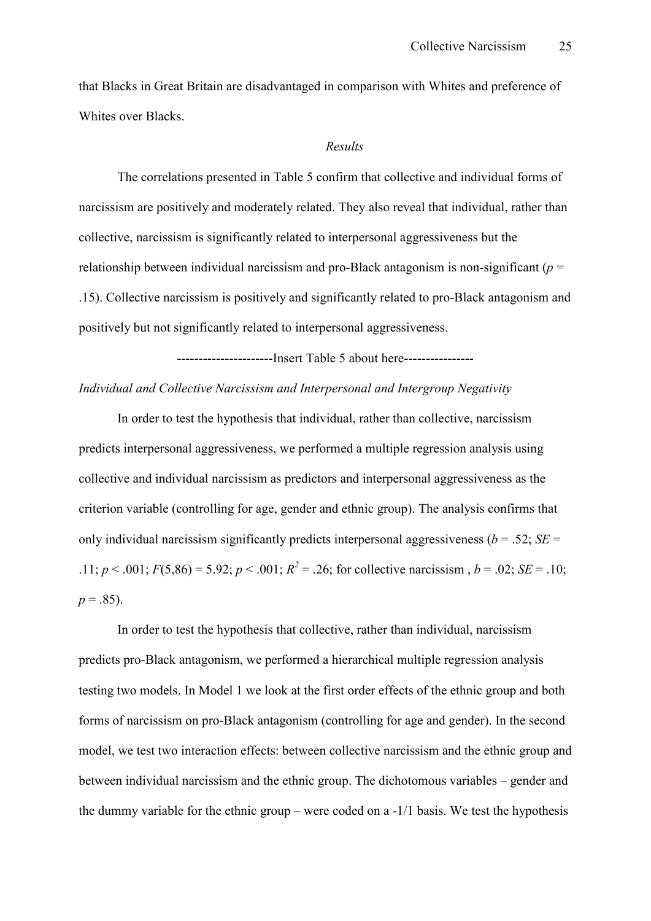that Blacks in Great Britain are disadvantaged in comparison with Whites and preference of Whites over Blacks.

#### *Results*

 The correlations presented in Table 5 confirm that collective and individual forms of narcissism are positively and moderately related. They also reveal that individual, rather than collective, narcissism is significantly related to interpersonal aggressiveness but the relationship between individual narcissism and pro-Black antagonism is non-significant ( $p =$ .15). Collective narcissism is positively and significantly related to pro-Black antagonism and positively but not significantly related to interpersonal aggressiveness.

-------------------------Insert Table 5 about here-----------------

#### *Individual and Collective Narcissism and Interpersonal and Intergroup Negativity*

In order to test the hypothesis that individual, rather than collective, narcissism predicts interpersonal aggressiveness, we performed a multiple regression analysis using collective and individual narcissism as predictors and interpersonal aggressiveness as the criterion variable (controlling for age, gender and ethnic group). The analysis confirms that only individual narcissism significantly predicts interpersonal aggressiveness ( $b = .52$ ; *SE* = .11;  $p < .001$ ;  $F(5,86) = 5.92$ ;  $p < .001$ ;  $R^2 = .26$ ; for collective narcissism,  $b = .02$ ;  $SE = .10$ ;  $p = .85$ ).

In order to test the hypothesis that collective, rather than individual, narcissism predicts pro-Black antagonism, we performed a hierarchical multiple regression analysis testing two models. In Model 1 we look at the first order effects of the ethnic group and both forms of narcissism on pro-Black antagonism (controlling for age and gender). In the second model, we test two interaction effects: between collective narcissism and the ethnic group and between individual narcissism and the ethnic group. The dichotomous variables – gender and the dummy variable for the ethnic group – were coded on a  $-1/1$  basis. We test the hypothesis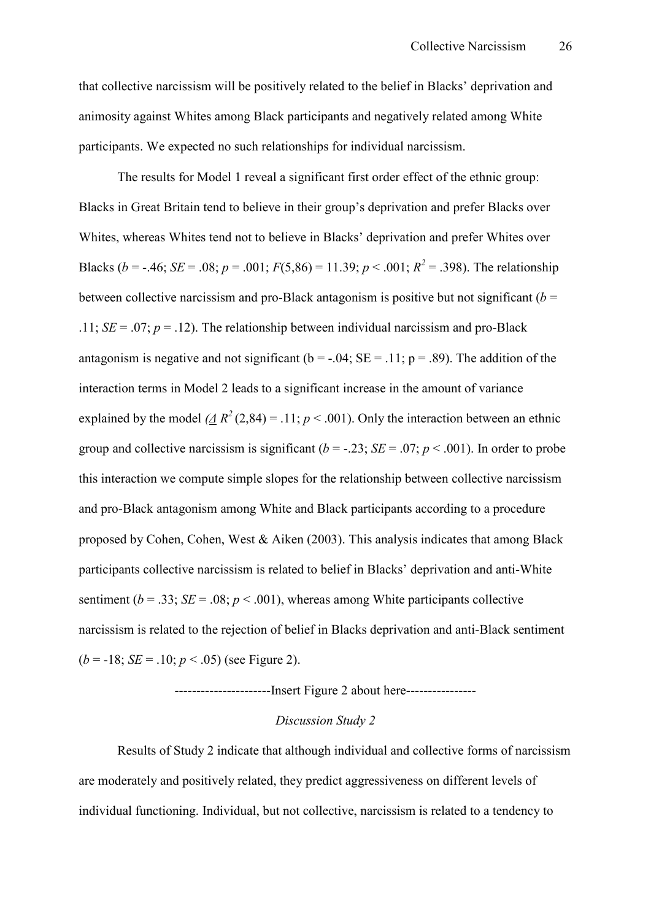that collective narcissism will be positively related to the belief in Blacks' deprivation and animosity against Whites among Black participants and negatively related among White participants. We expected no such relationships for individual narcissism.

The results for Model 1 reveal a significant first order effect of the ethnic group: Blacks in Great Britain tend to believe in their group's deprivation and prefer Blacks over Whites, whereas Whites tend not to believe in Blacks' deprivation and prefer Whites over Blacks (*b* = -.46; *SE* = .08; *p* = .001; *F*(5,86) = 11.39; *p* < .001;  $R^2$  = .398). The relationship between collective narcissism and pro-Black antagonism is positive but not significant ( $b =$ .11;  $SE = .07$ ;  $p = .12$ ). The relationship between individual narcissism and pro-Black antagonism is negative and not significant ( $b = -0.04$ ; SE = .11; p = .89). The addition of the interaction terms in Model 2 leads to a significant increase in the amount of variance explained by the model  $(\underline{A} R^2(2,84) = .11; p < .001)$ . Only the interaction between an ethnic group and collective narcissism is significant  $(b = -0.23; SE = .07; p < .001)$ . In order to probe this interaction we compute simple slopes for the relationship between collective narcissism and pro-Black antagonism among White and Black participants according to a procedure proposed by Cohen, Cohen, West & Aiken (2003). This analysis indicates that among Black participants collective narcissism is related to belief in Blacks' deprivation and anti-White sentiment ( $b = .33$ ; *SE* = .08;  $p < .001$ ), whereas among White participants collective narcissism is related to the rejection of belief in Blacks deprivation and anti-Black sentiment  $(b = -18; SE = .10; p < .05)$  (see Figure 2).

--------------------------Insert Figure 2 about here-----------------

#### *Discussion Study 2*

 Results of Study 2 indicate that although individual and collective forms of narcissism are moderately and positively related, they predict aggressiveness on different levels of individual functioning. Individual, but not collective, narcissism is related to a tendency to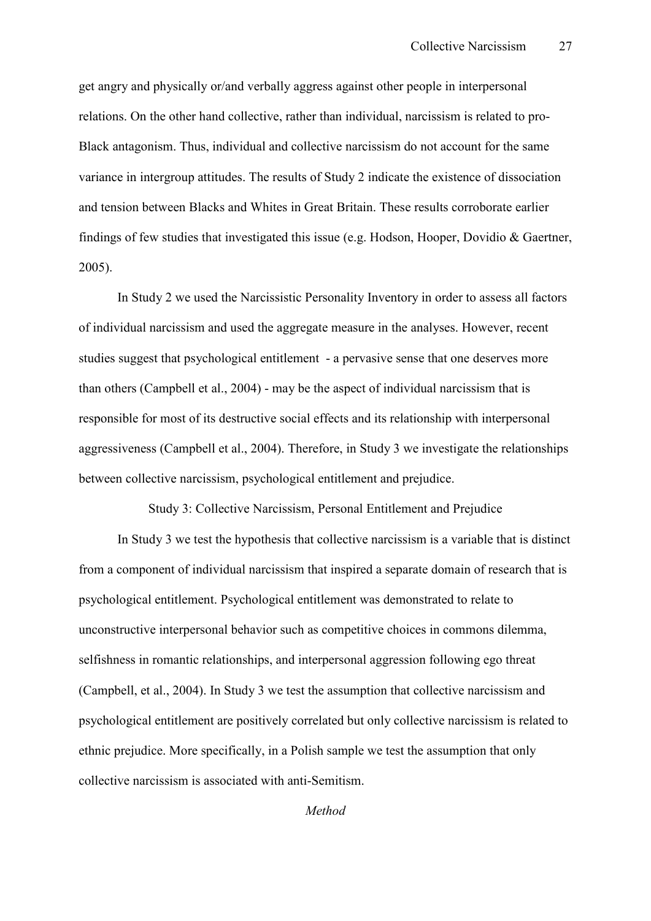get angry and physically or/and verbally aggress against other people in interpersonal relations. On the other hand collective, rather than individual, narcissism is related to pro-Black antagonism. Thus, individual and collective narcissism do not account for the same variance in intergroup attitudes. The results of Study 2 indicate the existence of dissociation and tension between Blacks and Whites in Great Britain. These results corroborate earlier findings of few studies that investigated this issue (e.g. Hodson, Hooper, Dovidio & Gaertner, 2005).

 In Study 2 we used the Narcissistic Personality Inventory in order to assess all factors of individual narcissism and used the aggregate measure in the analyses. However, recent studies suggest that psychological entitlement - a pervasive sense that one deserves more than others (Campbell et al.,  $2004$ ) - may be the aspect of individual narcissism that is responsible for most of its destructive social effects and its relationship with interpersonal aggressiveness (Campbell et al., 2004). Therefore, in Study 3 we investigate the relationships between collective narcissism, psychological entitlement and prejudice.

Study 3: Collective Narcissism, Personal Entitlement and Prejudice

In Study 3 we test the hypothesis that collective narcissism is a variable that is distinct from a component of individual narcissism that inspired a separate domain of research that is psychological entitlement. Psychological entitlement was demonstrated to relate to unconstructive interpersonal behavior such as competitive choices in commons dilemma, selfishness in romantic relationships, and interpersonal aggression following ego threat (Campbell, et al., 2004). In Study 3 we test the assumption that collective narcissism and psychological entitlement are positively correlated but only collective narcissism is related to ethnic prejudice. More specifically, in a Polish sample we test the assumption that only collective narcissism is associated with anti-Semitism.

*Method*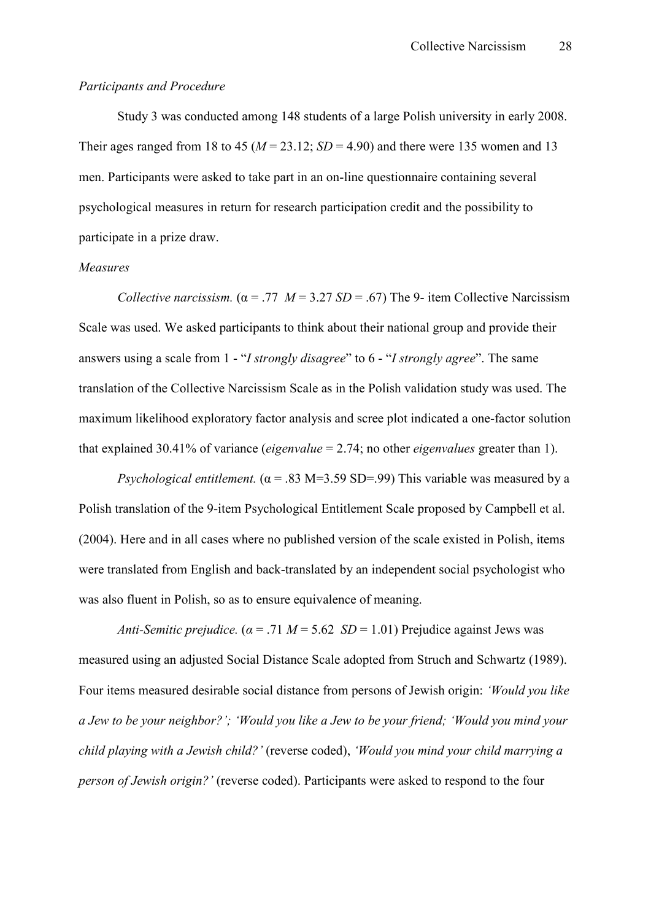#### *Participants and Procedure*

Study 3 was conducted among 148 students of a large Polish university in early 2008. Their ages ranged from 18 to 45 ( $M = 23.12$ ;  $SD = 4.90$ ) and there were 135 women and 13 men. Participants were asked to take part in an on-line questionnaire containing several psychological measures in return for research participation credit and the possibility to participate in a prize draw.

#### *Measures*

*Collective narcissism.* ( $\alpha$  = .77 *M* = 3.27 *SD* = .67) The 9- item Collective Narcissism Scale was used. We asked participants to think about their national group and provide their answers using a scale from 1 - "*I strongly disagree*" to 6 - "*I strongly agree*". The same translation of the Collective Narcissism Scale as in the Polish validation study was used. The maximum likelihood exploratory factor analysis and scree plot indicated a one-factor solution that explained 30.41% of variance (*eigenvalue* = 2.74; no other *eigenvalues* greater than 1).

*Psychological entitlement.*  $(\alpha = .83 \text{ M} = 3.59 \text{ SD} = .99)$  This variable was measured by a Polish translation of the 9-item Psychological Entitlement Scale proposed by Campbell et al. (2004). Here and in all cases where no published version of the scale existed in Polish, items were translated from English and back-translated by an independent social psychologist who was also fluent in Polish, so as to ensure equivalence of meaning.

*Anti-Semitic prejudice.*  $(a = .71 \text{ } M = 5.62 \text{ } SD = 1.01)$  Prejudice against Jews was measured using an adjusted Social Distance Scale adopted from Struch and Schwartz (1989). Four items measured desirable social distance from persons of Jewish origin: *'Would you like a Jew to be your neighbor?'; 'Would you like a Jew to be your friend; 'Would you mind your child playing with a Jewish child?'* (reverse coded), *'Would you mind your child marrying a person of Jewish origin?'* (reverse coded). Participants were asked to respond to the four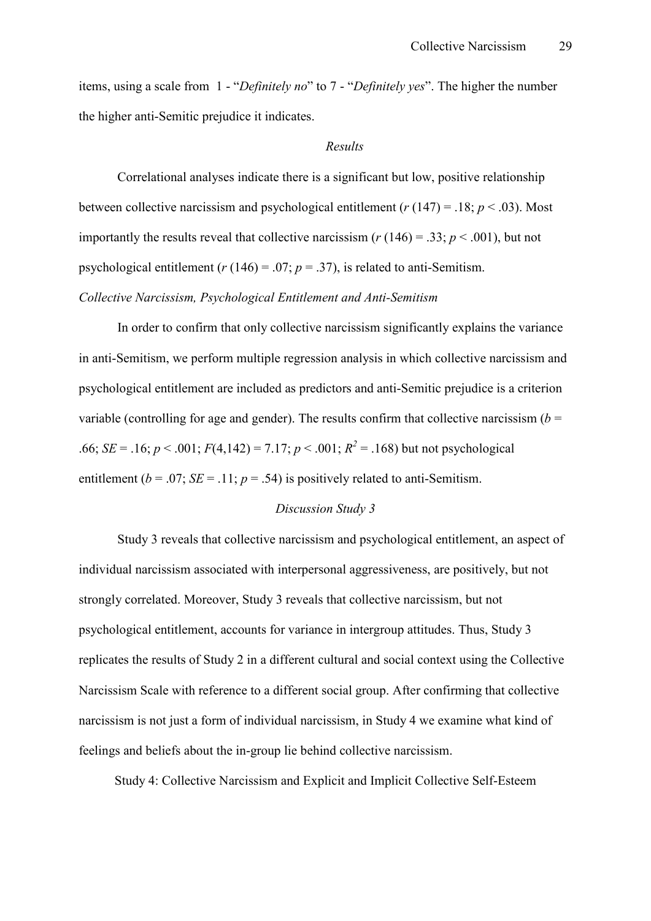items, using a scale from 1 - "*Definitely no*" to 7 - "*Definitely yes*". The higher the number the higher anti-Semitic prejudice it indicates.

#### *Results*

Correlational analyses indicate there is a significant but low, positive relationship between collective narcissism and psychological entitlement  $(r(147) = .18; p < .03)$ . Most importantly the results reveal that collective narcissism ( $r(146) = .33$ ;  $p < .001$ ), but not psychological entitlement ( $r(146) = .07$ ;  $p = .37$ ), is related to anti-Semitism.

#### *Collective Narcissism, Psychological Entitlement and Anti.Semitism*

In order to confirm that only collective narcissism significantly explains the variance in anti-Semitism, we perform multiple regression analysis in which collective narcissism and psychological entitlement are included as predictors and anti-Semitic prejudice is a criterion variable (controlling for age and gender). The results confirm that collective narcissism  $(b =$ .66; *SE* = .16; *p* < .001; *F*(4,142) = 7.17; *p* < .001;  $R^2$  = .168) but not psychological entitlement ( $b = .07$ ; *SE* = .11;  $p = .54$ ) is positively related to anti-Semitism.

#### *Discussion Study 3*

 Study 3 reveals that collective narcissism and psychological entitlement, an aspect of individual narcissism associated with interpersonal aggressiveness, are positively, but not strongly correlated. Moreover, Study 3 reveals that collective narcissism, but not psychological entitlement, accounts for variance in intergroup attitudes. Thus, Study 3 replicates the results of Study 2 in a different cultural and social context using the Collective Narcissism Scale with reference to a different social group. After confirming that collective narcissism is not just a form of individual narcissism, in Study 4 we examine what kind of feelings and beliefs about the in-group lie behind collective narcissism.

Study 4: Collective Narcissism and Explicit and Implicit Collective Self-Esteem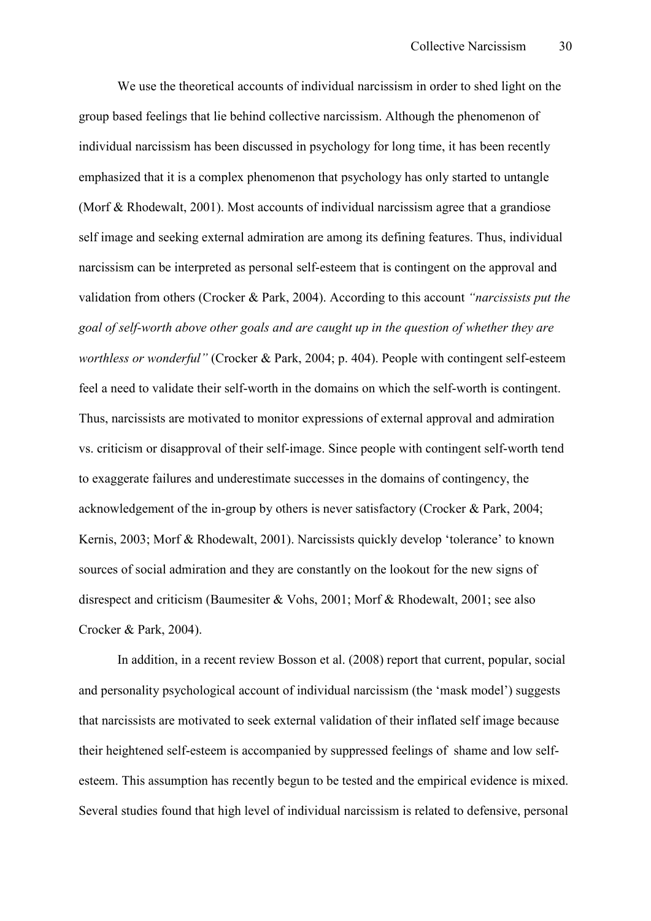We use the theoretical accounts of individual narcissism in order to shed light on the group based feelings that lie behind collective narcissism. Although the phenomenon of individual narcissism has been discussed in psychology for long time, it has been recently emphasized that it is a complex phenomenon that psychology has only started to untangle (Morf & Rhodewalt, 2001). Most accounts of individual narcissism agree that a grandiose self image and seeking external admiration are among its defining features. Thus, individual narcissism can be interpreted as personal self-esteem that is contingent on the approval and validation from others (Crocker & Park, 2004). According to this account *"narcissists put the goal of self.worth above other goals and are caught up in the question of whether they are worthless or wonderful"* (Crocker & Park, 2004; p. 404). People with contingent self-esteem feel a need to validate their self-worth in the domains on which the self-worth is contingent. Thus, narcissists are motivated to monitor expressions of external approval and admiration vs. criticism or disapproval of their self-image. Since people with contingent self-worth tend to exaggerate failures and underestimate successes in the domains of contingency, the acknowledgement of the in-group by others is never satisfactory (Crocker & Park, 2004; Kernis, 2003; Morf & Rhodewalt, 2001). Narcissists quickly develop 'tolerance' to known sources of social admiration and they are constantly on the lookout for the new signs of disrespect and criticism (Baumesiter & Vohs, 2001; Morf & Rhodewalt, 2001; see also Crocker & Park, 2004).

In addition, in a recent review Bosson et al. (2008) report that current, popular, social and personality psychological account of individual narcissism (the 'mask model') suggests that narcissists are motivated to seek external validation of their inflated self image because their heightened self-esteem is accompanied by suppressed feelings of shame and low selfesteem. This assumption has recently begun to be tested and the empirical evidence is mixed. Several studies found that high level of individual narcissism is related to defensive, personal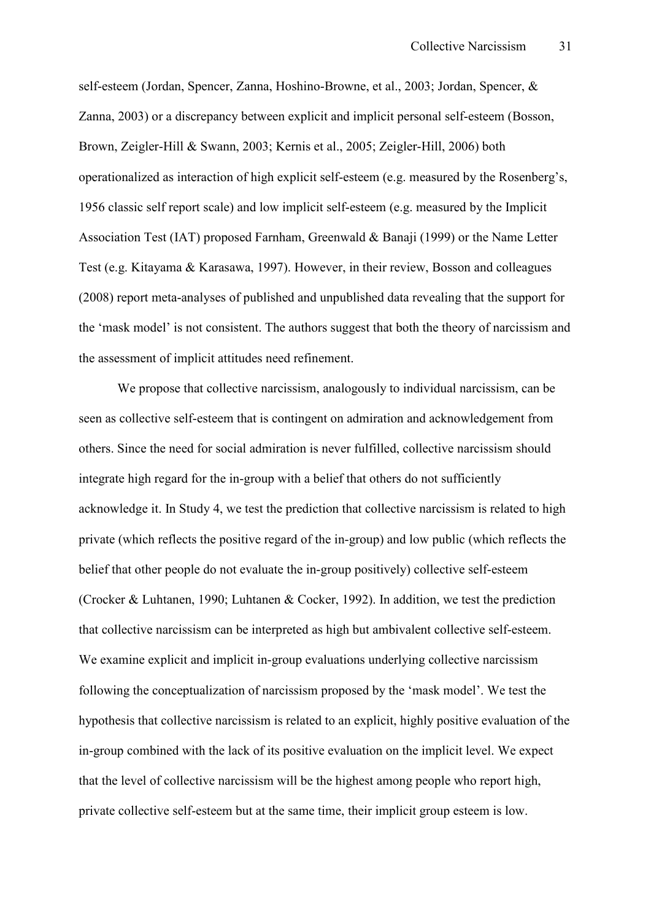self-esteem (Jordan, Spencer, Zanna, Hoshino-Browne, et al., 2003; Jordan, Spencer, & Zanna, 2003) or a discrepancy between explicit and implicit personal self-esteem (Bosson, Brown, Zeigler-Hill & Swann, 2003; Kernis et al., 2005; Zeigler-Hill, 2006) both operationalized as interaction of high explicit self-esteem (e.g. measured by the Rosenberg's, 1956 classic self report scale) and low implicit self-esteem (e.g. measured by the Implicit Association Test (IAT) proposed Farnham, Greenwald & Banaji (1999) or the Name Letter Test (e.g. Kitayama & Karasawa, 1997). However, in their review, Bosson and colleagues  $(2008)$  report meta-analyses of published and unpublished data revealing that the support for the 'mask model' is not consistent. The authors suggest that both the theory of narcissism and the assessment of implicit attitudes need refinement.

We propose that collective narcissism, analogously to individual narcissism, can be seen as collective self-esteem that is contingent on admiration and acknowledgement from others. Since the need for social admiration is never fulfilled, collective narcissism should integrate high regard for the in-group with a belief that others do not sufficiently acknowledge it. In Study 4, we test the prediction that collective narcissism is related to high private (which reflects the positive regard of the in-group) and low public (which reflects the belief that other people do not evaluate the in-group positively) collective self-esteem (Crocker & Luhtanen, 1990; Luhtanen & Cocker, 1992). In addition, we test the prediction that collective narcissism can be interpreted as high but ambivalent collective self-esteem. We examine explicit and implicit in-group evaluations underlying collective narcissism following the conceptualization of narcissism proposed by the 'mask model'. We test the hypothesis that collective narcissism is related to an explicit, highly positive evaluation of the in-group combined with the lack of its positive evaluation on the implicit level. We expect that the level of collective narcissism will be the highest among people who report high, private collective self-esteem but at the same time, their implicit group esteem is low.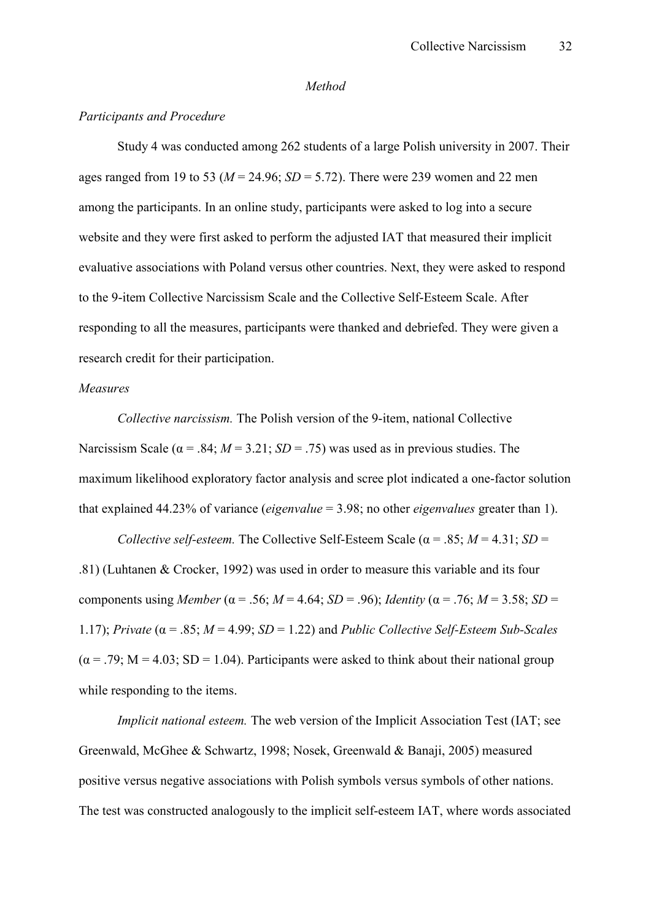#### *Method*

#### *Participants and Procedure*

 Study 4 was conducted among 262 students of a large Polish university in 2007. Their ages ranged from 19 to 53 ( $M = 24.96$ ;  $SD = 5.72$ ). There were 239 women and 22 men among the participants. In an online study, participants were asked to log into a secure website and they were first asked to perform the adjusted IAT that measured their implicit evaluative associations with Poland versus other countries. Next, they were asked to respond to the 9-item Collective Narcissism Scale and the Collective Self-Esteem Scale. After responding to all the measures, participants were thanked and debriefed. They were given a research credit for their participation.

#### *Measures*

*Collective narcissism.* The Polish version of the 9-item, national Collective Narcissism Scale ( $\alpha$  = .84;  $M = 3.21$ ;  $SD = .75$ ) was used as in previous studies. The maximum likelihood exploratory factor analysis and scree plot indicated a one-factor solution that explained 44.23% of variance (*eigenvalue* = 3.98; no other *eigenvalues* greater than 1).

*Collective self-esteem.* The Collective Self-Esteem Scale ( $\alpha$  = .85; *M* = 4.31; *SD* = .81) (Luhtanen & Crocker, 1992) was used in order to measure this variable and its four components using *Member* ( $\alpha$  = .56; *M* = 4.64; *SD* = .96); *Identity* ( $\alpha$  = .76; *M* = 3.58; *SD* = 1.17); *Private* (α = .85; *M* = 4.99; *SD* = 1.22) and *Public Collective Self.Esteem Sub.Scales*  $(\alpha = .79; M = 4.03; SD = 1.04)$ . Participants were asked to think about their national group while responding to the items.

*Implicit national esteem.* The web version of the Implicit Association Test (IAT; see Greenwald, McGhee & Schwartz, 1998; Nosek, Greenwald & Banaji, 2005) measured positive versus negative associations with Polish symbols versus symbols of other nations. The test was constructed analogously to the implicit self-esteem IAT, where words associated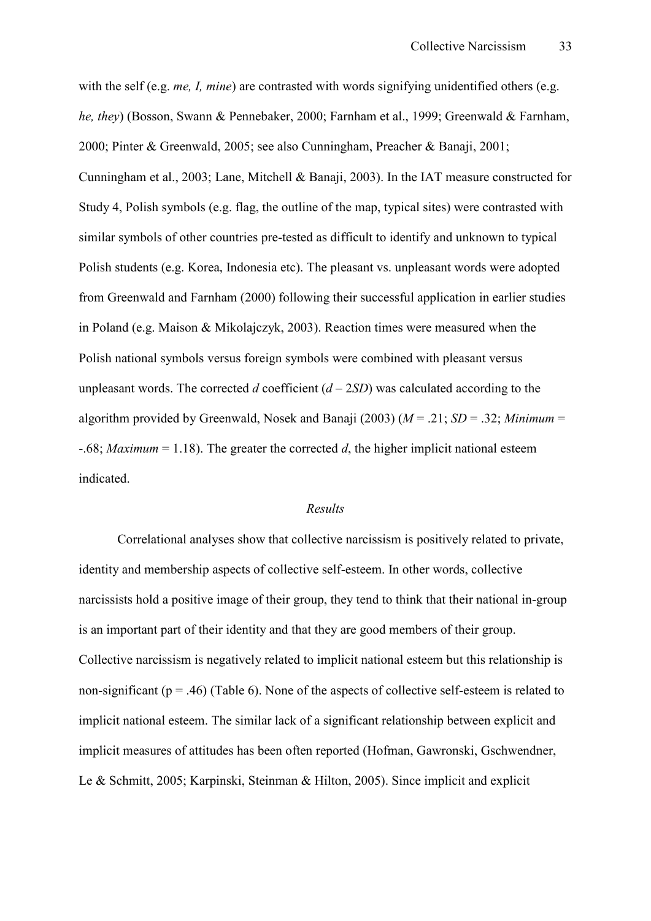with the self (e.g. *me, I, mine*) are contrasted with words signifying unidentified others (e.g. *he, they*) (Bosson, Swann & Pennebaker, 2000; Farnham et al., 1999; Greenwald & Farnham, 2000; Pinter & Greenwald, 2005; see also Cunningham, Preacher & Banaji, 2001; Cunningham et al., 2003; Lane, Mitchell & Banaji, 2003). In the IAT measure constructed for Study 4, Polish symbols (e.g. flag, the outline of the map, typical sites) were contrasted with similar symbols of other countries pre-tested as difficult to identify and unknown to typical Polish students (e.g. Korea, Indonesia etc). The pleasant vs. unpleasant words were adopted from Greenwald and Farnham (2000) following their successful application in earlier studies in Poland (e.g. Maison & Mikolajczyk, 2003). Reaction times were measured when the Polish national symbols versus foreign symbols were combined with pleasant versus unpleasant words. The corrected *d* coefficient  $(d - 2SD)$  was calculated according to the algorithm provided by Greenwald, Nosek and Banaji (2003) (*M* = .21; *SD* = .32; *Minimum* =  $-0.68$ ; *Maximum* = 1.18). The greater the corrected *d*, the higher implicit national esteem indicated.

#### *Results*

Correlational analyses show that collective narcissism is positively related to private, identity and membership aspects of collective self-esteem. In other words, collective narcissists hold a positive image of their group, they tend to think that their national in-group is an important part of their identity and that they are good members of their group. Collective narcissism is negatively related to implicit national esteem but this relationship is non-significant ( $p = .46$ ) (Table 6). None of the aspects of collective self-esteem is related to implicit national esteem. The similar lack of a significant relationship between explicit and implicit measures of attitudes has been often reported (Hofman, Gawronski, Gschwendner, Le & Schmitt, 2005; Karpinski, Steinman & Hilton, 2005). Since implicit and explicit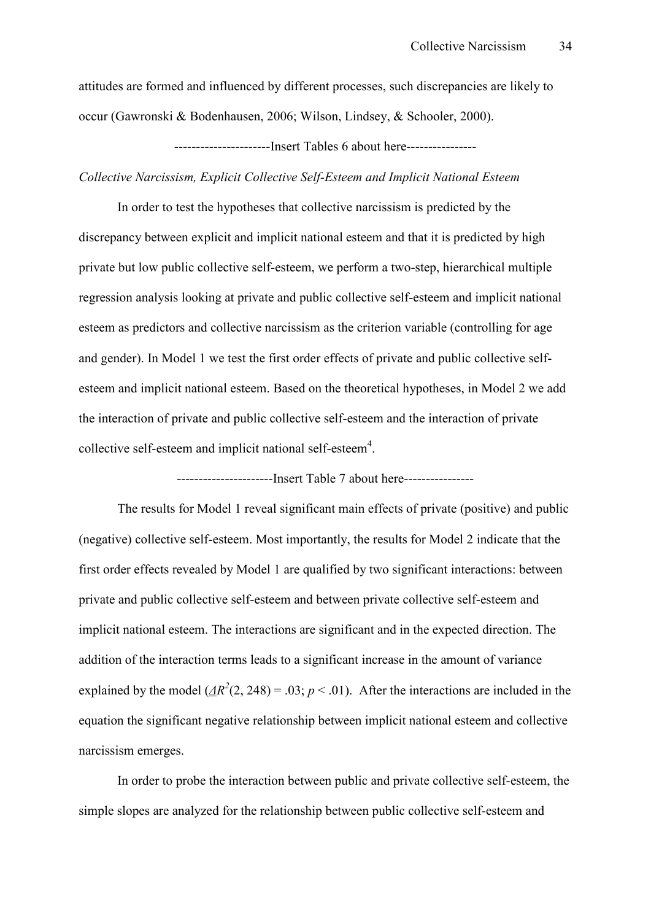attitudes are formed and influenced by different processes, such discrepancies are likely to occur (Gawronski & Bodenhausen, 2006; Wilson, Lindsey, & Schooler, 2000).

HHHHHHHHHHHHHHHHHHHHHHInsert Tables 6 about hereHHHHHHHHHHHHHHHH

*Collective Narcissism, Explicit Collective Self.Esteem and Implicit National Esteem* 

In order to test the hypotheses that collective narcissism is predicted by the discrepancy between explicit and implicit national esteem and that it is predicted by high private but low public collective self-esteem, we perform a two-step, hierarchical multiple regression analysis looking at private and public collective self-esteem and implicit national esteem as predictors and collective narcissism as the criterion variable (controlling for age and gender). In Model 1 we test the first order effects of private and public collective selfesteem and implicit national esteem. Based on the theoretical hypotheses, in Model 2 we add the interaction of private and public collective self-esteem and the interaction of private collective self-esteem and implicit national self-esteem<sup>4</sup>.

-----------------Insert Table 7 about here-----------------

The results for Model 1 reveal significant main effects of private (positive) and public (negative) collective self-esteem. Most importantly, the results for Model 2 indicate that the first order effects revealed by Model 1 are qualified by two significant interactions: between private and public collective self-esteem and between private collective self-esteem and implicit national esteem. The interactions are significant and in the expected direction. The addition of the interaction terms leads to a significant increase in the amount of variance explained by the model  $(\underline{AR}^2(2, 248) = .03; p < .01)$ . After the interactions are included in the equation the significant negative relationship between implicit national esteem and collective narcissism emerges.

In order to probe the interaction between public and private collective self-esteem, the simple slopes are analyzed for the relationship between public collective self-esteem and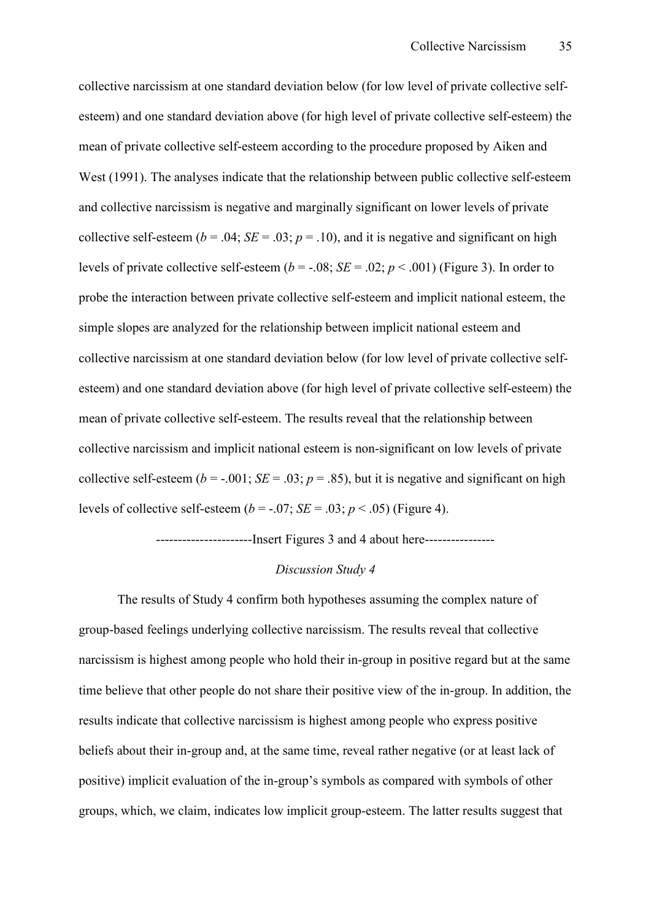collective narcissism at one standard deviation below (for low level of private collective selfesteem) and one standard deviation above (for high level of private collective self-esteem) the mean of private collective self-esteem according to the procedure proposed by Aiken and West (1991). The analyses indicate that the relationship between public collective self-esteem and collective narcissism is negative and marginally significant on lower levels of private collective self-esteem ( $b = .04$ ; *SE* = .03;  $p = .10$ ), and it is negative and significant on high levels of private collective self-esteem ( $b = -0.08$ ;  $SE = 0.02$ ;  $p < 0.001$ ) (Figure 3). In order to probe the interaction between private collective self-esteem and implicit national esteem, the simple slopes are analyzed for the relationship between implicit national esteem and collective narcissism at one standard deviation below (for low level of private collective selfesteem) and one standard deviation above (for high level of private collective self-esteem) the mean of private collective self-esteem. The results reveal that the relationship between collective narcissism and implicit national esteem is non-significant on low levels of private collective self-esteem ( $b = -0.001$ ; *SE* = .03;  $p = .85$ ), but it is negative and significant on high levels of collective self-esteem ( $b = -0.07$ ; *SE* = .03; *p* < .05) (Figure 4).

------------------------Insert Figures 3 and 4 about here-----------------

#### *Discussion Study 4*

The results of Study 4 confirm both hypotheses assuming the complex nature of group-based feelings underlying collective narcissism. The results reveal that collective narcissism is highest among people who hold their in-group in positive regard but at the same time believe that other people do not share their positive view of the in-group. In addition, the results indicate that collective narcissism is highest among people who express positive beliefs about their in-group and, at the same time, reveal rather negative (or at least lack of positive) implicit evaluation of the in-group's symbols as compared with symbols of other groups, which, we claim, indicates low implicit group-esteem. The latter results suggest that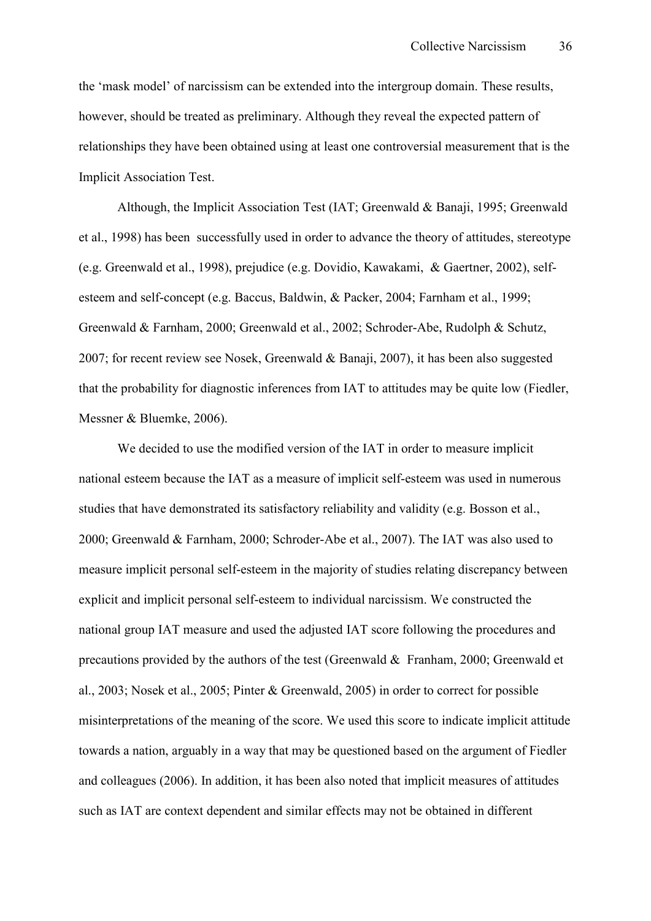the 'mask model' of narcissism can be extended into the intergroup domain. These results, however, should be treated as preliminary. Although they reveal the expected pattern of relationships they have been obtained using at least one controversial measurement that is the Implicit Association Test.

Although, the Implicit Association Test (IAT; Greenwald & Banaji, 1995; Greenwald et al., 1998) has been successfully used in order to advance the theory of attitudes, stereotype (e.g. Greenwald et al., 1998), prejudice (e.g. Dovidio, Kawakami, & Gaertner, 2002), selfesteem and self-concept (e.g. Baccus, Baldwin, & Packer, 2004; Farnham et al., 1999; Greenwald & Farnham, 2000; Greenwald et al., 2002; Schroder-Abe, Rudolph & Schutz, 2007; for recent review see Nosek, Greenwald & Banaji, 2007), it has been also suggested that the probability for diagnostic inferences from IAT to attitudes may be quite low (Fiedler, Messner & Bluemke, 2006).

We decided to use the modified version of the IAT in order to measure implicit national esteem because the IAT as a measure of implicit self-esteem was used in numerous studies that have demonstrated its satisfactory reliability and validity (e.g. Bosson et al., 2000; Greenwald & Farnham, 2000; Schroder-Abe et al., 2007). The IAT was also used to measure implicit personal self-esteem in the majority of studies relating discrepancy between explicit and implicit personal self-esteem to individual narcissism. We constructed the national group IAT measure and used the adjusted IAT score following the procedures and precautions provided by the authors of the test (Greenwald  $\&$  Franham, 2000; Greenwald et al., 2003; Nosek et al., 2005; Pinter & Greenwald, 2005) in order to correct for possible misinterpretations of the meaning of the score. We used this score to indicate implicit attitude towards a nation, arguably in a way that may be questioned based on the argument of Fiedler and colleagues (2006). In addition, it has been also noted that implicit measures of attitudes such as IAT are context dependent and similar effects may not be obtained in different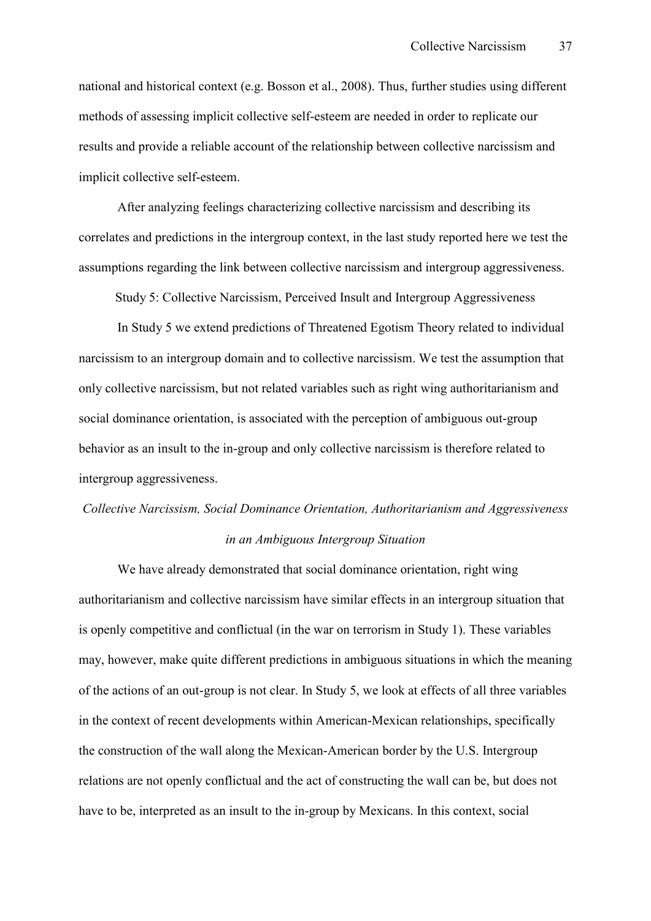national and historical context (e.g. Bosson et al., 2008). Thus, further studies using different methods of assessing implicit collective self-esteem are needed in order to replicate our results and provide a reliable account of the relationship between collective narcissism and implicit collective self-esteem.

After analyzing feelings characterizing collective narcissism and describing its correlates and predictions in the intergroup context, in the last study reported here we test the assumptions regarding the link between collective narcissism and intergroup aggressiveness.

Study 5: Collective Narcissism, Perceived Insult and Intergroup Aggressiveness

In Study 5 we extend predictions of Threatened Egotism Theory related to individual narcissism to an intergroup domain and to collective narcissism. We test the assumption that only collective narcissism, but not related variables such as right wing authoritarianism and social dominance orientation, is associated with the perception of ambiguous out-group behavior as an insult to the in-group and only collective narcissism is therefore related to intergroup aggressiveness.

# *Collective Narcissism, Social Dominance Orientation, Authoritarianism and Aggressiveness in an Ambiguous Intergroup Situation*

We have already demonstrated that social dominance orientation, right wing authoritarianism and collective narcissism have similar effects in an intergroup situation that is openly competitive and conflictual (in the war on terrorism in Study 1). These variables may, however, make quite different predictions in ambiguous situations in which the meaning of the actions of an out-group is not clear. In Study 5, we look at effects of all three variables in the context of recent developments within American-Mexican relationships, specifically the construction of the wall along the Mexican-American border by the U.S. Intergroup relations are not openly conflictual and the act of constructing the wall can be, but does not have to be, interpreted as an insult to the in-group by Mexicans. In this context, social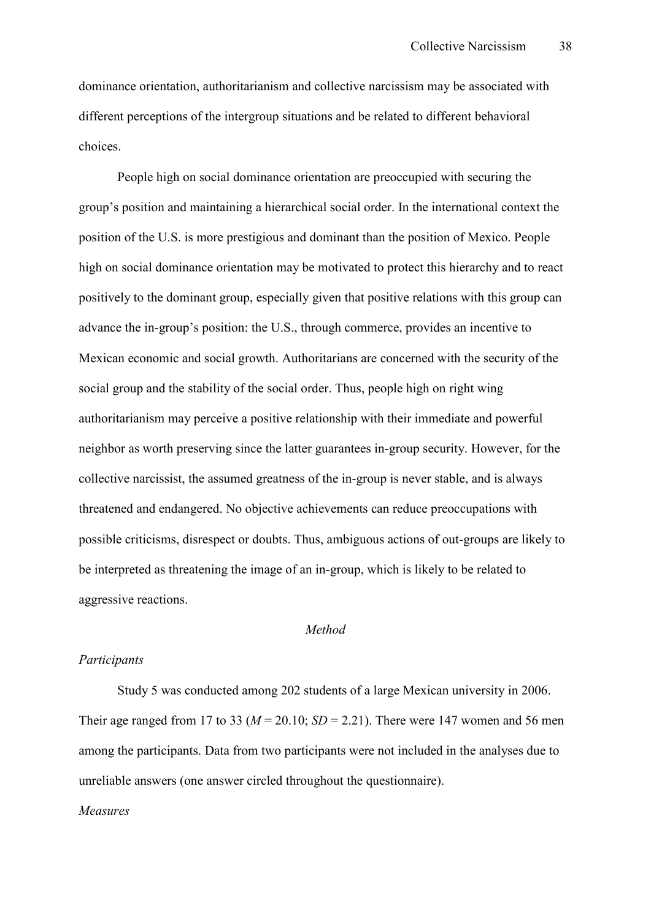dominance orientation, authoritarianism and collective narcissism may be associated with different perceptions of the intergroup situations and be related to different behavioral choices.

People high on social dominance orientation are preoccupied with securing the group's position and maintaining a hierarchical social order. In the international context the position of the U.S. is more prestigious and dominant than the position of Mexico. People high on social dominance orientation may be motivated to protect this hierarchy and to react positively to the dominant group, especially given that positive relations with this group can advance the in-group's position: the U.S., through commerce, provides an incentive to Mexican economic and social growth. Authoritarians are concerned with the security of the social group and the stability of the social order. Thus, people high on right wing authoritarianism may perceive a positive relationship with their immediate and powerful neighbor as worth preserving since the latter guarantees in-group security. However, for the collective narcissist, the assumed greatness of the in-group is never stable, and is always threatened and endangered. No objective achievements can reduce preoccupations with possible criticisms, disrespect or doubts. Thus, ambiguous actions of out-groups are likely to be interpreted as threatening the image of an in-group, which is likely to be related to aggressive reactions.

#### *Method*

#### *Participants*

 Study 5 was conducted among 202 students of a large Mexican university in 2006. Their age ranged from 17 to 33 ( $M = 20.10$ ;  $SD = 2.21$ ). There were 147 women and 56 men among the participants. Data from two participants were not included in the analyses due to unreliable answers (one answer circled throughout the questionnaire).

## *Measures*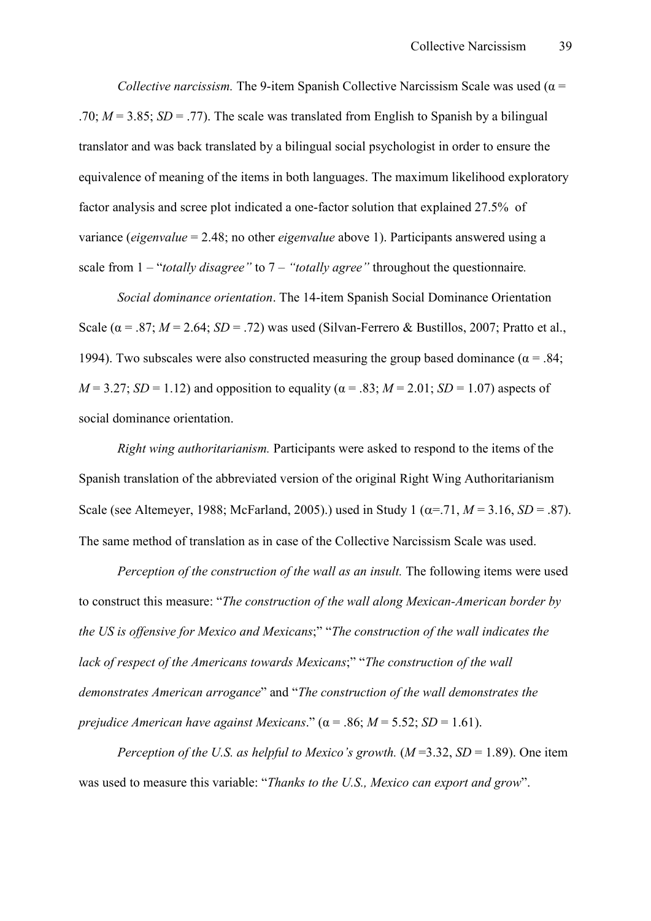*Collective narcissism.* The 9-item Spanish Collective Narcissism Scale was used ( $\alpha$  = .70;  $M = 3.85$ ;  $SD = .77$ ). The scale was translated from English to Spanish by a bilingual translator and was back translated by a bilingual social psychologist in order to ensure the equivalence of meaning of the items in both languages. The maximum likelihood exploratory factor analysis and scree plot indicated a one-factor solution that explained 27.5% of variance (*eigenvalue* = 2.48; no other *eigenvalue* above 1). Participants answered using a scale from 1 – "*totally disagree"* to 7 – *"totally agree"* throughout the questionnaire*.*

*Social dominance orientation*. The 14-item Spanish Social Dominance Orientation Scale ( $\alpha$  = .87; *M* = 2.64; *SD* = .72) was used (Silvan-Ferrero & Bustillos, 2007; Pratto et al., 1994). Two subscales were also constructed measuring the group based dominance ( $\alpha$  = .84;  $M = 3.27$ ; *SD* = 1.12) and opposition to equality ( $\alpha = .83$ ;  $M = 2.01$ ; *SD* = 1.07) aspects of social dominance orientation.

*Right wing authoritarianism.* Participants were asked to respond to the items of the Spanish translation of the abbreviated version of the original Right Wing Authoritarianism Scale (see Altemeyer, 1988; McFarland, 2005).) used in Study 1 ( $\alpha$ =.71,  $M$  = 3.16, *SD* = .87). The same method of translation as in case of the Collective Narcissism Scale was used.

*Perception of the construction of the wall as an insult.* The following items were used to construct this measure: "*The construction of the wall along Mexican.American border by the US is offensive for Mexico and Mexicans*;" "*The construction of the wall indicates the lack of respect of the Americans towards Mexicans*;" "*The construction of the wall demonstrates American arrogance*" and "*The construction of the wall demonstrates the prejudice American have against Mexicans.*" ( $\alpha$  = .86;  $M$  = 5.52; *SD* = 1.61).

*Perception of the U.S. as helpful to Mexico's growth.*  $(M=3.32, SD=1.89)$ . One item was used to measure this variable: "*Thanks to the U.S., Mexico can export and grow*".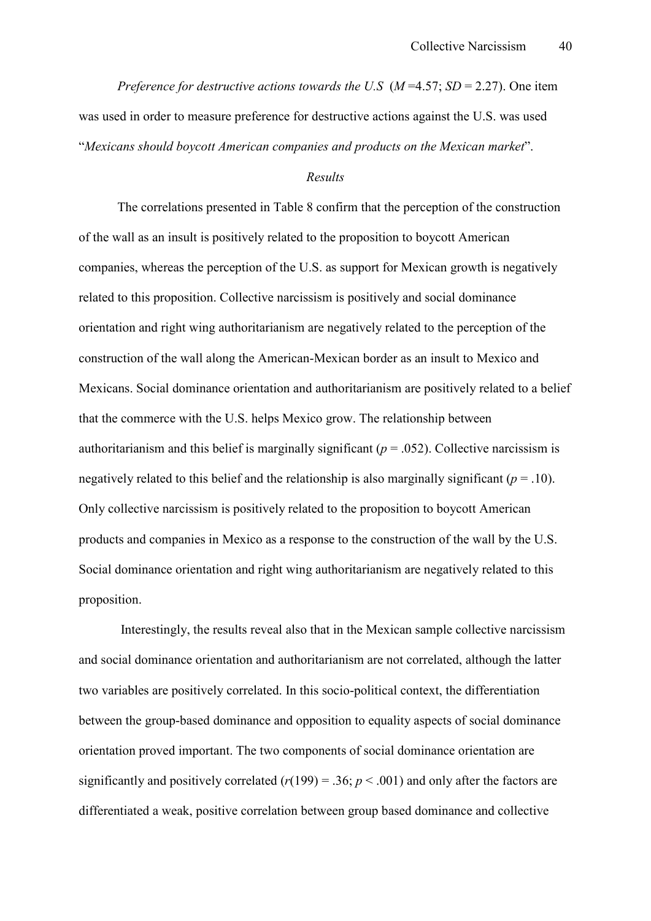*Preference for destructive actions towards the U.S*  $(M=4.57; SD = 2.27)$ *. One item* was used in order to measure preference for destructive actions against the U.S. was used "*Mexicans should boycott American companies and products on the Mexican market*".

## *Results*

The correlations presented in Table 8 confirm that the perception of the construction of the wall as an insult is positively related to the proposition to boycott American companies, whereas the perception of the U.S. as support for Mexican growth is negatively related to this proposition. Collective narcissism is positively and social dominance orientation and right wing authoritarianism are negatively related to the perception of the construction of the wall along the American-Mexican border as an insult to Mexico and Mexicans. Social dominance orientation and authoritarianism are positively related to a belief that the commerce with the U.S. helps Mexico grow. The relationship between authoritarianism and this belief is marginally significant ( $p = .052$ ). Collective narcissism is negatively related to this belief and the relationship is also marginally significant  $(p = .10)$ . Only collective narcissism is positively related to the proposition to boycott American products and companies in Mexico as a response to the construction of the wall by the U.S. Social dominance orientation and right wing authoritarianism are negatively related to this proposition.

 Interestingly, the results reveal also that in the Mexican sample collective narcissism and social dominance orientation and authoritarianism are not correlated, although the latter two variables are positively correlated. In this socio-political context, the differentiation between the group-based dominance and opposition to equality aspects of social dominance orientation proved important. The two components of social dominance orientation are significantly and positively correlated  $(r(199) = .36; p < .001)$  and only after the factors are differentiated a weak, positive correlation between group based dominance and collective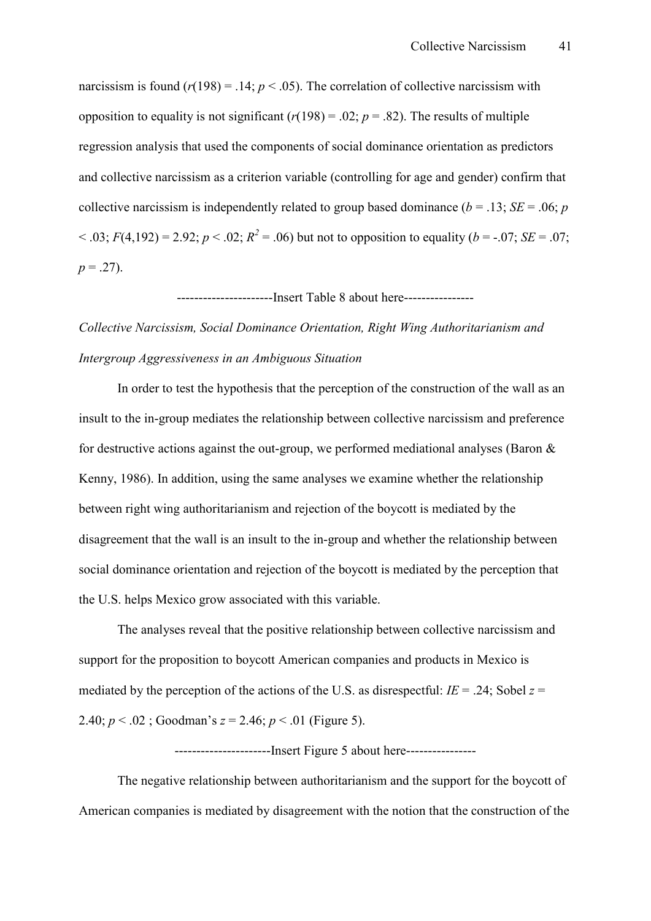narcissism is found  $(r(198) = .14; p < .05)$ . The correlation of collective narcissism with opposition to equality is not significant  $(r(198) = .02; p = .82)$ . The results of multiple regression analysis that used the components of social dominance orientation as predictors and collective narcissism as a criterion variable (controlling for age and gender) confirm that collective narcissism is independently related to group based dominance ( $b = .13$ ; *SE* = .06; *p*  $(6.03; F(4,192) = 2.92; p < .02; R<sup>2</sup> = .06)$  but not to opposition to equality (*b* = -.07; *SE* = .07;  $p = .27$ ).

-------------------------Insert Table 8 about here-----------------

# *Collective Narcissism, Social Dominance Orientation, Right Wing Authoritarianism and Intergroup Aggressiveness in an Ambiguous Situation*

In order to test the hypothesis that the perception of the construction of the wall as an insult to the in-group mediates the relationship between collective narcissism and preference for destructive actions against the out-group, we performed mediational analyses (Baron  $\&$ Kenny, 1986). In addition, using the same analyses we examine whether the relationship between right wing authoritarianism and rejection of the boycott is mediated by the disagreement that the wall is an insult to the in-group and whether the relationship between social dominance orientation and rejection of the boycott is mediated by the perception that the U.S. helps Mexico grow associated with this variable.

The analyses reveal that the positive relationship between collective narcissism and support for the proposition to boycott American companies and products in Mexico is mediated by the perception of the actions of the U.S. as disrespectful:  $IE = .24$ ; Sobel  $z =$ 2.40; *p* < .02 ; Goodman's *z* = 2.46; *p* < .01 (Figure 5).

HHHHHHHHHHHHHHHHHHHHHHInsert Figure 5 about hereHHHHHHHHHHHHHHHH

The negative relationship between authoritarianism and the support for the boycott of American companies is mediated by disagreement with the notion that the construction of the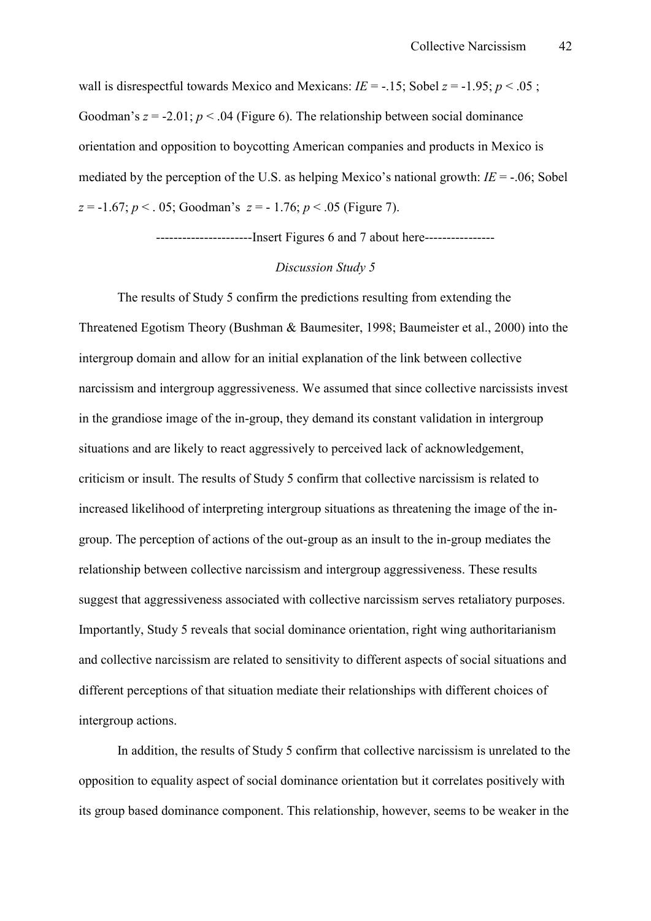wall is disrespectful towards Mexico and Mexicans:  $IE = -15$ ; Sobel  $z = -1.95$ ;  $p < .05$ ; Goodman's  $z = -2.01$ ;  $p < .04$  (Figure 6). The relationship between social dominance orientation and opposition to boycotting American companies and products in Mexico is mediated by the perception of the U.S. as helping Mexico's national growth:  $IE = -0.06$ ; Sobel  $z = -1.67$ ;  $p < 0.05$ ; Goodman's  $z = -1.76$ ;  $p < 0.05$  (Figure 7).

-----------------------Insert Figures 6 and 7 about here-----------------

#### *Discussion Study 5*

The results of Study 5 confirm the predictions resulting from extending the Threatened Egotism Theory (Bushman & Baumesiter, 1998; Baumeister et al., 2000) into the intergroup domain and allow for an initial explanation of the link between collective narcissism and intergroup aggressiveness. We assumed that since collective narcissists invest in the grandiose image of the in-group, they demand its constant validation in intergroup situations and are likely to react aggressively to perceived lack of acknowledgement, criticism or insult. The results of Study 5 confirm that collective narcissism is related to increased likelihood of interpreting intergroup situations as threatening the image of the ingroup. The perception of actions of the out-group as an insult to the in-group mediates the relationship between collective narcissism and intergroup aggressiveness. These results suggest that aggressiveness associated with collective narcissism serves retaliatory purposes. Importantly, Study 5 reveals that social dominance orientation, right wing authoritarianism and collective narcissism are related to sensitivity to different aspects of social situations and different perceptions of that situation mediate their relationships with different choices of intergroup actions.

In addition, the results of Study 5 confirm that collective narcissism is unrelated to the opposition to equality aspect of social dominance orientation but it correlates positively with its group based dominance component. This relationship, however, seems to be weaker in the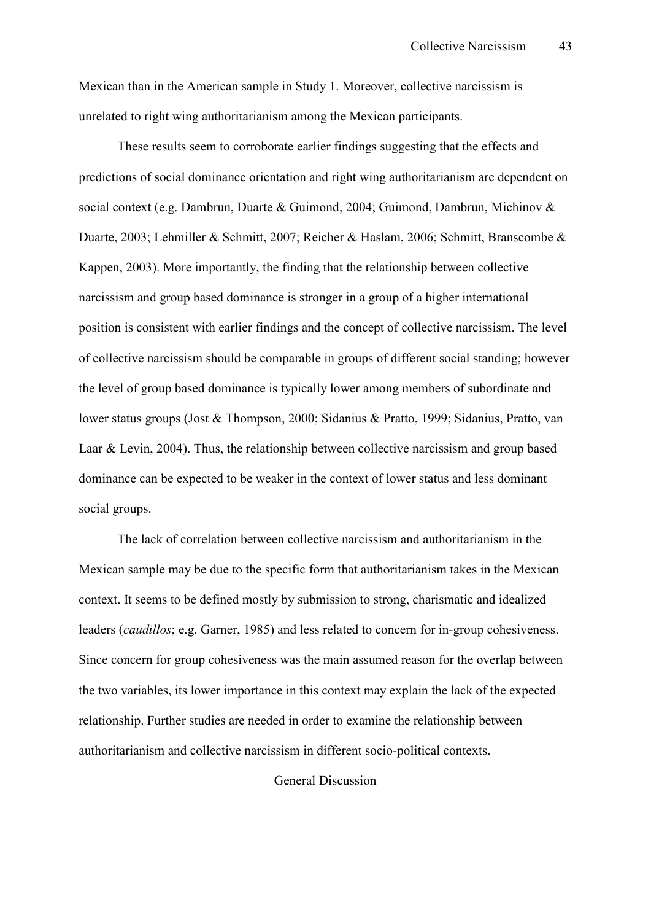Mexican than in the American sample in Study 1. Moreover, collective narcissism is unrelated to right wing authoritarianism among the Mexican participants.

These results seem to corroborate earlier findings suggesting that the effects and predictions of social dominance orientation and right wing authoritarianism are dependent on social context (e.g. Dambrun, Duarte & Guimond, 2004; Guimond, Dambrun, Michinov & Duarte, 2003; Lehmiller & Schmitt, 2007; Reicher & Haslam, 2006; Schmitt, Branscombe & Kappen, 2003). More importantly, the finding that the relationship between collective narcissism and group based dominance is stronger in a group of a higher international position is consistent with earlier findings and the concept of collective narcissism. The level of collective narcissism should be comparable in groups of different social standing; however the level of group based dominance is typically lower among members of subordinate and lower status groups (Jost & Thompson, 2000; Sidanius & Pratto, 1999; Sidanius, Pratto, van Laar & Levin, 2004). Thus, the relationship between collective narcissism and group based dominance can be expected to be weaker in the context of lower status and less dominant social groups.

The lack of correlation between collective narcissism and authoritarianism in the Mexican sample may be due to the specific form that authoritarianism takes in the Mexican context. It seems to be defined mostly by submission to strong, charismatic and idealized leaders (*caudillos*; e.g. Garner, 1985) and less related to concern for in-group cohesiveness. Since concern for group cohesiveness was the main assumed reason for the overlap between the two variables, its lower importance in this context may explain the lack of the expected relationship. Further studies are needed in order to examine the relationship between authoritarianism and collective narcissism in different socio-political contexts.

General Discussion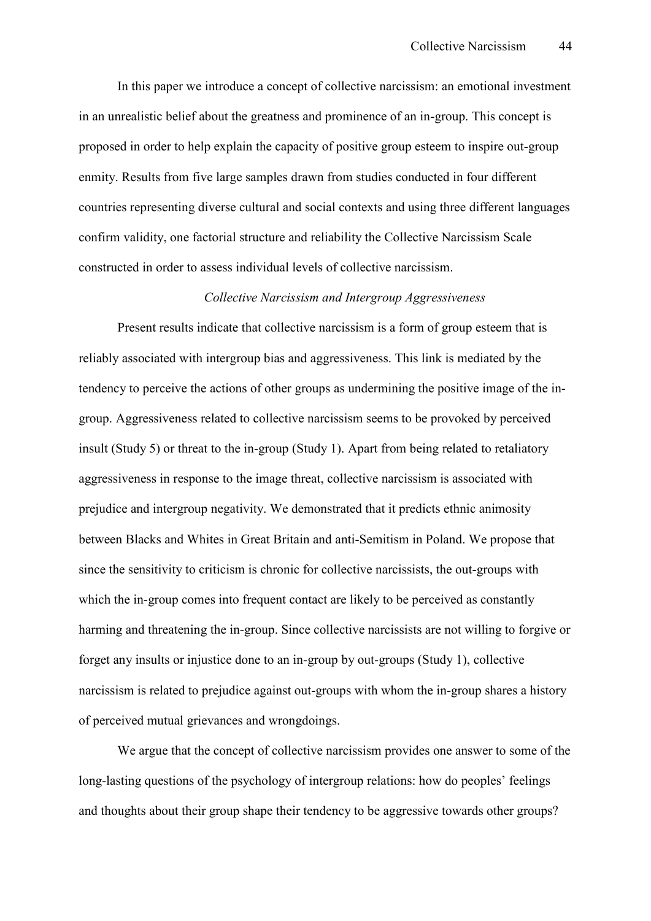In this paper we introduce a concept of collective narcissism: an emotional investment in an unrealistic belief about the greatness and prominence of an in-group. This concept is proposed in order to help explain the capacity of positive group esteem to inspire out-group enmity. Results from five large samples drawn from studies conducted in four different countries representing diverse cultural and social contexts and using three different languages confirm validity, one factorial structure and reliability the Collective Narcissism Scale constructed in order to assess individual levels of collective narcissism.

#### *Collective Narcissism and Intergroup Aggressiveness*

Present results indicate that collective narcissism is a form of group esteem that is reliably associated with intergroup bias and aggressiveness. This link is mediated by the tendency to perceive the actions of other groups as undermining the positive image of the ingroup. Aggressiveness related to collective narcissism seems to be provoked by perceived insult (Study 5) or threat to the in-group (Study 1). Apart from being related to retaliatory aggressiveness in response to the image threat, collective narcissism is associated with prejudice and intergroup negativity. We demonstrated that it predicts ethnic animosity between Blacks and Whites in Great Britain and anti-Semitism in Poland. We propose that since the sensitivity to criticism is chronic for collective narcissists, the out-groups with which the in-group comes into frequent contact are likely to be perceived as constantly harming and threatening the in-group. Since collective narcissists are not willing to forgive or forget any insults or injustice done to an in-group by out-groups (Study 1), collective narcissism is related to prejudice against out-groups with whom the in-group shares a history of perceived mutual grievances and wrongdoings.

We argue that the concept of collective narcissism provides one answer to some of the long-lasting questions of the psychology of intergroup relations: how do peoples' feelings and thoughts about their group shape their tendency to be aggressive towards other groups?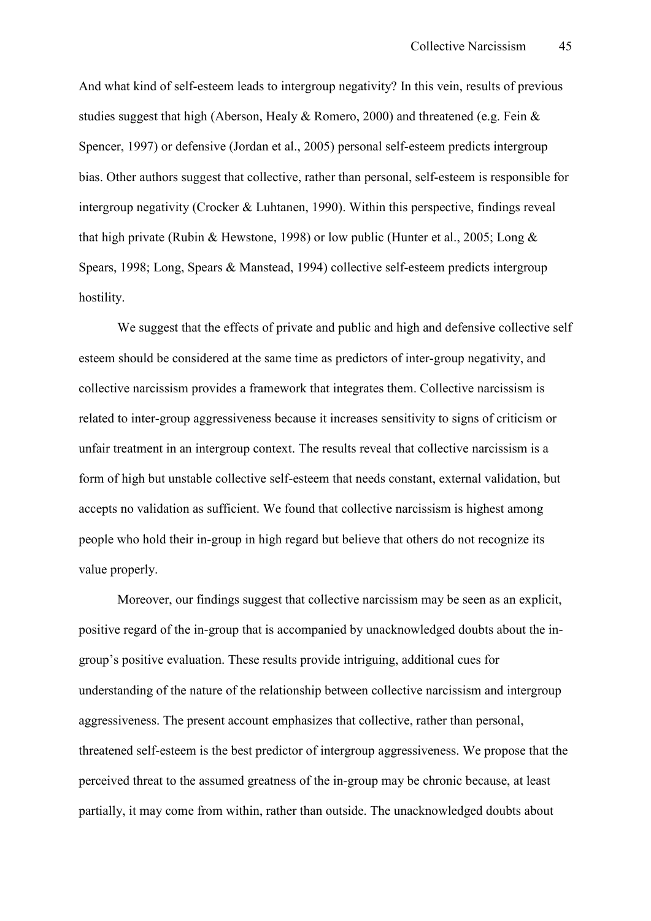And what kind of self-esteem leads to intergroup negativity? In this vein, results of previous studies suggest that high (Aberson, Healy & Romero, 2000) and threatened (e.g. Fein & Spencer, 1997) or defensive (Jordan et al., 2005) personal self-esteem predicts intergroup bias. Other authors suggest that collective, rather than personal, self-esteem is responsible for intergroup negativity (Crocker & Luhtanen, 1990). Within this perspective, findings reveal that high private (Rubin & Hewstone, 1998) or low public (Hunter et al., 2005; Long & Spears, 1998; Long, Spears  $&$  Manstead, 1994) collective self-esteem predicts intergroup hostility.

We suggest that the effects of private and public and high and defensive collective self esteem should be considered at the same time as predictors of inter-group negativity, and collective narcissism provides a framework that integrates them. Collective narcissism is related to inter-group aggressiveness because it increases sensitivity to signs of criticism or unfair treatment in an intergroup context. The results reveal that collective narcissism is a form of high but unstable collective self-esteem that needs constant, external validation, but accepts no validation as sufficient. We found that collective narcissism is highest among people who hold their in-group in high regard but believe that others do not recognize its value properly.

Moreover, our findings suggest that collective narcissism may be seen as an explicit, positive regard of the in-group that is accompanied by unacknowledged doubts about the ingroup's positive evaluation. These results provide intriguing, additional cues for understanding of the nature of the relationship between collective narcissism and intergroup aggressiveness. The present account emphasizes that collective, rather than personal, threatened self-esteem is the best predictor of intergroup aggressiveness. We propose that the perceived threat to the assumed greatness of the in-group may be chronic because, at least partially, it may come from within, rather than outside. The unacknowledged doubts about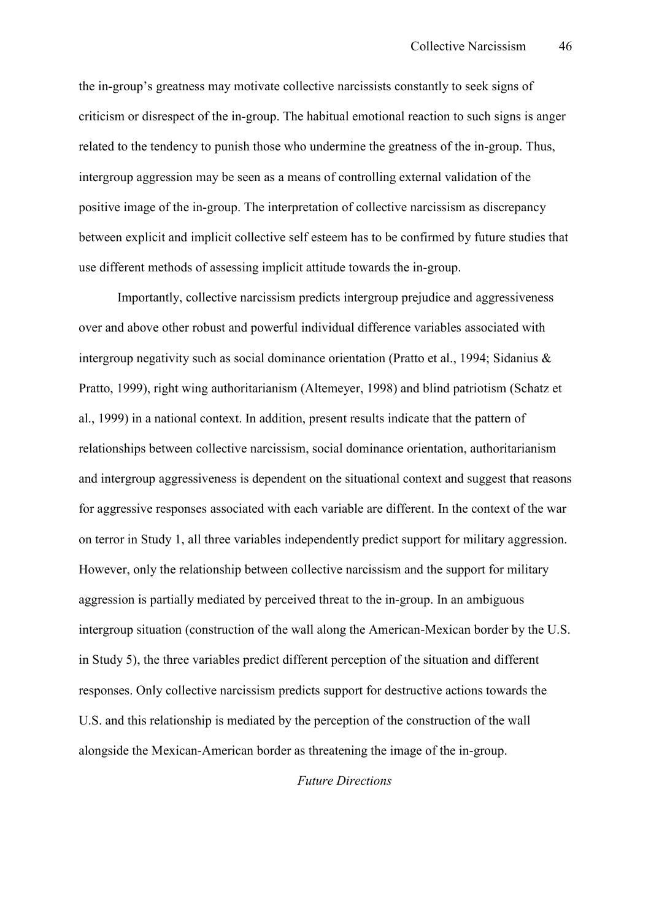the in-group's greatness may motivate collective narcissists constantly to seek signs of criticism or disrespect of the in-group. The habitual emotional reaction to such signs is anger related to the tendency to punish those who undermine the greatness of the in-group. Thus, intergroup aggression may be seen as a means of controlling external validation of the positive image of the in-group. The interpretation of collective narcissism as discrepancy between explicit and implicit collective self esteem has to be confirmed by future studies that use different methods of assessing implicit attitude towards the in-group.

Importantly, collective narcissism predicts intergroup prejudice and aggressiveness over and above other robust and powerful individual difference variables associated with intergroup negativity such as social dominance orientation (Pratto et al., 1994; Sidanius & Pratto, 1999), right wing authoritarianism (Altemeyer, 1998) and blind patriotism (Schatz et al., 1999) in a national context. In addition, present results indicate that the pattern of relationships between collective narcissism, social dominance orientation, authoritarianism and intergroup aggressiveness is dependent on the situational context and suggest that reasons for aggressive responses associated with each variable are different. In the context of the war on terror in Study 1, all three variables independently predict support for military aggression. However, only the relationship between collective narcissism and the support for military aggression is partially mediated by perceived threat to the in-group. In an ambiguous intergroup situation (construction of the wall along the American-Mexican border by the U.S. in Study 5), the three variables predict different perception of the situation and different responses. Only collective narcissism predicts support for destructive actions towards the U.S. and this relationship is mediated by the perception of the construction of the wall alongside the Mexican-American border as threatening the image of the in-group.

### *Future Directions*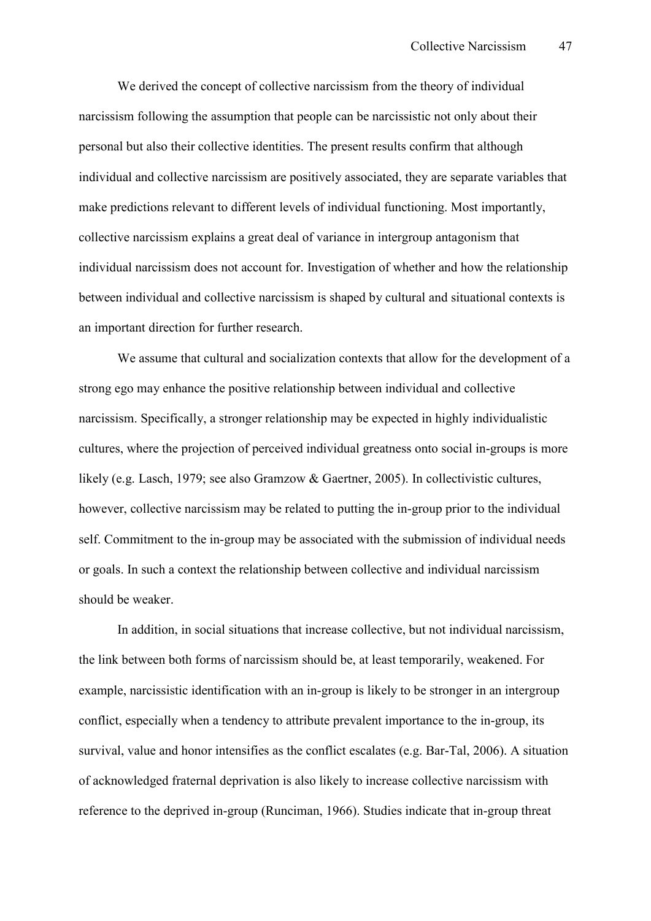We derived the concept of collective narcissism from the theory of individual narcissism following the assumption that people can be narcissistic not only about their personal but also their collective identities. The present results confirm that although individual and collective narcissism are positively associated, they are separate variables that make predictions relevant to different levels of individual functioning. Most importantly, collective narcissism explains a great deal of variance in intergroup antagonism that individual narcissism does not account for. Investigation of whether and how the relationship between individual and collective narcissism is shaped by cultural and situational contexts is an important direction for further research.

We assume that cultural and socialization contexts that allow for the development of a strong ego may enhance the positive relationship between individual and collective narcissism. Specifically, a stronger relationship may be expected in highly individualistic cultures, where the projection of perceived individual greatness onto social in-groups is more likely (e.g. Lasch, 1979; see also Gramzow & Gaertner, 2005). In collectivistic cultures, however, collective narcissism may be related to putting the in-group prior to the individual self. Commitment to the in-group may be associated with the submission of individual needs or goals. In such a context the relationship between collective and individual narcissism should be weaker.

In addition, in social situations that increase collective, but not individual narcissism, the link between both forms of narcissism should be, at least temporarily, weakened. For example, narcissistic identification with an in-group is likely to be stronger in an intergroup conflict, especially when a tendency to attribute prevalent importance to the in-group, its survival, value and honor intensifies as the conflict escalates (e.g. Bar-Tal, 2006). A situation of acknowledged fraternal deprivation is also likely to increase collective narcissism with reference to the deprived in-group (Runciman, 1966). Studies indicate that in-group threat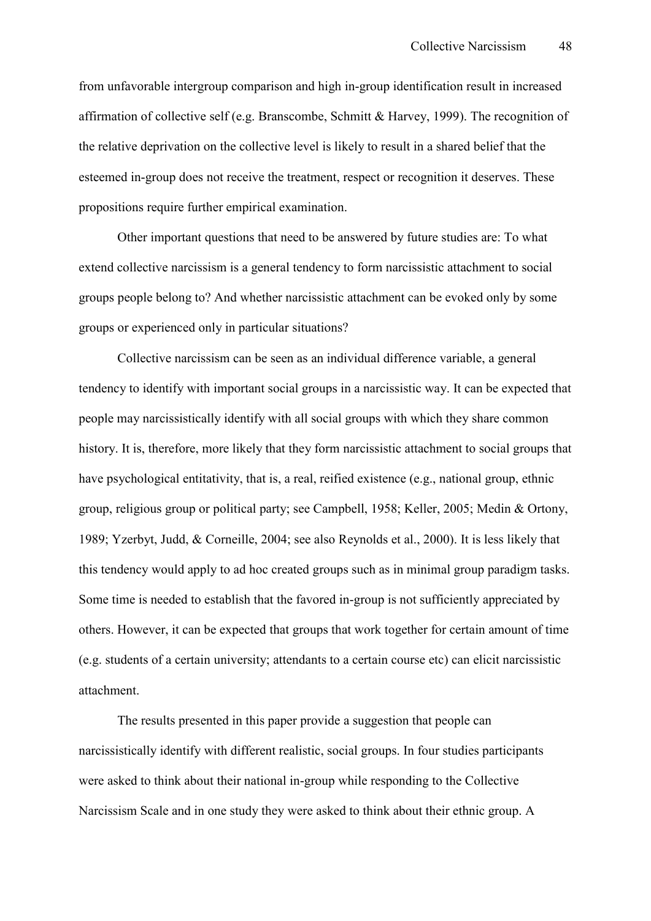from unfavorable intergroup comparison and high in-group identification result in increased affirmation of collective self (e.g. Branscombe, Schmitt & Harvey, 1999). The recognition of the relative deprivation on the collective level is likely to result in a shared belief that the esteemed in-group does not receive the treatment, respect or recognition it deserves. These propositions require further empirical examination.

Other important questions that need to be answered by future studies are: To what extend collective narcissism is a general tendency to form narcissistic attachment to social groups people belong to? And whether narcissistic attachment can be evoked only by some groups or experienced only in particular situations?

Collective narcissism can be seen as an individual difference variable, a general tendency to identify with important social groups in a narcissistic way. It can be expected that people may narcissistically identify with all social groups with which they share common history. It is, therefore, more likely that they form narcissistic attachment to social groups that have psychological entitativity, that is, a real, reified existence (e.g., national group, ethnic group, religious group or political party; see Campbell, 1958; Keller, 2005; Medin & Ortony, 1989; Yzerbyt, Judd, & Corneille, 2004; see also Reynolds et al., 2000). It is less likely that this tendency would apply to ad hoc created groups such as in minimal group paradigm tasks. Some time is needed to establish that the favored in-group is not sufficiently appreciated by others. However, it can be expected that groups that work together for certain amount of time (e.g. students of a certain university; attendants to a certain course etc) can elicit narcissistic attachment.

The results presented in this paper provide a suggestion that people can narcissistically identify with different realistic, social groups. In four studies participants were asked to think about their national in-group while responding to the Collective Narcissism Scale and in one study they were asked to think about their ethnic group. A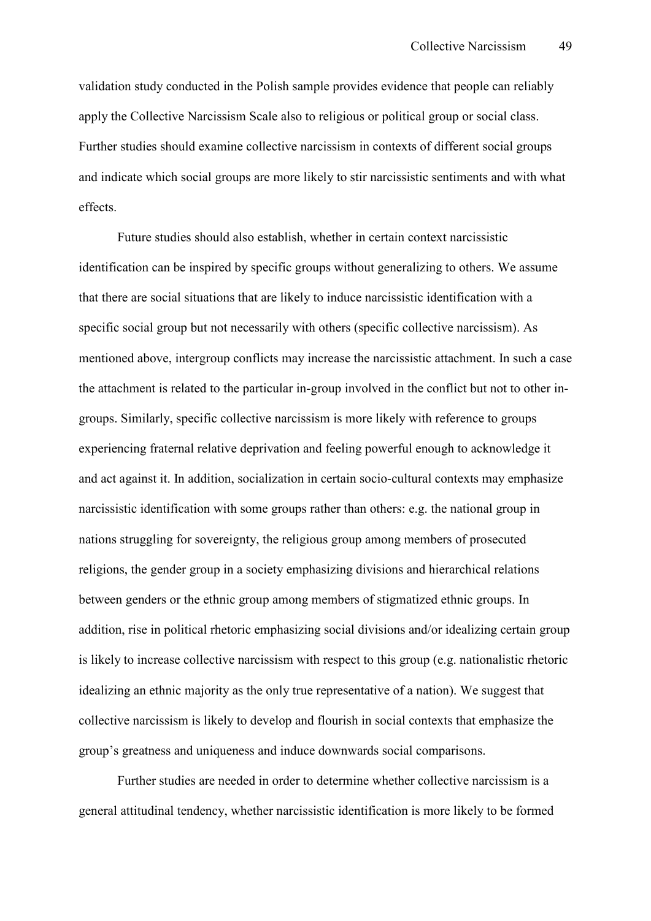validation study conducted in the Polish sample provides evidence that people can reliably apply the Collective Narcissism Scale also to religious or political group or social class. Further studies should examine collective narcissism in contexts of different social groups and indicate which social groups are more likely to stir narcissistic sentiments and with what effects.

Future studies should also establish, whether in certain context narcissistic identification can be inspired by specific groups without generalizing to others. We assume that there are social situations that are likely to induce narcissistic identification with a specific social group but not necessarily with others (specific collective narcissism). As mentioned above, intergroup conflicts may increase the narcissistic attachment. In such a case the attachment is related to the particular in-group involved in the conflict but not to other ingroups. Similarly, specific collective narcissism is more likely with reference to groups experiencing fraternal relative deprivation and feeling powerful enough to acknowledge it and act against it. In addition, socialization in certain socio-cultural contexts may emphasize narcissistic identification with some groups rather than others: e.g. the national group in nations struggling for sovereignty, the religious group among members of prosecuted religions, the gender group in a society emphasizing divisions and hierarchical relations between genders or the ethnic group among members of stigmatized ethnic groups. In addition, rise in political rhetoric emphasizing social divisions and/or idealizing certain group is likely to increase collective narcissism with respect to this group (e.g. nationalistic rhetoric idealizing an ethnic majority as the only true representative of a nation). We suggest that collective narcissism is likely to develop and flourish in social contexts that emphasize the group's greatness and uniqueness and induce downwards social comparisons.

Further studies are needed in order to determine whether collective narcissism is a general attitudinal tendency, whether narcissistic identification is more likely to be formed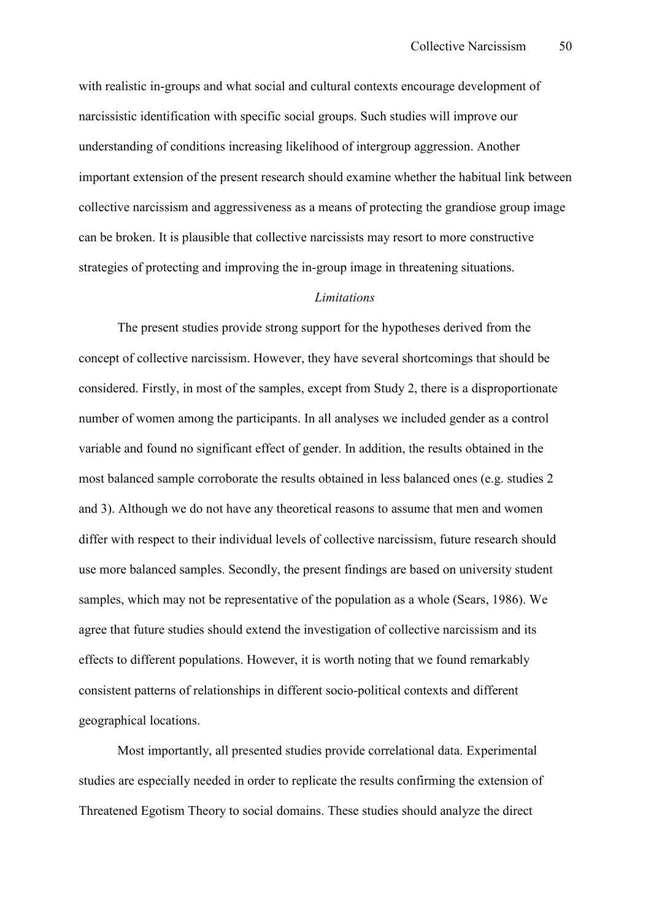with realistic in-groups and what social and cultural contexts encourage development of narcissistic identification with specific social groups. Such studies will improve our understanding of conditions increasing likelihood of intergroup aggression. Another important extension of the present research should examine whether the habitual link between collective narcissism and aggressiveness as a means of protecting the grandiose group image can be broken. It is plausible that collective narcissists may resort to more constructive strategies of protecting and improving the in-group image in threatening situations.

#### *Limitations*

The present studies provide strong support for the hypotheses derived from the concept of collective narcissism. However, they have several shortcomings that should be considered. Firstly, in most of the samples, except from Study 2, there is a disproportionate number of women among the participants. In all analyses we included gender as a control variable and found no significant effect of gender. In addition, the results obtained in the most balanced sample corroborate the results obtained in less balanced ones (e.g. studies 2 and 3). Although we do not have any theoretical reasons to assume that men and women differ with respect to their individual levels of collective narcissism, future research should use more balanced samples. Secondly, the present findings are based on university student samples, which may not be representative of the population as a whole (Sears, 1986). We agree that future studies should extend the investigation of collective narcissism and its effects to different populations. However, it is worth noting that we found remarkably consistent patterns of relationships in different socio-political contexts and different geographical locations.

Most importantly, all presented studies provide correlational data. Experimental studies are especially needed in order to replicate the results confirming the extension of Threatened Egotism Theory to social domains. These studies should analyze the direct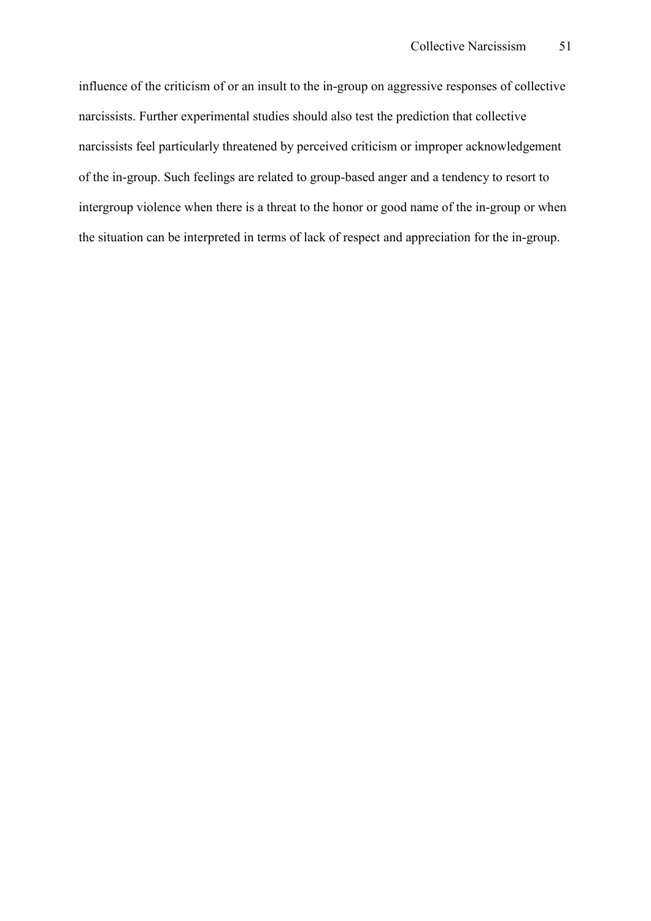influence of the criticism of or an insult to the in-group on aggressive responses of collective narcissists. Further experimental studies should also test the prediction that collective narcissists feel particularly threatened by perceived criticism or improper acknowledgement of the in-group. Such feelings are related to group-based anger and a tendency to resort to intergroup violence when there is a threat to the honor or good name of the in-group or when the situation can be interpreted in terms of lack of respect and appreciation for the in-group.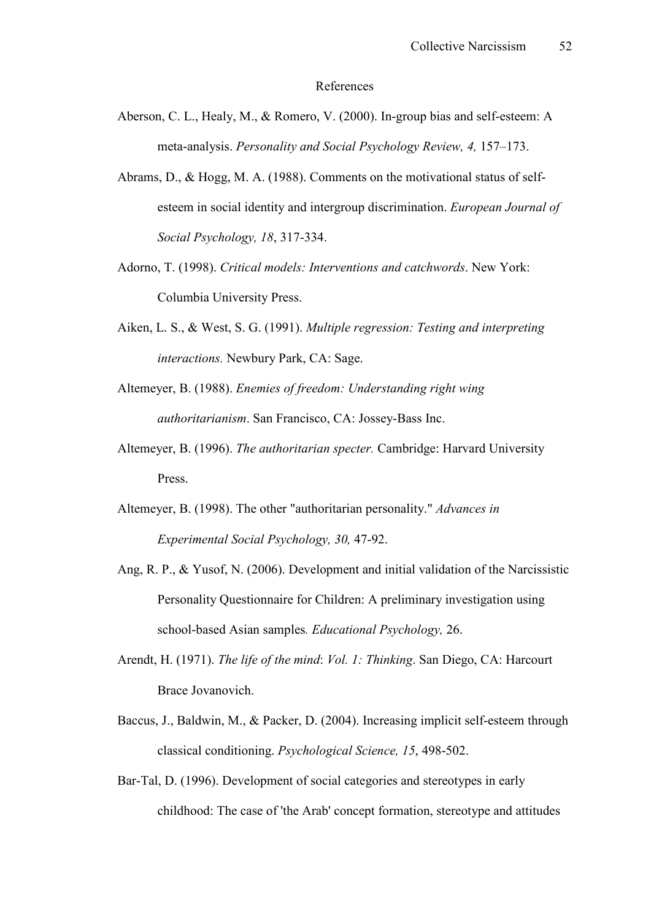#### References

- Aberson, C. L., Healy, M., & Romero, V. (2000). In-group bias and self-esteem: A meta-analysis. *Personality and Social Psychology Review, 4,* 157–173.
- Abrams, D., & Hogg, M. A. (1988). Comments on the motivational status of selfesteem in social identity and intergroup discrimination. *European Journal of Social Psychology, 18, 317-334.*
- Adorno, T. (1998). *Critical models: Interventions and catchwords*. New York: Columbia University Press.
- Aiken, L. S., & West, S. G. (1991). *Multiple regression: Testing and interpreting interactions.* Newbury Park, CA: Sage.
- Altemeyer, B. (1988). *Enemies of freedom: Understanding right wing authoritarianism*. San Francisco, CA: Jossey-Bass Inc.
- Altemeyer, B. (1996). *The authoritarian specter.* Cambridge: Harvard University Press.
- Altemeyer, B. (1998). The other "authoritarian personality." *Advances in Experimental Social Psychology, 30, 47-92.*
- Ang, R. P., & Yusof, N. (2006). Development and initial validation of the Narcissistic Personality Questionnaire for Children: A preliminary investigation using school-based Asian samples. *Educational Psychology*, 26.
- Arendt, H. (1971). *The life of the mind*: *Vol. 1: Thinking*. San Diego, CA: Harcourt Brace Jovanovich.
- Baccus, J., Baldwin, M., & Packer, D. (2004). Increasing implicit self-esteem through classical conditioning. *Psychological Science, 15, 498-502.*
- Bar-Tal, D. (1996). Development of social categories and stereotypes in early childhood: The case of 'the Arab' concept formation, stereotype and attitudes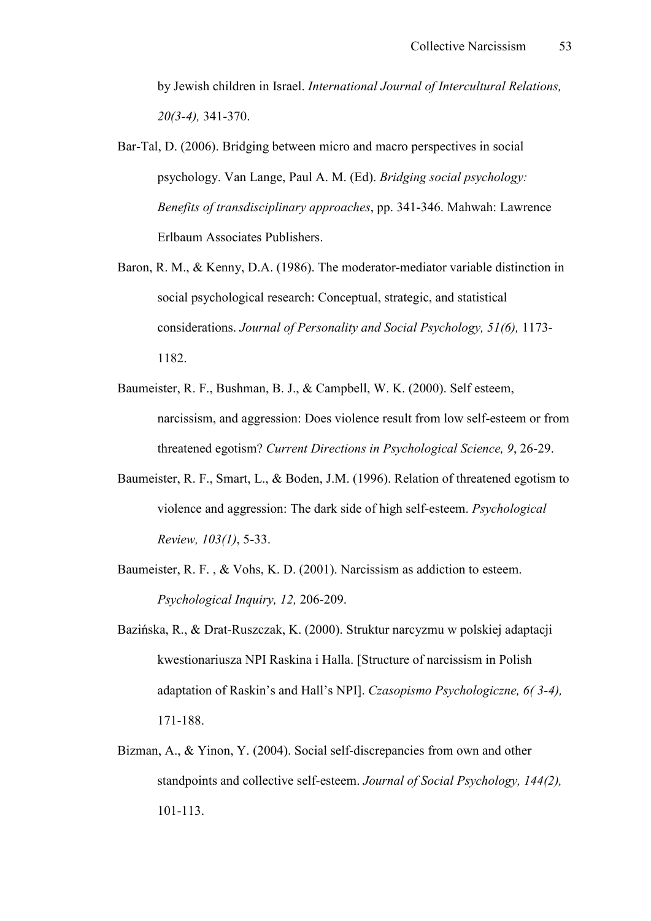by Jewish children in Israel. *International Journal of Intercultural Relations, 20(3-4)*, 341-370.

- Bar-Tal, D. (2006). Bridging between micro and macro perspectives in social psychology. Van Lange, Paul A. M. (Ed). *Bridging social psychology: Benefits of transdisciplinary approaches*, pp. 341-346. Mahwah: Lawrence Erlbaum Associates Publishers.
- Baron, R. M., & Kenny, D.A. (1986). The moderator-mediator variable distinction in social psychological research: Conceptual, strategic, and statistical considerations. *Journal of Personality and Social Psychology, 51(6)*, 1173-1182.
- Baumeister, R. F., Bushman, B. J., & Campbell, W. K. (2000). Self esteem, narcissism, and aggression: Does violence result from low self-esteem or from threatened egotism? *Current Directions in Psychological Science*, 9, 26-29.
- Baumeister, R. F., Smart, L., & Boden, J.M. (1996). Relation of threatened egotism to violence and aggression: The dark side of high self-esteem. *Psychological Review, 103(1)*, 5-33.
- Baumeister, R. F., & Vohs, K. D. (2001). Narcissism as addiction to esteem. *Psychological Inquiry, 12, 206-209.*
- Bazińska, R., & Drat-Ruszczak, K. (2000). Struktur narcyzmu w polskiej adaptacji kwestionariusza NPI Raskina i Halla. [Structure of narcissism in Polish adaptation of Raskin's and Hall's NPI]. *Czasopismo Psychologiczne, 6( 3.4),* 171-188.
- Bizman, A., & Yinon, Y. (2004). Social self-discrepancies from own and other standpoints and collective self-esteem. *Journal of Social Psychology, 144(2)*, 101-113.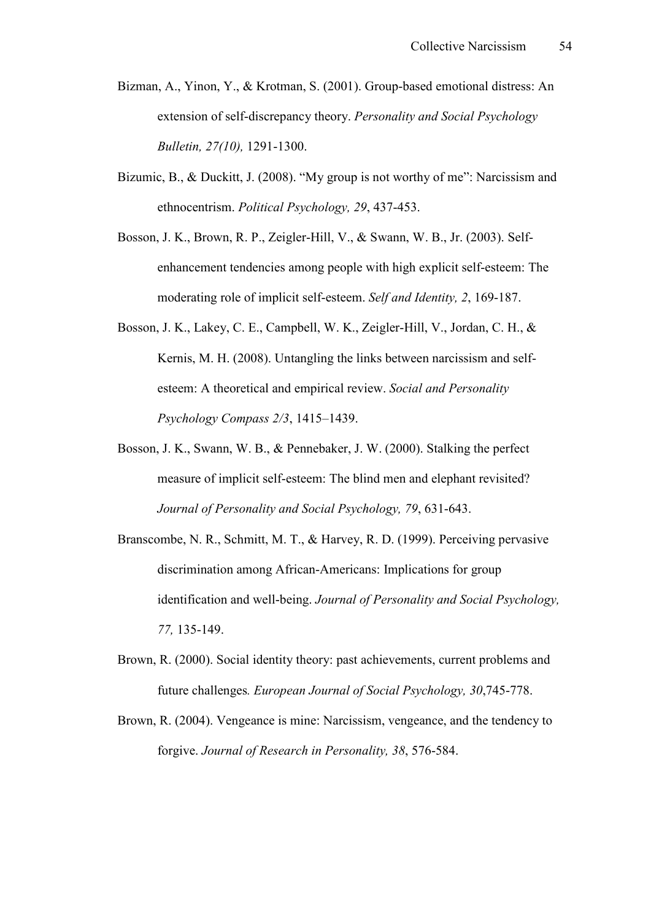- Bizman, A., Yinon, Y., & Krotman, S. (2001). Group-based emotional distress: An extension of self-discrepancy theory. *Personality and Social Psychology Bulletin, 27(10), 1291-1300.*
- Bizumic, B., & Duckitt, J. (2008). "My group is not worthy of me": Narcissism and ethnocentrism. *Political Psychology, 29, 437-453.*
- Bosson, J. K., Brown, R. P., Zeigler-Hill, V., & Swann, W. B., Jr. (2003). Selfenhancement tendencies among people with high explicit self-esteem: The moderating role of implicit self-esteem. *Self and Identity, 2*, 169-187.
- Bosson, J. K., Lakey, C. E., Campbell, W. K., Zeigler-Hill, V., Jordan, C. H.,  $\&$ Kernis, M. H. (2008). Untangling the links between narcissism and selfesteem: A theoretical and empirical review. *Social and Personality Psychology Compass 2/3*, 1415–1439.
- Bosson, J. K., Swann, W. B., & Pennebaker, J. W. (2000). Stalking the perfect measure of implicit self-esteem: The blind men and elephant revisited? *Journal of Personality and Social Psychology, 79, 631-643.*
- Branscombe, N. R., Schmitt, M. T., & Harvey, R. D. (1999). Perceiving pervasive discrimination among African-Americans: Implications for group identification and well-being. *Journal of Personality and Social Psychology*, 77, 135-149.
- Brown, R. (2000). Social identity theory: past achievements, current problems and future challenges. *European Journal of Social Psychology, 30,745-778.*
- Brown, R. (2004). Vengeance is mine: Narcissism, vengeance, and the tendency to forgive. *Journal of Research in Personality*, 38, 576-584.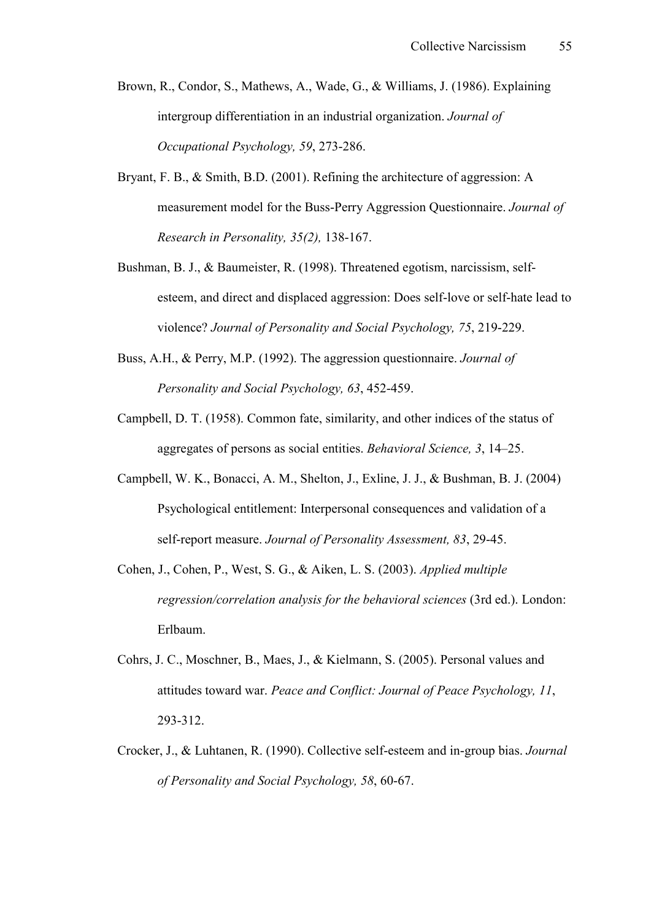- Brown, R., Condor, S., Mathews, A., Wade, G., & Williams, J. (1986). Explaining intergroup differentiation in an industrial organization. *Journal of Occupational Psychology, 59, 273-286.*
- Bryant, F. B., & Smith, B.D. (2001). Refining the architecture of aggression: A measurement model for the Buss-Perry Aggression Questionnaire. *Journal of Research in Personality, 35(2), 138-167.*
- Bushman, B. J., & Baumeister, R. (1998). Threatened egotism, narcissism, selfesteem, and direct and displaced aggression: Does self-love or self-hate lead to violence? *Journal of Personality and Social Psychology, 75, 219-229.*
- Buss, A.H., & Perry, M.P. (1992). The aggression questionnaire. *Journal of Personality and Social Psychology, 63, 452-459.*
- Campbell, D. T. (1958). Common fate, similarity, and other indices of the status of aggregates of persons as social entities. *Behavioral Science, 3*, 14–25.
- Campbell, W. K., Bonacci, A. M., Shelton, J., Exline, J. J., & Bushman, B. J. (2004) Psychological entitlement: Interpersonal consequences and validation of a self-report measure. *Journal of Personality Assessment, 83, 29-45.*
- Cohen, J., Cohen, P., West, S. G., & Aiken, L. S. (2003). *Applied multiple regression/correlation analysis for the behavioral sciences* (3rd ed.). London: Erlbaum.
- Cohrs, J. C., Moschner, B., Maes, J., & Kielmann, S. (2005). Personal values and attitudes toward war. *Peace and Conflict: Journal of Peace Psychology, 11*, 293-312.
- Crocker, J., & Luhtanen, R. (1990). Collective self-esteem and in-group bias. *Journal* of Personality and Social Psychology, 58, 60-67.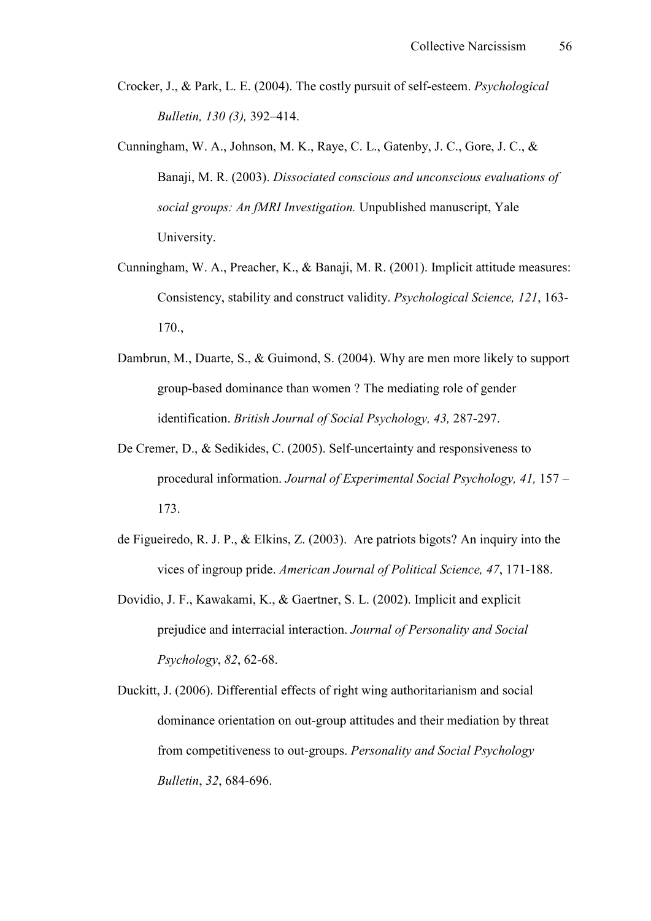- Crocker, J., & Park, L. E. (2004). The costly pursuit of self-esteem. *Psychological Bulletin, 130 (3),* 392–414.
- Cunningham, W. A., Johnson, M. K., Raye, C. L., Gatenby, J. C., Gore, J. C., & Banaji, M. R. (2003). *Dissociated conscious and unconscious evaluations of social groups: An fMRI Investigation.* Unpublished manuscript, Yale University.
- Cunningham, W. A., Preacher, K., & Banaji, M. R. (2001). Implicit attitude measures: Consistency, stability and construct validity. *Psychological Science, 121*, 163-170.,
- Dambrun, M., Duarte, S., & Guimond, S. (2004). Why are men more likely to support group-based dominance than women ? The mediating role of gender identification. *British Journal of Social Psychology, 43, 287-297.*
- De Cremer, D., & Sedikides, C. (2005). Self-uncertainty and responsiveness to procedural information. *Journal of Experimental Social Psychology, 41,* 157 – 173.
- de Figueiredo, R. J. P., & Elkins, Z. (2003). Are patriots bigots? An inquiry into the vices of ingroup pride. *American Journal of Political Science*, 47, 171-188.
- Dovidio, J. F., Kawakami, K., & Gaertner, S. L. (2002). Implicit and explicit prejudice and interracial interaction. *Journal of Personality and Social Psychology*, 82, 62-68.
- Duckitt, J. (2006). Differential effects of right wing authoritarianism and social dominance orientation on out-group attitudes and their mediation by threat from competitiveness to out-groups. *Personality and Social Psychology Bulletin*, 32, 684-696.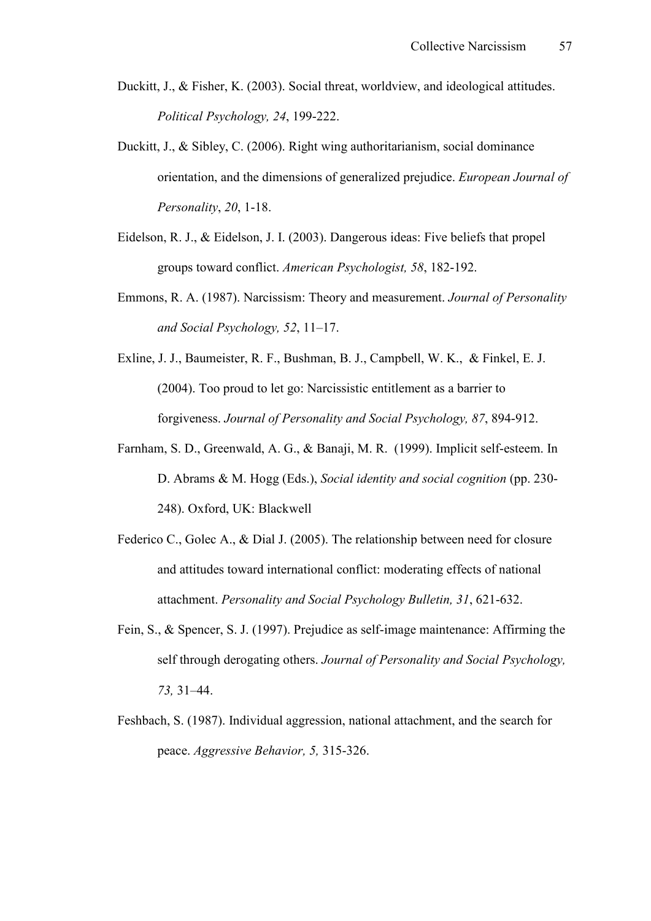- Duckitt, J., & Fisher, K. (2003). Social threat, worldview, and ideological attitudes. *Political Psychology, 24, 199-222.*
- Duckitt, J., & Sibley, C. (2006). Right wing authoritarianism, social dominance orientation, and the dimensions of generalized prejudice. *European Journal of Personality*, 20, 1-18.
- Eidelson, R. J., & Eidelson, J. I. (2003). Dangerous ideas: Five beliefs that propel groups toward conflict. *American Psychologist*, 58, 182-192.
- Emmons, R. A. (1987). Narcissism: Theory and measurement. *Journal of Personality and Social Psychology, 52*, 11–17.
- Exline, J. J., Baumeister, R. F., Bushman, B. J., Campbell, W. K., & Finkel, E. J. (2004). Too proud to let go: Narcissistic entitlement as a barrier to forgiveness. *Journal of Personality and Social Psychology, 87, 894-912.*
- Farnham, S. D., Greenwald, A. G., & Banaji, M. R. (1999). Implicit self-esteem. In D. Abrams & M. Hogg (Eds.), *Social identity and social cognition* (pp. 230-248). Oxford, UK: Blackwell
- Federico C., Golec A., & Dial J. (2005). The relationship between need for closure and attitudes toward international conflict: moderating effects of national attachment. *Personality and Social Psychology Bulletin, 31, 621-632.*
- Fein, S., & Spencer, S. J. (1997). Prejudice as self-image maintenance: Affirming the self through derogating others. *Journal of Personality and Social Psychology, 73,* 31–44.
- Feshbach, S. (1987). Individual aggression, national attachment, and the search for peace. *Aggressive Behavior*, 5, 315-326.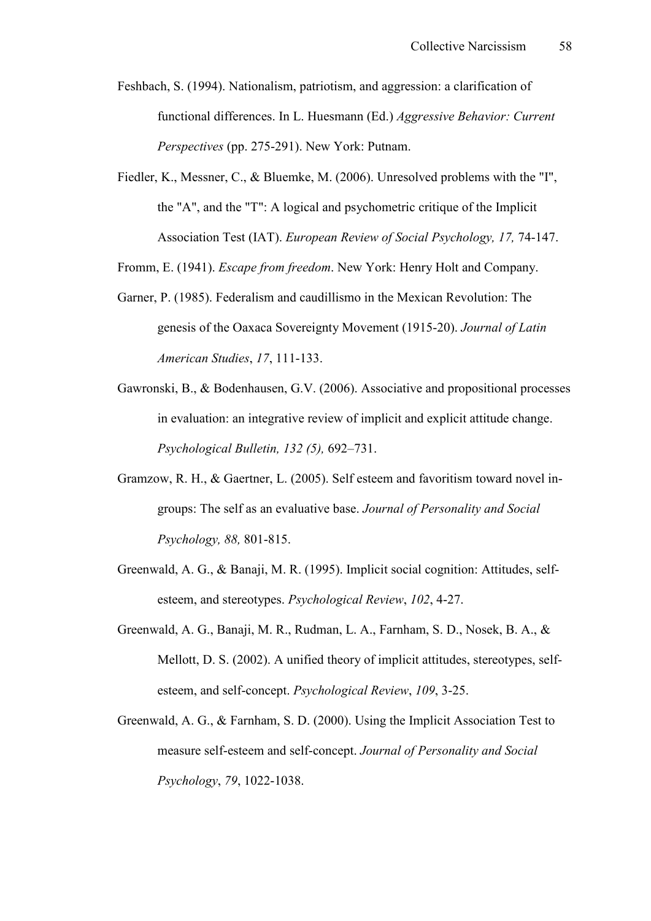- Feshbach, S. (1994). Nationalism, patriotism, and aggression: a clarification of functional differences. In L. Huesmann (Ed.) *Aggressive Behavior: Current Perspectives* (pp. 275-291). New York: Putnam.
- Fiedler, K., Messner, C., & Bluemke, M. (2006). Unresolved problems with the "I", the "A", and the "T": A logical and psychometric critique of the Implicit Association Test (IAT). *European Review of Social Psychology, 17, 74-147.*
- Fromm, E. (1941). *Escape from freedom*. New York: Henry Holt and Company.
- Garner, P. (1985). Federalism and caudillismo in the Mexican Revolution: The genesis of the Oaxaca Sovereignty Movement (1915-20). *Journal of Latin American Studies, 17, 111-133.*
- Gawronski, B., & Bodenhausen, G.V. (2006). Associative and propositional processes in evaluation: an integrative review of implicit and explicit attitude change. *Psychological Bulletin, 132 (5),* 692–731.
- Gramzow, R. H., & Gaertner, L.  $(2005)$ . Self esteem and favoritism toward novel ingroups: The self as an evaluative base. *Journal of Personality and Social Psychology, 88, 801-815.*
- Greenwald, A. G., & Banaji, M. R. (1995). Implicit social cognition: Attitudes, selfesteem, and stereotypes. *Psychological Review*, 102, 4-27.
- Greenwald, A. G., Banaji, M. R., Rudman, L. A., Farnham, S. D., Nosek, B. A., & Mellott, D. S.  $(2002)$ . A unified theory of implicit attitudes, stereotypes, selfesteem, and self-concept. *Psychological Review*, 109, 3-25.
- Greenwald, A. G., & Farnham, S. D. (2000). Using the Implicit Association Test to measure self-esteem and self-concept. *Journal of Personality and Social Psychology*, 79, 1022-1038.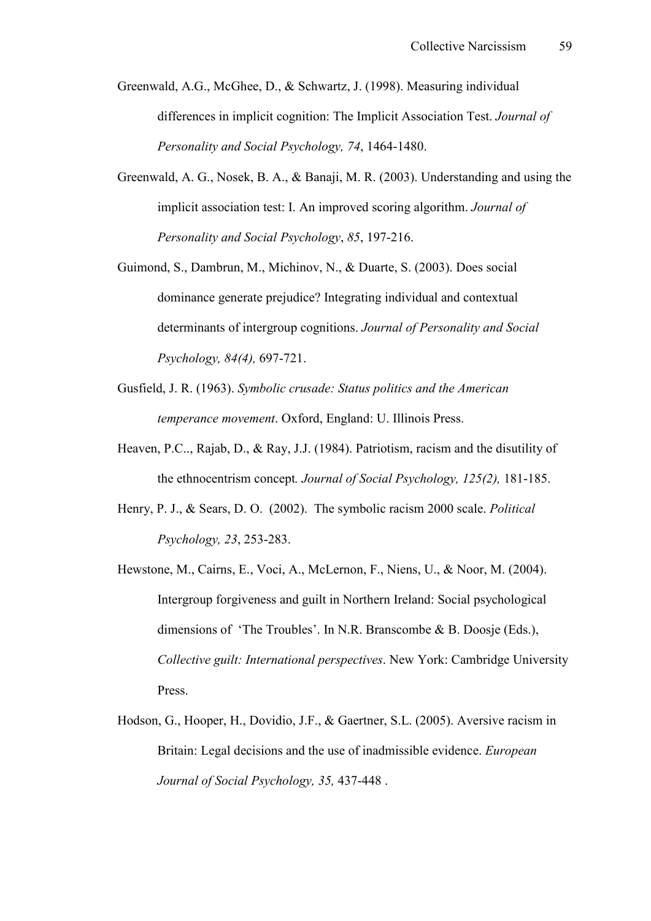Greenwald, A.G., McGhee, D., & Schwartz, J. (1998). Measuring individual differences in implicit cognition: The Implicit Association Test. *Journal of Personality and Social Psychology, 74, 1464-1480.* 

- Greenwald, A. G., Nosek, B. A., & Banaji, M. R. (2003). Understanding and using the implicit association test: I. An improved scoring algorithm. *Journal of Personality and Social Psychology, 85, 197-216.*
- Guimond, S., Dambrun, M., Michinov, N., & Duarte, S. (2003). Does social dominance generate prejudice? Integrating individual and contextual determinants of intergroup cognitions. *Journal of Personality and Social Psychology, 84(4), 697-721.*
- Gusfield, J. R. (1963). *Symbolic crusade: Status politics and the American temperance movement*. Oxford, England: U. Illinois Press.
- Heaven, P.C.., Rajab, D., & Ray, J.J. (1984). Patriotism, racism and the disutility of the ethnocentrism concept. *Journal of Social Psychology, 125(2)*, 181-185.
- Henry, P. J., & Sears, D. O. (2002). The symbolic racism 2000 scale. *Political Psychology, 23, 253-283.*
- Hewstone, M., Cairns, E., Voci, A., McLernon, F., Niens, U., & Noor, M. (2004). Intergroup forgiveness and guilt in Northern Ireland: Social psychological dimensions of 'The Troubles'. In N.R. Branscombe & B. Doosje (Eds.), *Collective guilt: International perspectives*. New York: Cambridge University Press.
- Hodson, G., Hooper, H., Dovidio, J.F., & Gaertner, S.L. (2005). Aversive racism in Britain: Legal decisions and the use of inadmissible evidence. *European Journal of Social Psychology, 35, 437-448.*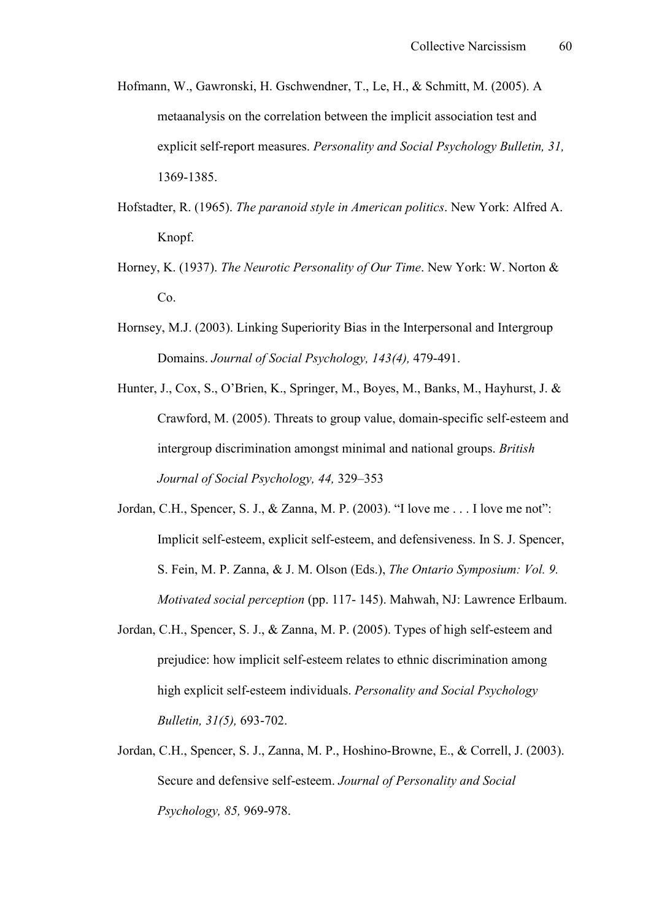- Hofmann, W., Gawronski, H. Gschwendner, T., Le, H., & Schmitt, M. (2005). A metaanalysis on the correlation between the implicit association test and explicit self-report measures. *Personality and Social Psychology Bulletin, 31,* 1369-1385.
- Hofstadter, R. (1965). *The paranoid style in American politics*. New York: Alfred A. Knopf.
- Horney, K. (1937). *The Neurotic Personality of Our Time*. New York: W. Norton & Co.
- Hornsey, M.J. (2003). Linking Superiority Bias in the Interpersonal and Intergroup Domains. *Journal of Social Psychology, 143(4)*, 479-491.
- Hunter, J., Cox, S., O'Brien, K., Springer, M., Boyes, M., Banks, M., Hayhurst, J. & Crawford, M. (2005). Threats to group value, domain-specific self-esteem and intergroup discrimination amongst minimal and national groups. *British Journal of Social Psychology, 44,* 329–353
- Jordan, C.H., Spencer, S. J., & Zanna, M. P. (2003). "I love me . . . I love me not": Implicit self-esteem, explicit self-esteem, and defensiveness. In S. J. Spencer, S. Fein, M. P. Zanna, & J. M. Olson (Eds.), *The Ontario Symposium: Vol. 9. Motivated social perception* (pp. 117-145). Mahwah, NJ: Lawrence Erlbaum.
- Jordan, C.H., Spencer, S. J.,  $& Zanna$ , M. P. (2005). Types of high self-esteem and prejudice: how implicit self-esteem relates to ethnic discrimination among high explicit self-esteem individuals. *Personality and Social Psychology Bulletin, 31(5), 693-702.*
- Jordan, C.H., Spencer, S. J., Zanna, M. P., Hoshino-Browne, E., & Correll, J. (2003). Secure and defensive self-esteem. Journal of Personality and Social *Psychology, 85, 969-978.*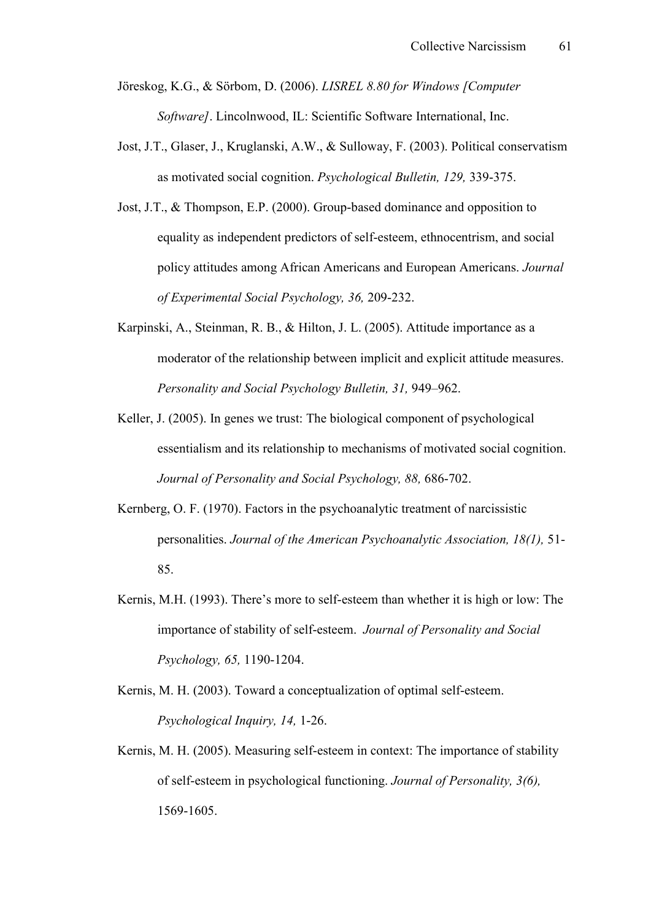- Jöreskog, K.G., & Sörbom, D. (2006). *LISREL 8.80 for Windows [Computer Software]*. Lincolnwood, IL: Scientific Software International, Inc.
- Jost, J.T., Glaser, J., Kruglanski, A.W., & Sulloway, F. (2003). Political conservatism as motivated social cognition. *Psychological Bulletin, 129, 339-375.*
- Jost, J.T.,  $\&$  Thompson, E.P. (2000). Group-based dominance and opposition to equality as independent predictors of self-esteem, ethnocentrism, and social policy attitudes among African Americans and European Americans. *Journal of Experimental Social Psychology, 36, 209-232.*
- Karpinski, A., Steinman, R. B., & Hilton, J. L. (2005). Attitude importance as a moderator of the relationship between implicit and explicit attitude measures. *Personality and Social Psychology Bulletin, 31,* 949–962.
- Keller, J. (2005). In genes we trust: The biological component of psychological essentialism and its relationship to mechanisms of motivated social cognition. *Journal of Personality and Social Psychology, 88, 686-702.*
- Kernberg, O. F. (1970). Factors in the psychoanalytic treatment of narcissistic personalities. *Journal of the American Psychoanalytic Association, 18(1)*, 51-85.
- Kernis, M.H. (1993). There's more to self-esteem than whether it is high or low: The importance of stability of self-esteem. *Journal of Personality and Social Psychology, 65, 1190-1204.*
- Kernis, M. H. (2003). Toward a conceptualization of optimal self-esteem. *Psychological Inquiry, 14, 1-26.*
- Kernis, M. H. (2005). Measuring self-esteem in context: The importance of stability of self-esteem in psychological functioning. *Journal of Personality, 3(6)*, 1569-1605.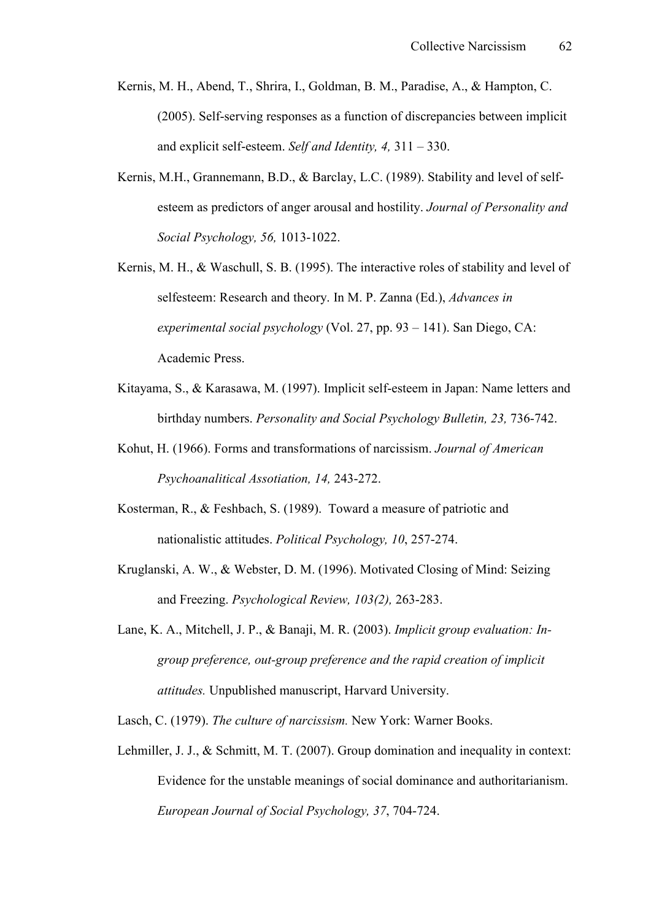- Kernis, M. H., Abend, T., Shrira, I., Goldman, B. M., Paradise, A., & Hampton, C.  $(2005)$ . Self-serving responses as a function of discrepancies between implicit and explicit self-esteem. *Self and Identity*,  $4$ ,  $311 - 330$ .
- Kernis, M.H., Grannemann, B.D., & Barclay, L.C. (1989). Stability and level of selfesteem as predictors of anger arousal and hostility. *Journal of Personality and Social Psychology, 56, 1013-1022.*
- Kernis, M. H., & Waschull, S. B. (1995). The interactive roles of stability and level of selfesteem: Research and theory. In M. P. Zanna (Ed.), *Advances in experimental social psychology* (Vol. 27, pp. 93 – 141). San Diego, CA: Academic Press.
- Kitayama, S., & Karasawa, M. (1997). Implicit self-esteem in Japan: Name letters and birthday numbers. *Personality and Social Psychology Bulletin, 23, 736-742.*
- Kohut, H. (1966). Forms and transformations of narcissism. *Journal of American Psychoanalitical Assotiation, 14, 243-272.*
- Kosterman, R., & Feshbach, S. (1989). Toward a measure of patriotic and nationalistic attitudes. *Political Psychology, 10, 257-274.*
- Kruglanski, A. W., & Webster, D. M. (1996). Motivated Closing of Mind: Seizing and Freezing. *Psychological Review, 103(2)*, 263-283.
- Lane, K. A., Mitchell, J. P., & Banaji, M. R. (2003). *Implicit group evaluation: In. group preference, out.group preference and the rapid creation of implicit attitudes.* Unpublished manuscript, Harvard University.
- Lasch, C. (1979). *The culture of narcissism.* New York: Warner Books.
- Lehmiller, J. J., & Schmitt, M. T. (2007). Group domination and inequality in context: Evidence for the unstable meanings of social dominance and authoritarianism. *European Journal of Social Psychology, 37, 704-724.*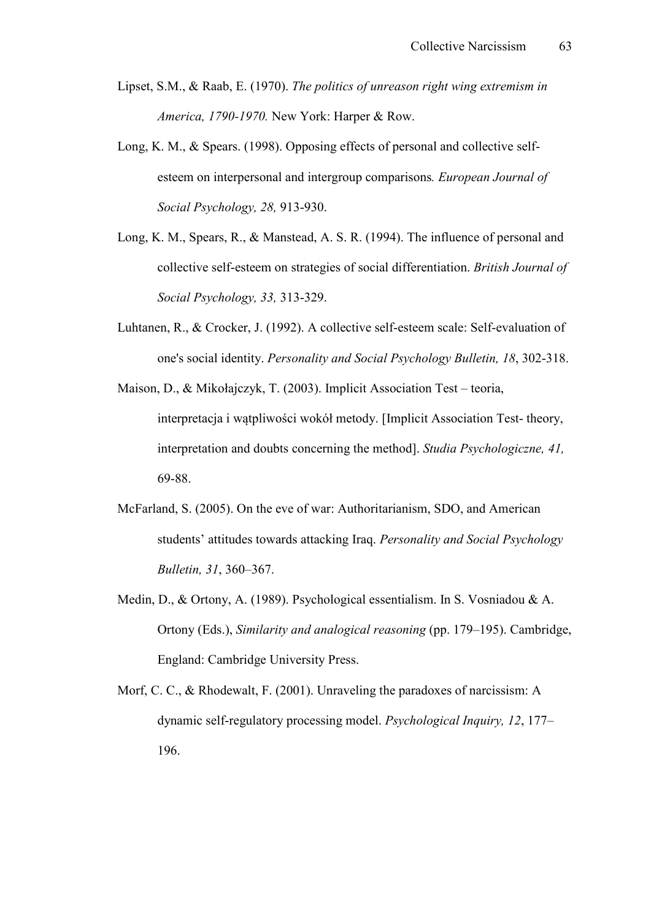- Lipset, S.M., & Raab, E. (1970). *The politics of unreason right wing extremism in America, 1790.1970.* New York: Harper & Row.
- Long, K. M.,  $\&$  Spears. (1998). Opposing effects of personal and collective selfesteem on interpersonal and intergroup comparisons*. European Journal of Social Psychology, 28, 913-930.*
- Long, K. M., Spears, R., & Manstead, A. S. R. (1994). The influence of personal and collective self-esteem on strategies of social differentiation. *British Journal of Social Psychology, 33, 313-329.*
- Luhtanen, R., & Crocker, J. (1992). A collective self-esteem scale: Self-evaluation of one's social identity. *Personality and Social Psychology Bulletin, 18, 302-318.*
- Maison, D., & Mikołajczyk, T. (2003). Implicit Association Test teoria, interpretacja i wątpliwości wokół metody. [Implicit Association Test-theory, interpretation and doubts concerning the method]. *Studia Psychologiczne, 41,* 69-88.
- McFarland, S. (2005). On the eve of war: Authoritarianism, SDO, and American students' attitudes towards attacking Iraq. *Personality and Social Psychology Bulletin, 31*, 360–367.
- Medin, D., & Ortony, A. (1989). Psychological essentialism. In S. Vosniadou & A. Ortony (Eds.), *Similarity and analogical reasoning* (pp. 179–195). Cambridge, England: Cambridge University Press.
- Morf, C. C., & Rhodewalt, F. (2001). Unraveling the paradoxes of narcissism: A dynamic self-regulatory processing model. *Psychological Inquiry, 12*, 177– 196.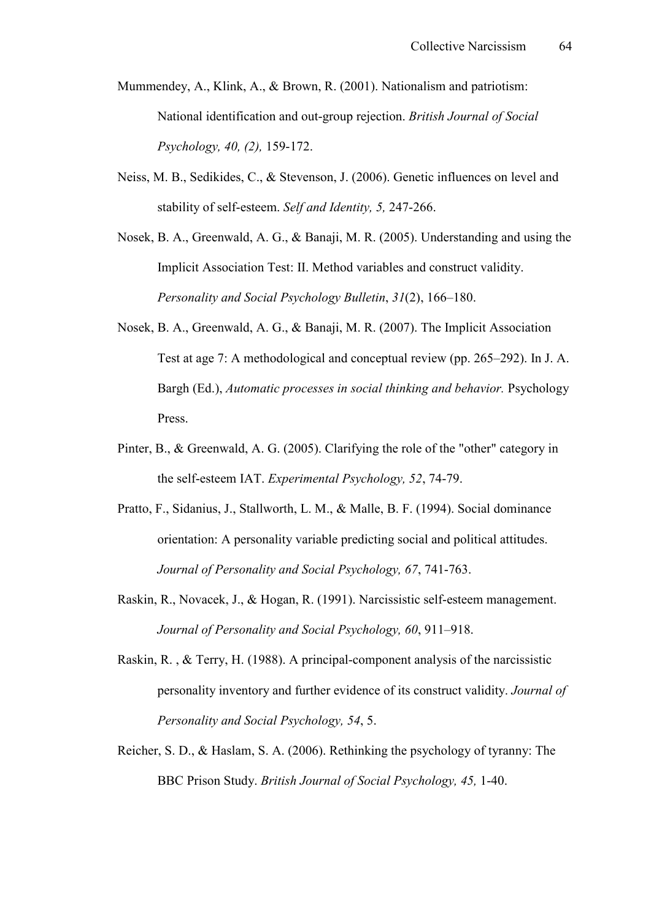- Mummendey, A., Klink, A., & Brown, R. (2001). Nationalism and patriotism: National identification and out-group rejection. *British Journal of Social Psychology, 40, (2), 159-172.*
- Neiss, M. B., Sedikides, C., & Stevenson, J. (2006). Genetic influences on level and stability of self-esteem. *Self and Identity*, 5, 247-266.
- Nosek, B. A., Greenwald, A. G., & Banaji, M. R. (2005). Understanding and using the Implicit Association Test: II. Method variables and construct validity. *Personality and Social Psychology Bulletin*, *31*(2), 166–180.
- Nosek, B. A., Greenwald, A. G., & Banaji, M. R. (2007). The Implicit Association Test at age 7: A methodological and conceptual review (pp. 265–292). In J. A. Bargh (Ed.), *Automatic processes in social thinking and behavior.* Psychology Press.
- Pinter, B., & Greenwald, A. G. (2005). Clarifying the role of the "other" category in the self-esteem IAT. *Experimental Psychology, 52, 74-79.*
- Pratto, F., Sidanius, J., Stallworth, L. M., & Malle, B. F. (1994). Social dominance orientation: A personality variable predicting social and political attitudes. *Journal of Personality and Social Psychology, 67, 741-763.*
- Raskin, R., Novacek, J., & Hogan, R. (1991). Narcissistic self-esteem management. *Journal of Personality and Social Psychology, 60*, 911–918.
- Raskin, R., & Terry, H. (1988). A principal-component analysis of the narcissistic personality inventory and further evidence of its construct validity. *Journal of Personality and Social Psychology, 54*, 5.
- Reicher, S. D., & Haslam, S. A. (2006). Rethinking the psychology of tyranny: The BBC Prison Study. *British Journal of Social Psychology, 45, 1-40.*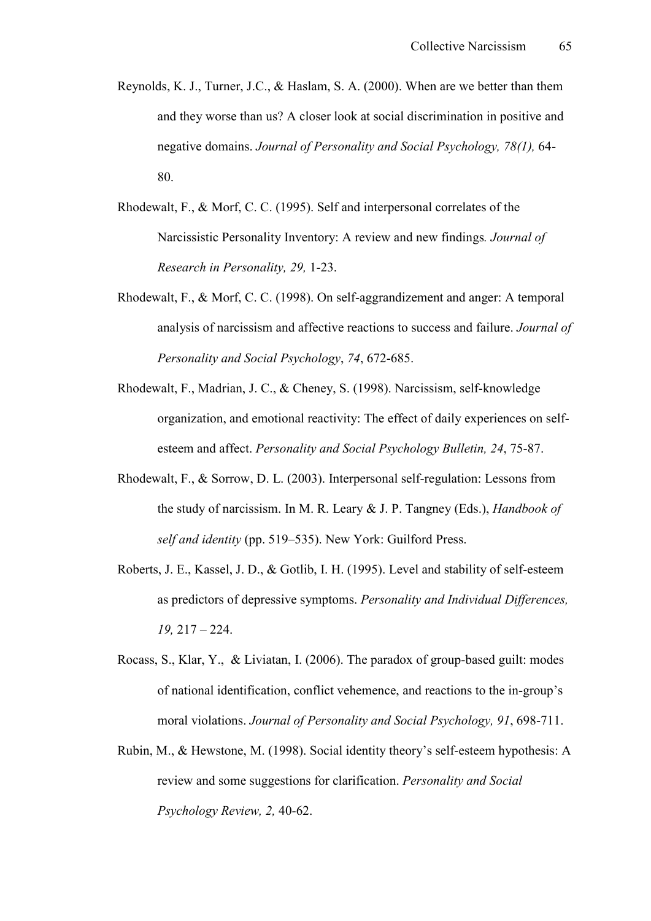- Reynolds, K. J., Turner, J.C., & Haslam, S. A. (2000). When are we better than them and they worse than us? A closer look at social discrimination in positive and negative domains. *Journal of Personality and Social Psychology, 78(1)*, 64-80.
- Rhodewalt, F., & Morf, C. C. (1995). Self and interpersonal correlates of the Narcissistic Personality Inventory: A review and new findings*. Journal of Research in Personality, 29, 1-23.*
- Rhodewalt, F., & Morf, C. C. (1998). On self-aggrandizement and anger: A temporal analysis of narcissism and affective reactions to success and failure. *Journal of Personality and Social Psychology, 74, 672-685.*
- Rhodewalt, F., Madrian, J. C., & Cheney, S. (1998). Narcissism, self-knowledge organization, and emotional reactivity: The effect of daily experiences on selfesteem and affect. *Personality and Social Psychology Bulletin, 24, 75-87.*
- Rhodewalt, F., & Sorrow, D. L.  $(2003)$ . Interpersonal self-regulation: Lessons from the study of narcissism. In M. R. Leary & J. P. Tangney (Eds.), *Handbook of self and identity* (pp. 519–535). New York: Guilford Press.
- Roberts, J. E., Kassel, J. D., & Gotlib, I. H. (1995). Level and stability of self-esteem as predictors of depressive symptoms. *Personality and Individual Differences, 19,* 217 – 224.
- Rocass, S., Klar, Y., & Liviatan, I.  $(2006)$ . The paradox of group-based guilt: modes of national identification, conflict vehemence, and reactions to the in-group's moral violations. *Journal of Personality and Social Psychology, 91, 698-711.*
- Rubin, M., & Hewstone, M. (1998). Social identity theory's self-esteem hypothesis: A review and some suggestions for clarification. *Personality and Social Psychology Review, 2, 40-62.*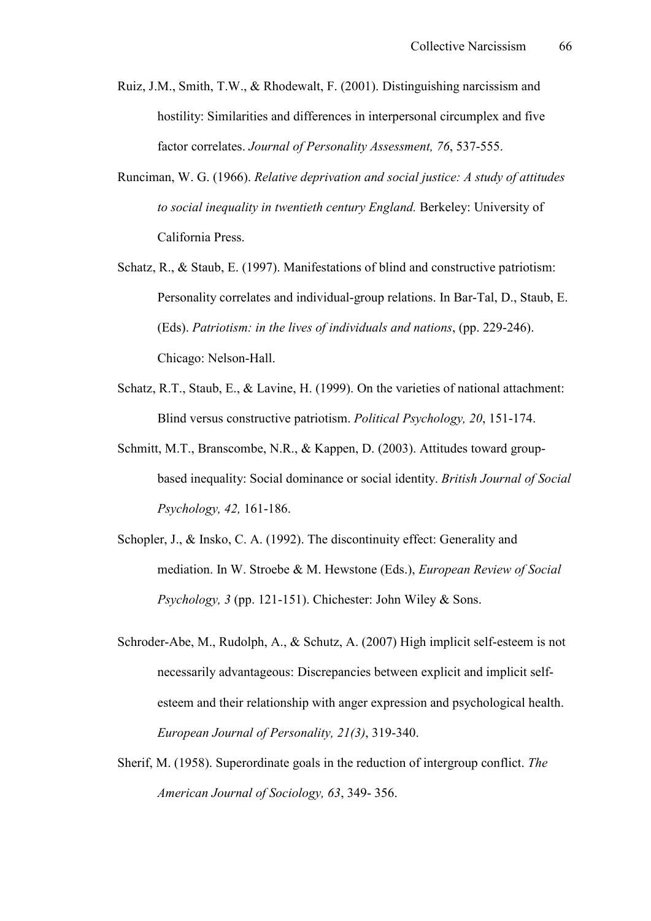- Ruiz, J.M., Smith, T.W., & Rhodewalt, F. (2001). Distinguishing narcissism and hostility: Similarities and differences in interpersonal circumplex and five factor correlates. *Journal of Personality Assessment, 76, 537-555.*
- Runciman, W. G. (1966). *Relative deprivation and social justice: A study of attitudes to social inequality in twentieth century England.* Berkeley: University of California Press.
- Schatz, R., & Staub, E. (1997). Manifestations of blind and constructive patriotism: Personality correlates and individual-group relations. In Bar-Tal, D., Staub, E. (Eds). *Patriotism: in the lives of individuals and nations*, (pp. 229-246). Chicago: Nelson-Hall.
- Schatz, R.T., Staub, E., & Lavine, H. (1999). On the varieties of national attachment: Blind versus constructive patriotism. *Political Psychology, 20*, 151-174.
- Schmitt, M.T., Branscombe, N.R., & Kappen, D. (2003). Attitudes toward groupbased inequality: Social dominance or social identity. *British Journal of Social Psychology, 42, 161-186.*
- Schopler, J., & Insko, C. A. (1992). The discontinuity effect: Generality and mediation. In W. Stroebe & M. Hewstone (Eds.), *European Review of Social Psychology, 3 (pp. 121-151). Chichester: John Wiley & Sons.*
- Schroder-Abe, M., Rudolph, A.,  $\&$  Schutz, A. (2007) High implicit self-esteem is not necessarily advantageous: Discrepancies between explicit and implicit selfesteem and their relationship with anger expression and psychological health. *European Journal of Personality, 21(3), 319-340.*
- Sherif, M. (1958). Superordinate goals in the reduction of intergroup conflict. *The American Journal of Sociology, 63, 349-356.*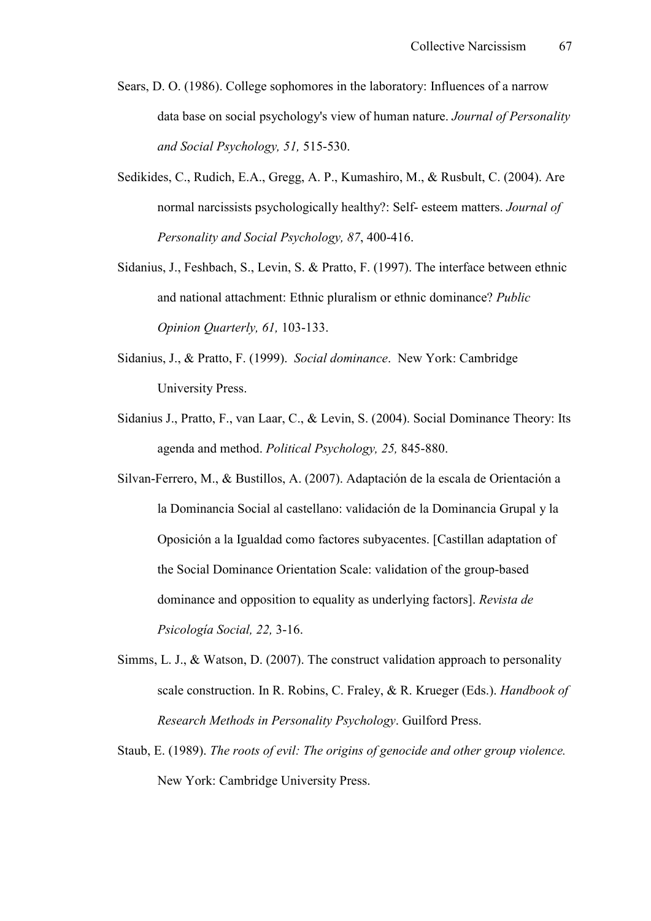- Sears, D. O. (1986). College sophomores in the laboratory: Influences of a narrow data base on social psychology's view of human nature. *Journal of Personality and Social Psychology, 51, 515-530.*
- Sedikides, C., Rudich, E.A., Gregg, A. P., Kumashiro, M., & Rusbult, C. (2004). Are normal narcissists psychologically healthy?: Self- esteem matters. *Journal of Personality and Social Psychology, 87, 400-416.*
- Sidanius, J., Feshbach, S., Levin, S. & Pratto, F. (1997). The interface between ethnic and national attachment: Ethnic pluralism or ethnic dominance? *Public Opinion Quarterly, 61, 103-133.*
- Sidanius, J., & Pratto, F. (1999). *Social dominance*. New York: Cambridge University Press.
- Sidanius J., Pratto, F., van Laar, C., & Levin, S. (2004). Social Dominance Theory: Its agenda and method. *Political Psychology*, 25, 845-880.
- Silvan-Ferrero, M., & Bustillos, A. (2007). Adaptación de la escala de Orientación a la Dominancia Social al castellano: validación de la Dominancia Grupal y la Oposición a la Igualdad como factores subyacentes. [Castillan adaptation of the Social Dominance Orientation Scale: validation of the group-based dominance and opposition to equality as underlying factors]. *Revista de Psicología Social, 22, 3-16.*
- Simms, L. J., & Watson, D. (2007). The construct validation approach to personality scale construction. In R. Robins, C. Fraley, & R. Krueger (Eds.). *Handbook of Research Methods in Personality Psychology*. Guilford Press.
- Staub, E. (1989). *The roots of evil: The origins of genocide and other group violence.* New York: Cambridge University Press.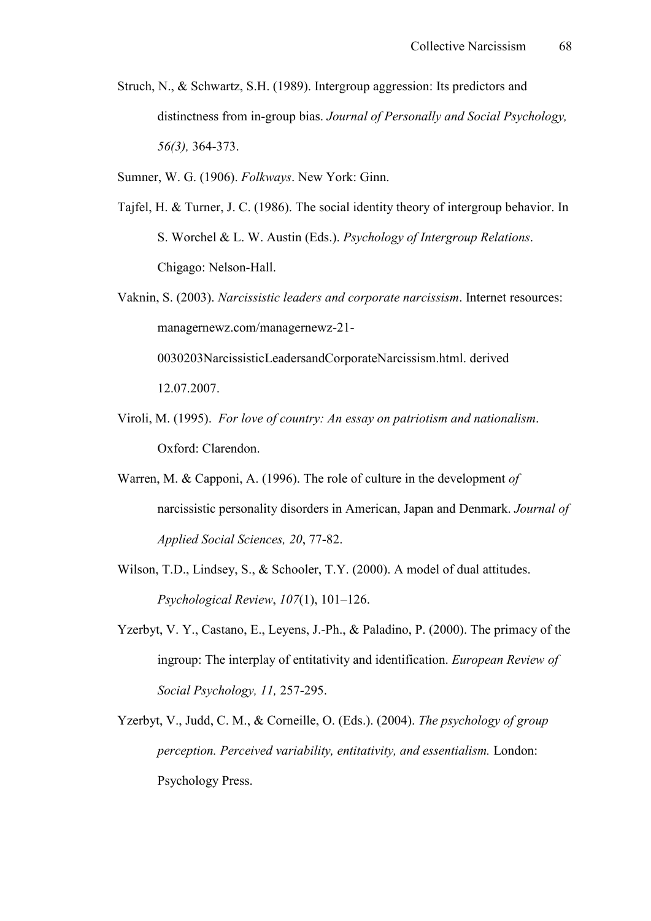Struch, N., & Schwartz, S.H. (1989). Intergroup aggression: Its predictors and distinctness from in-group bias. *Journal of Personally and Social Psychology*, *56(3)*, 364-373.

Sumner, W. G. (1906). *Folkways*. New York: Ginn.

- Tajfel, H. & Turner, J. C. (1986). The social identity theory of intergroup behavior. In S. Worchel & L. W. Austin (Eds.). *Psychology of Intergroup Relations*. Chigago: Nelson-Hall.
- Vaknin, S. (2003). *Narcissistic leaders and corporate narcissism*. Internet resources: managernewz.com/managernewz-21-0030203NarcissisticLeadersandCorporateNarcissism.html. derived

12.07.2007.

- Viroli, M. (1995). *For love of country: An essay on patriotism and nationalism*. Oxford: Clarendon.
- Warren, M. & Capponi, A. (1996). The role of culture in the development *of*  narcissistic personality disorders in American, Japan and Denmark. *Journal of Applied Social Sciences, 20, 77-82.*
- Wilson, T.D., Lindsey, S., & Schooler, T.Y. (2000). A model of dual attitudes. *Psychological Review*, *107*(1), 101–126.
- Yzerbyt, V. Y., Castano, E., Leyens, J.-Ph., & Paladino, P. (2000). The primacy of the ingroup: The interplay of entitativity and identification. *European Review of Social Psychology, 11, 257-295.*
- Yzerbyt, V., Judd, C. M., & Corneille, O. (Eds.). (2004). *The psychology of group perception. Perceived variability, entitativity, and essentialism.* London: Psychology Press.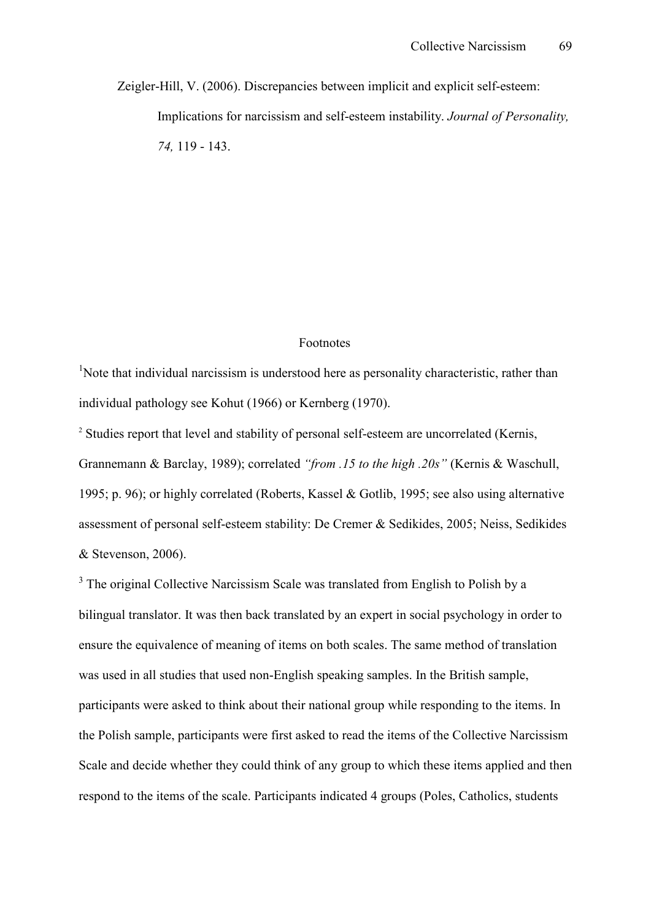Zeigler-Hill, V. (2006). Discrepancies between implicit and explicit self-esteem: Implications for narcissism and self-esteem instability. *Journal of Personality*, 74, 119 - 143.

#### Footnotes

<sup>1</sup>Note that individual narcissism is understood here as personality characteristic, rather than individual pathology see Kohut (1966) or Kernberg (1970).

<sup>2</sup> Studies report that level and stability of personal self-esteem are uncorrelated (Kernis, Grannemann & Barclay, 1989); correlated *"from .15 to the high .20s"* (Kernis & Waschull, 1995; p. 96); or highly correlated (Roberts, Kassel & Gotlib, 1995; see also using alternative assessment of personal self-esteem stability: De Cremer & Sedikides, 2005; Neiss, Sedikides & Stevenson, 2006).

<sup>3</sup> The original Collective Narcissism Scale was translated from English to Polish by a bilingual translator. It was then back translated by an expert in social psychology in order to ensure the equivalence of meaning of items on both scales. The same method of translation was used in all studies that used non-English speaking samples. In the British sample, participants were asked to think about their national group while responding to the items. In the Polish sample, participants were first asked to read the items of the Collective Narcissism Scale and decide whether they could think of any group to which these items applied and then respond to the items of the scale. Participants indicated 4 groups (Poles, Catholics, students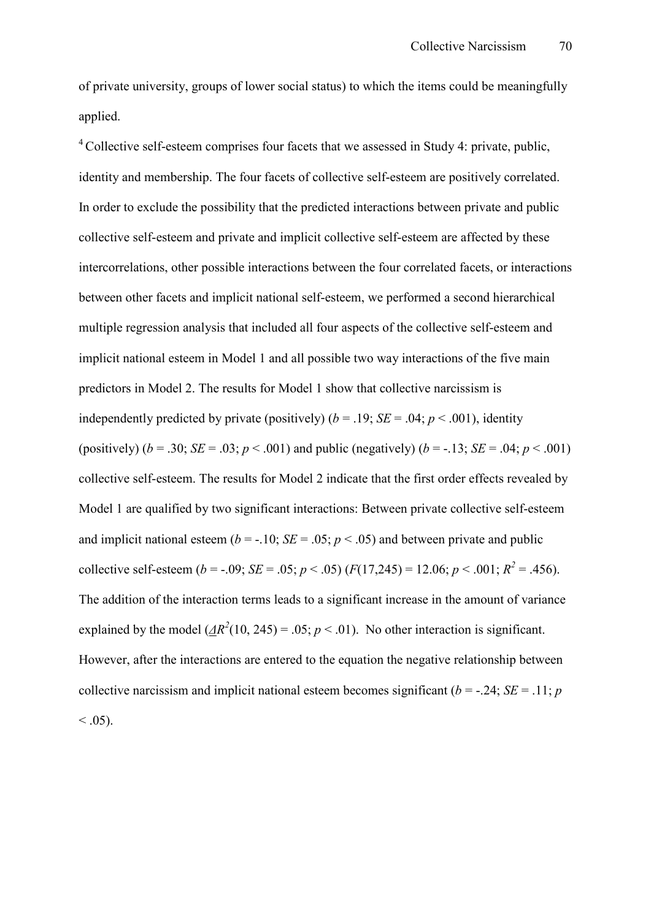of private university, groups of lower social status) to which the items could be meaningfully applied.

 $4^4$  Collective self-esteem comprises four facets that we assessed in Study 4: private, public, identity and membership. The four facets of collective self-esteem are positively correlated. In order to exclude the possibility that the predicted interactions between private and public collective self-esteem and private and implicit collective self-esteem are affected by these intercorrelations, other possible interactions between the four correlated facets, or interactions between other facets and implicit national self-esteem, we performed a second hierarchical multiple regression analysis that included all four aspects of the collective self-esteem and implicit national esteem in Model 1 and all possible two way interactions of the five main predictors in Model 2. The results for Model 1 show that collective narcissism is independently predicted by private (positively) ( $b = .19$ ;  $SE = .04$ ;  $p < .001$ ), identity (positively)  $(b = .30; SE = .03; p < .001)$  and public (negatively)  $(b = -.13; SE = .04; p < .001)$ collective self-esteem. The results for Model 2 indicate that the first order effects revealed by Model 1 are qualified by two significant interactions: Between private collective self-esteem and implicit national esteem ( $b = -10$ ; *SE* = .05;  $p < .05$ ) and between private and public collective self-esteem (*b* = -.09; *SE* = .05; *p* < .05) ( $F(17,245) = 12.06$ ; *p* < .001;  $R^2 = .456$ ). The addition of the interaction terms leads to a significant increase in the amount of variance explained by the model  $(\underline{AR}^2(10, 245) = .05; p < .01)$ . No other interaction is significant. However, after the interactions are entered to the equation the negative relationship between collective narcissism and implicit national esteem becomes significant ( $b = -0.24$ ; *SE* = .11; *p*  $< .05$ ).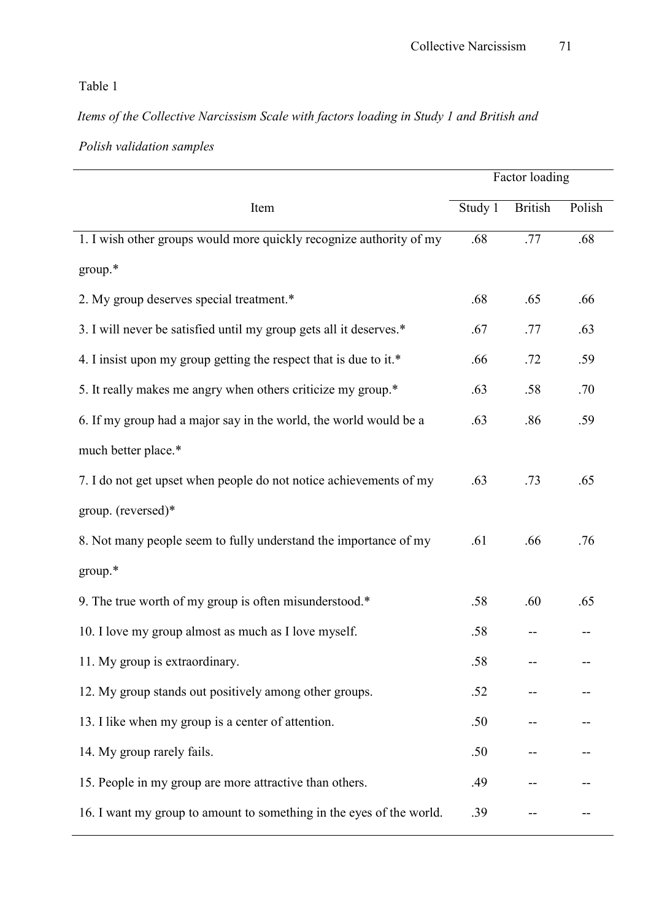## Table 1

# *Items of the Collective Narcissism Scale with factors loading in Study 1 and British and*

# *Polish validation samples*

|                                                                      | Factor loading |                |        |
|----------------------------------------------------------------------|----------------|----------------|--------|
| Item                                                                 | Study 1        | <b>British</b> | Polish |
| 1. I wish other groups would more quickly recognize authority of my  | .68            | .77            | .68    |
| group.*                                                              |                |                |        |
| 2. My group deserves special treatment.*                             | .68            | .65            | .66    |
| 3. I will never be satisfied until my group gets all it deserves.*   | .67            | .77            | .63    |
| 4. I insist upon my group getting the respect that is due to it.*    | .66            | .72            | .59    |
| 5. It really makes me angry when others criticize my group.*         | .63            | .58            | .70    |
| 6. If my group had a major say in the world, the world would be a    | .63            | .86            | .59    |
| much better place.*                                                  |                |                |        |
| 7. I do not get upset when people do not notice achievements of my   | .63            | .73            | .65    |
| group. (reversed)*                                                   |                |                |        |
| 8. Not many people seem to fully understand the importance of my     | .61            | .66            | .76    |
| group.*                                                              |                |                |        |
| 9. The true worth of my group is often misunderstood.*               | .58            | .60            | .65    |
| 10. I love my group almost as much as I love myself.                 | .58            |                |        |
| 11. My group is extraordinary.                                       | .58            |                |        |
| 12. My group stands out positively among other groups.               | .52            |                |        |
| 13. I like when my group is a center of attention.                   | .50            |                |        |
| 14. My group rarely fails.                                           | .50            |                |        |
| 15. People in my group are more attractive than others.              | .49            |                |        |
| 16. I want my group to amount to something in the eyes of the world. | .39            |                |        |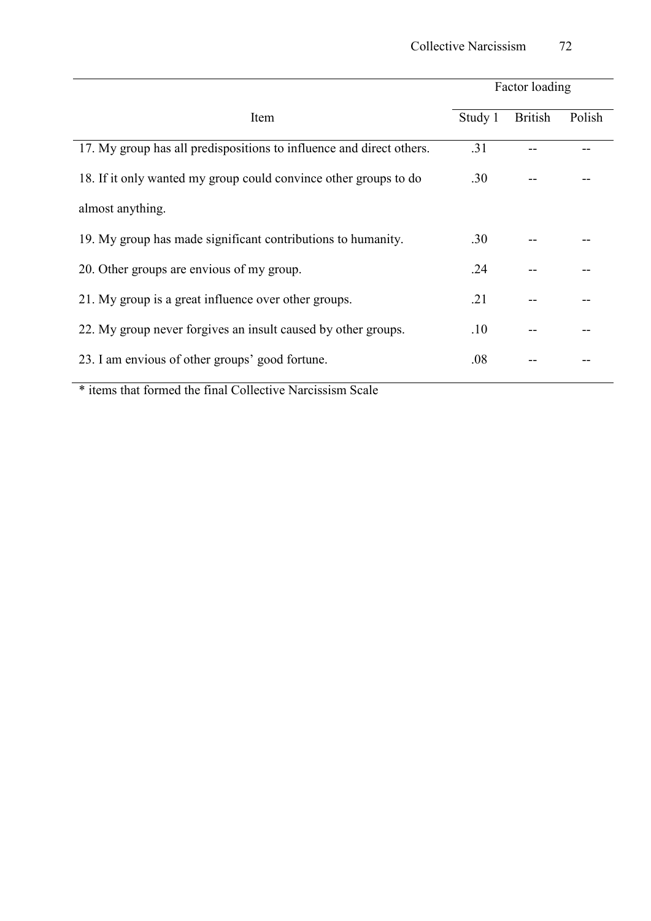|                                                                                   | Factor loading |                |        |  |  |
|-----------------------------------------------------------------------------------|----------------|----------------|--------|--|--|
| Item                                                                              | Study 1        | <b>British</b> | Polish |  |  |
| 17. My group has all predispositions to influence and direct others.              | .31            |                |        |  |  |
| 18. If it only wanted my group could convince other groups to do                  | .30            |                |        |  |  |
| almost anything.                                                                  |                |                |        |  |  |
| 19. My group has made significant contributions to humanity.                      | .30            |                |        |  |  |
| 20. Other groups are envious of my group.                                         | .24            |                |        |  |  |
| 21. My group is a great influence over other groups.                              | .21            |                |        |  |  |
| 22. My group never forgives an insult caused by other groups.                     | .10            |                |        |  |  |
| 23. I am envious of other groups' good fortune.                                   | .08            |                |        |  |  |
| $\star$ and $\star$ c and $\star$ and $\star$ and $\star$ and $\star$<br>$\sim$ 1 |                |                |        |  |  |

\* items that formed the final Collective Narcissism Scale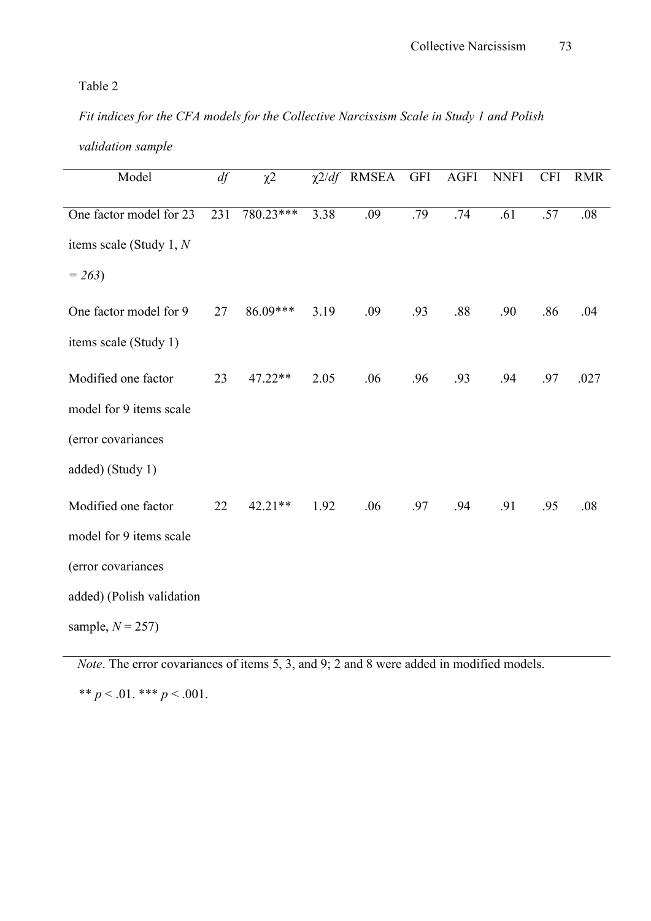*Fit indices for the CFA models for the Collective Narcissism Scale in Study 1 and Polish* 

| validation sample |  |
|-------------------|--|
|-------------------|--|

| Model                     | df  | $\chi$ <sup>2</sup> |      | $\chi$ 2/df RMSEA | <b>GFI</b> | AGFI | <b>NNFI</b> | <b>CFI</b> | <b>RMR</b> |
|---------------------------|-----|---------------------|------|-------------------|------------|------|-------------|------------|------------|
| One factor model for 23   | 231 | 780.23***           | 3.38 | .09               | .79        | .74  | .61         | .57        | .08        |
|                           |     |                     |      |                   |            |      |             |            |            |
| items scale (Study 1, $N$ |     |                     |      |                   |            |      |             |            |            |
| $= 263$                   |     |                     |      |                   |            |      |             |            |            |
| One factor model for 9    | 27  | 86.09***            | 3.19 | .09               | .93        | .88  | .90         | .86        | .04        |
| items scale (Study 1)     |     |                     |      |                   |            |      |             |            |            |
| Modified one factor       | 23  | 47.22**             | 2.05 | .06               | .96        | .93  | .94         | .97        | .027       |
| model for 9 items scale   |     |                     |      |                   |            |      |             |            |            |
| (error covariances        |     |                     |      |                   |            |      |             |            |            |
| added) (Study 1)          |     |                     |      |                   |            |      |             |            |            |
| Modified one factor       | 22  | $42.21**$           | 1.92 | .06               | .97        | .94  | .91         | .95        | .08        |
| model for 9 items scale   |     |                     |      |                   |            |      |             |            |            |
| (error covariances        |     |                     |      |                   |            |      |             |            |            |
| added) (Polish validation |     |                     |      |                   |            |      |             |            |            |
| sample, $N = 257$         |     |                     |      |                   |            |      |             |            |            |

*Note*. The error covariances of items 5, 3, and 9; 2 and 8 were added in modified models.

\*\*  $p < .01$ . \*\*\*  $p < .001$ .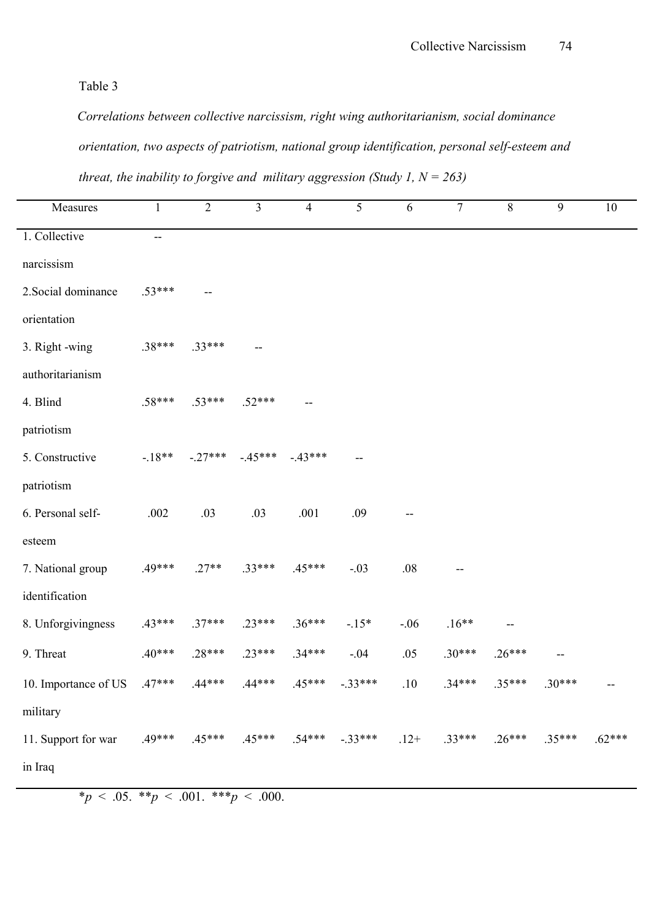*Correlations between collective narcissism, right wing authoritarianism, social dominance orientation, two aspects of patriotism, national group identification, personal self.esteem and threat, the inability to forgive and military aggression (Study 1,*  $N = 263$ *)* 

| Measures                                                                                                             | $\mathbf{1}$ | $\overline{2}$                     | $\overline{3}$ | $\overline{4}$ | 5         | 6       | $\overline{7}$ | $8\,$    | 9        | 10 |
|----------------------------------------------------------------------------------------------------------------------|--------------|------------------------------------|----------------|----------------|-----------|---------|----------------|----------|----------|----|
| 1. Collective                                                                                                        | --           |                                    |                |                |           |         |                |          |          |    |
| narcissism                                                                                                           |              |                                    |                |                |           |         |                |          |          |    |
| 2. Social dominance                                                                                                  | $.53***$     |                                    |                |                |           |         |                |          |          |    |
| orientation                                                                                                          |              |                                    |                |                |           |         |                |          |          |    |
| 3. Right -wing                                                                                                       | .38***       | $.33***$                           |                |                |           |         |                |          |          |    |
| authoritarianism                                                                                                     |              |                                    |                |                |           |         |                |          |          |    |
| 4. Blind                                                                                                             | $.58***$     | $.53***$                           | $.52***$       |                |           |         |                |          |          |    |
| patriotism                                                                                                           |              |                                    |                |                |           |         |                |          |          |    |
| 5. Constructive                                                                                                      |              | $-18**$ $-27***$ $-45***$ $-43***$ |                |                |           |         |                |          |          |    |
| patriotism                                                                                                           |              |                                    |                |                |           |         |                |          |          |    |
| 6. Personal self-                                                                                                    | .002         | .03                                | .03            | .001           | .09       |         |                |          |          |    |
| esteem                                                                                                               |              |                                    |                |                |           |         |                |          |          |    |
| 7. National group                                                                                                    | .49***       | $.27**$                            | $.33***$       | $.45***$       | $-.03$    | $.08\,$ |                |          |          |    |
| identification                                                                                                       |              |                                    |                |                |           |         |                |          |          |    |
| 8. Unforgivingness                                                                                                   | $.43***$     | $.37***$                           | $.23***$       | $.36***$       | $-15*$    | $-.06$  | $.16**$        |          |          |    |
| 9. Threat                                                                                                            | $.40***$     | $.28***$                           | $.23***$       | $.34***$       | $-.04$    | .05     | $.30***$       | $.26***$ |          |    |
| 10. Importance of US .47***                                                                                          |              | $.44***$                           | $.44***$       | $.45***$       | $-.33***$ | .10     | $.34***$       | .35***   | $.30***$ |    |
| military                                                                                                             |              |                                    |                |                |           |         |                |          |          |    |
| 11. Support for war $.49***$ $.45***$ $.45***$ $.54***$ $.54***$ $.33***$ $.12+$ $.33***$ $.26***$ $.35***$ $.62***$ |              |                                    |                |                |           |         |                |          |          |    |
| in Iraq                                                                                                              |              |                                    |                |                |           |         |                |          |          |    |

 $*_{p} < .05.$  \*\* $p < .001.$  \*\*\* $p < .000.$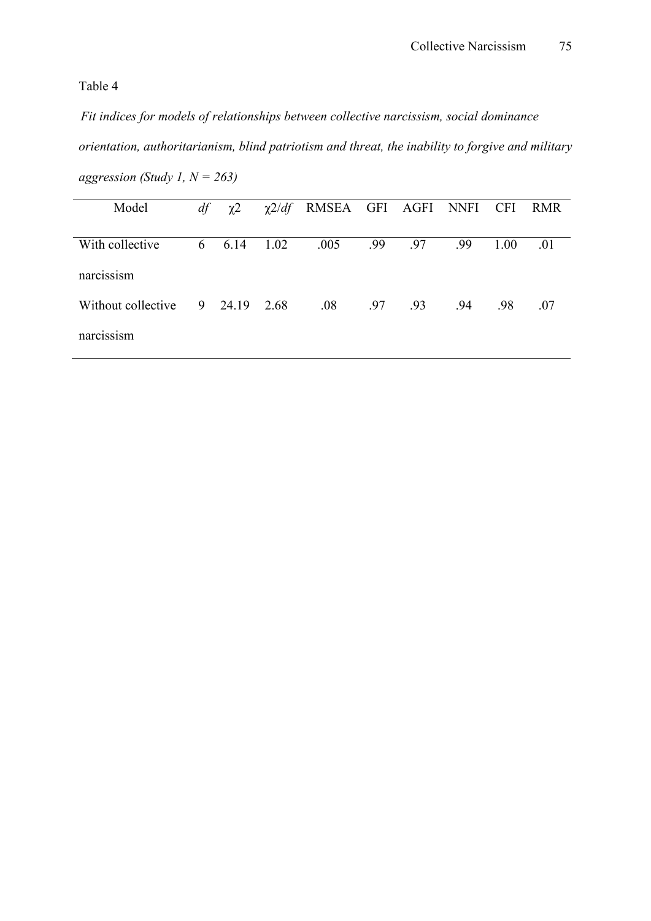*Fit indices for models of relationships between collective narcissism, social dominance orientation, authoritarianism, blind patriotism and threat, the inability to forgive and military aggression (Study 1, N = 263)* 

| Model              | df | $\chi^2$ |      | $\chi$ 2/df RMSEA GFI AGFI NNFI CFI |     |     |     |      | <b>RMR</b> |
|--------------------|----|----------|------|-------------------------------------|-----|-----|-----|------|------------|
| With collective    | 6  | 6.14     | 1.02 | .005                                | .99 | .97 | .99 | 1.00 | .01        |
| narcissism         |    |          |      |                                     |     |     |     |      |            |
| Without collective |    | 9 24.19  | 2.68 | .08                                 | .97 | .93 | .94 | .98  | .07        |
| narcissism         |    |          |      |                                     |     |     |     |      |            |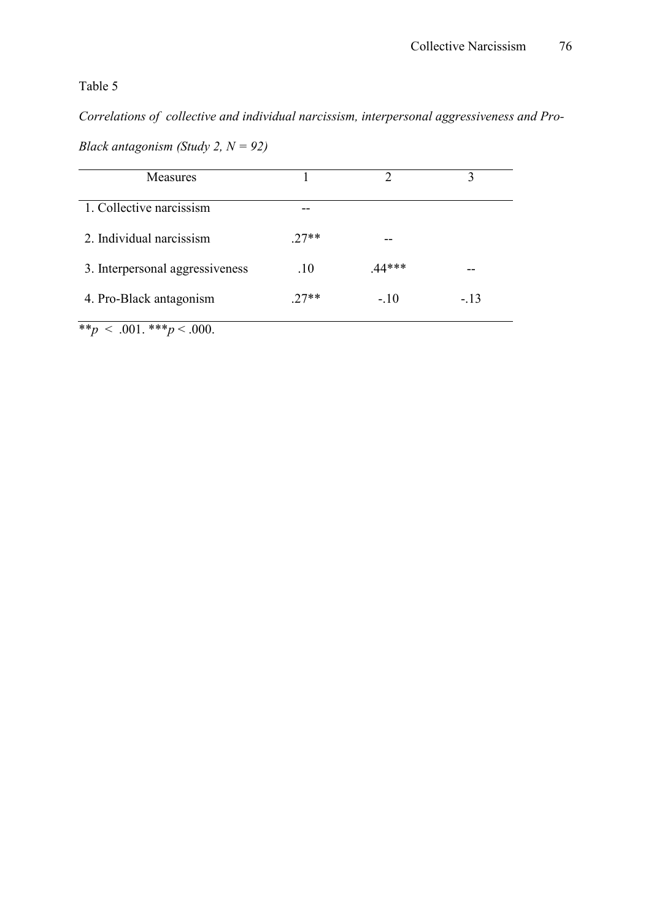*Correlations of collective and individual narcissism, interpersonal aggressiveness and Pro.*

| Black antagonism (Study 2, $N = 92$ ) |  |  |  |  |
|---------------------------------------|--|--|--|--|
|---------------------------------------|--|--|--|--|

| <b>Measures</b>                 |        |        |       |
|---------------------------------|--------|--------|-------|
| 1. Collective narcissism        |        |        |       |
| 2. Individual narcissism        | $27**$ | --     |       |
| 3. Interpersonal aggressiveness | .10    | 44***  |       |
| 4. Pro-Black antagonism         | $27**$ | $-.10$ | $-13$ |

 $*$ *r*  $< .001$ .  $*$ *r* $< .000$ .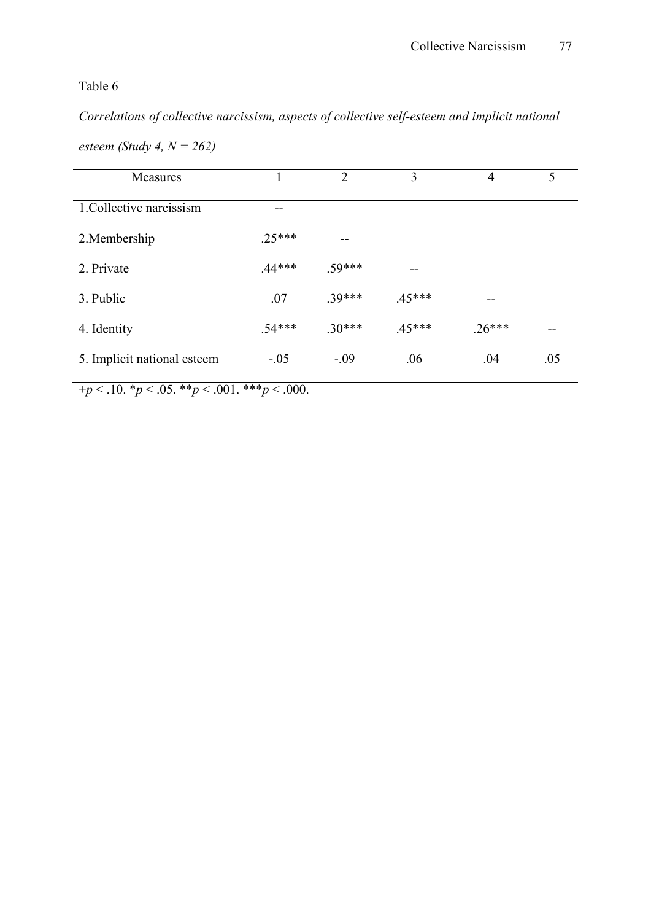Correlations of collective narcissism, aspects of collective self-esteem and implicit national

| Measures                    |          | $\overline{2}$ | 3        | 4        | 5   |
|-----------------------------|----------|----------------|----------|----------|-----|
| 1. Collective narcissism    |          |                |          |          |     |
| 2. Membership               | $25***$  | --             |          |          |     |
| 2. Private                  | $.44***$ | .59***         | --       |          |     |
| 3. Public                   | .07      | $.39***$       | $.45***$ | --       |     |
| 4. Identity                 | $.54***$ | $.30***$       | $.45***$ | $.26***$ | --  |
| 5. Implicit national esteem | $-.05$   | $-.09$         | .06      | .04      | .05 |

*esteem (Study 4, N = 262)* 

 $+p < 0.10 \cdot p < 0.05 \cdot p < 0.01 \cdot p < 0.000$ .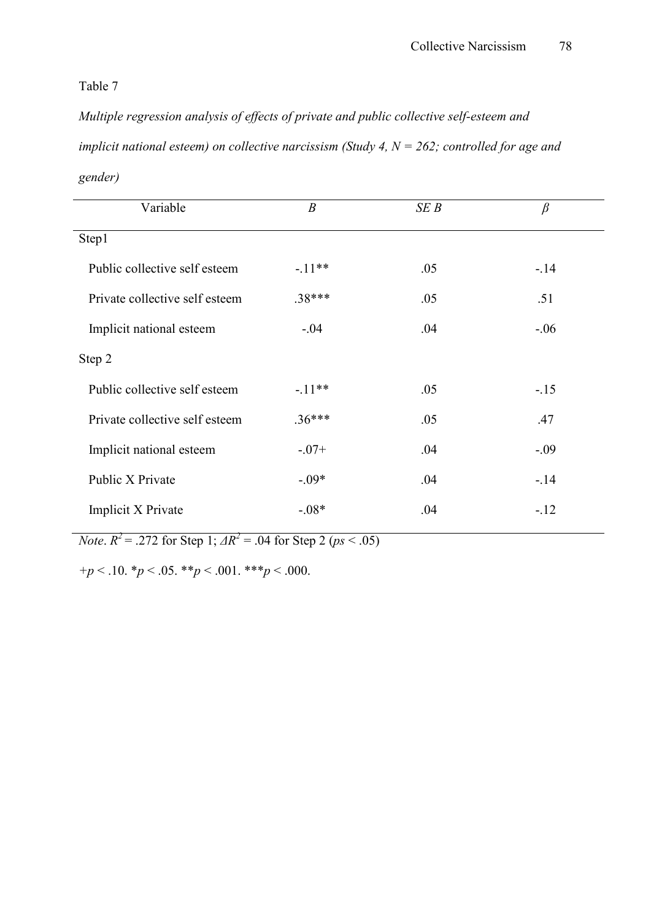*Multiple regression analysis of effects of private and public collective self.esteem and implicit national esteem) on collective narcissism (Study 4, N = 262; controlled for age and gender)* 

| Variable                       | $\boldsymbol{B}$ | SEB | $\beta$ |
|--------------------------------|------------------|-----|---------|
| Step1                          |                  |     |         |
| Public collective self esteem  | $-11***$         | .05 | $-.14$  |
| Private collective self esteem | $.38***$         | .05 | .51     |
| Implicit national esteem       | $-.04$           | .04 | $-0.06$ |
| Step 2                         |                  |     |         |
| Public collective self esteem  | $-11***$         | .05 | $-.15$  |
| Private collective self esteem | $.36***$         | .05 | .47     |
| Implicit national esteem       | $-.07+$          | .04 | $-.09$  |
| Public X Private               | $-0.09*$         | .04 | $-.14$  |
| Implicit X Private             | $-0.08*$         | .04 | $-.12$  |
|                                |                  |     |         |

*Note*.  $R^2 = .272$  for Step 1;  $\Delta R^2 = .04$  for Step 2 ( $ps < .05$ )

*+p* < .10. \**p* < .05. \*\**p* < .001. \*\*\**p* < .000.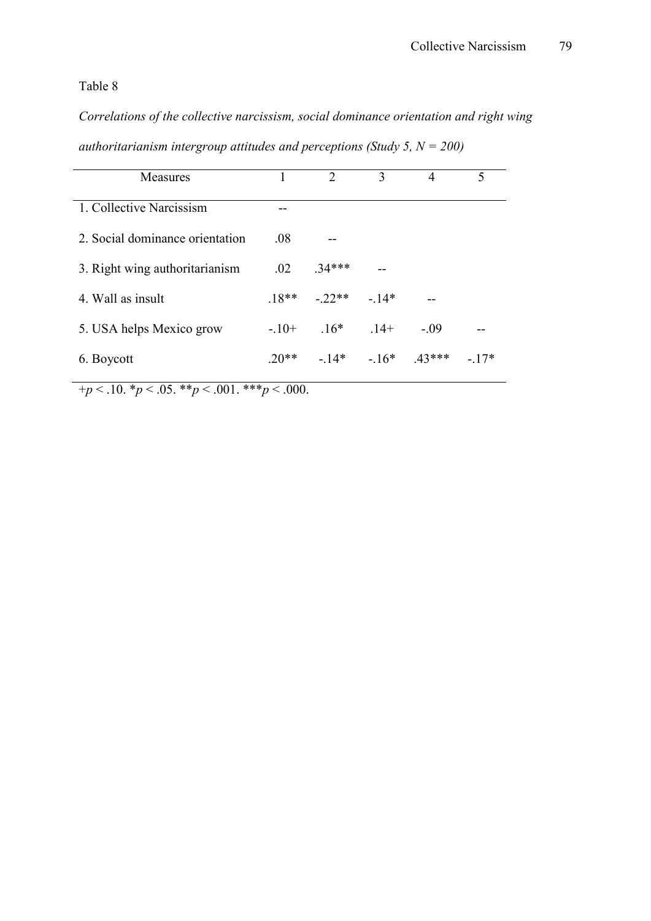*Correlations of the collective narcissism, social dominance orientation and right wing authoritarianism intergroup attitudes and perceptions (Study 5, N = 200)* 

| Measures                        |         | $\mathcal{L}$ | 3      | 4        | $\varsigma$ |
|---------------------------------|---------|---------------|--------|----------|-------------|
| 1. Collective Narcissism        |         |               |        |          |             |
| 2. Social dominance orientation | .08     |               |        |          |             |
| 3. Right wing authoritarianism  | $.02\,$ | $.34***$      |        |          |             |
| 4. Wall as insult               | $18**$  | $-22**$       | $-14*$ |          |             |
| 5. USA helps Mexico grow        | $-10+$  | $16*$         | $14+$  | $-.09$   |             |
| 6. Boycott                      | $20**$  | $-14*$        | $-16*$ | $.43***$ | $-17*$      |

 $+p < 0.10 \cdot p < 0.05 \cdot \cdot p < 0.001 \cdot \cdot \cdot p < 0.000$ .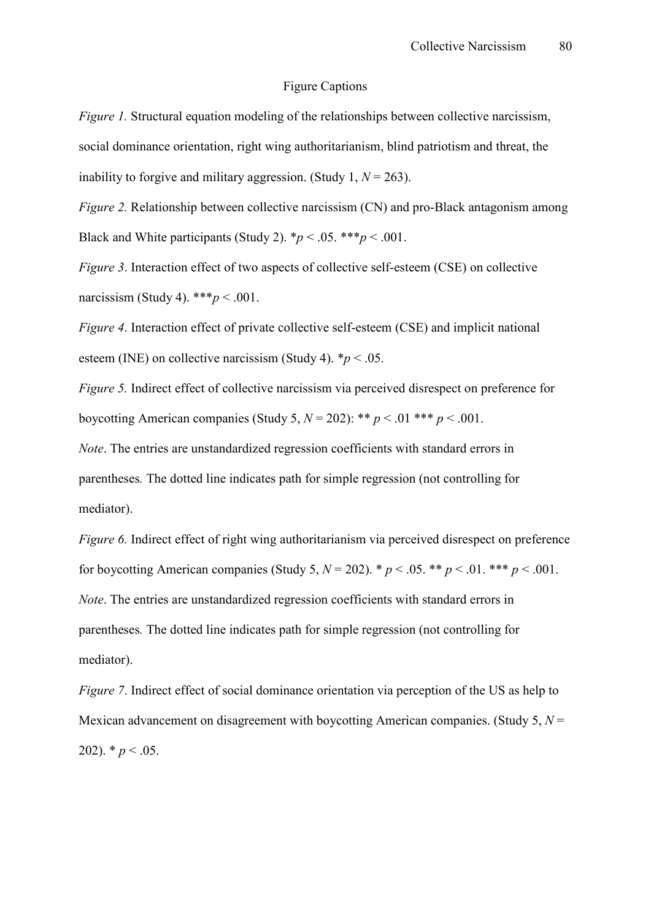#### Figure Captions

*Figure 1.* Structural equation modeling of the relationships between collective narcissism, social dominance orientation, right wing authoritarianism, blind patriotism and threat, the inability to forgive and military aggression. (Study 1,  $N = 263$ ).

*Figure 2.* Relationship between collective narcissism (CN) and pro-Black antagonism among Black and White participants (Study 2).  $\frac{*p}{<}$ .05.  $\frac{**p}{<}$ .001.

*Figure 3.* Interaction effect of two aspects of collective self-esteem (CSE) on collective narcissism (Study 4). \*\*\**p* < .001.

*Figure 4.* Interaction effect of private collective self-esteem (CSE) and implicit national esteem (INE) on collective narcissism (Study 4).  $*_p$  < .05.

*Figure 5.* Indirect effect of collective narcissism via perceived disrespect on preference for boycotting American companies (Study 5,  $N = 202$ ): \*\*  $p < .01$  \*\*\*  $p < .001$ .

*Note*. The entries are unstandardized regression coefficients with standard errors in parentheses*.* The dotted line indicates path for simple regression (not controlling for mediator).

*Figure 6.* Indirect effect of right wing authoritarianism via perceived disrespect on preference for boycotting American companies (Study 5,  $N = 202$ ). \*  $p < .05$ . \*\*  $p < .01$ . \*\*\*  $p < .001$ . *Note*. The entries are unstandardized regression coefficients with standard errors in parentheses*.* The dotted line indicates path for simple regression (not controlling for mediator).

*Figure 7.* Indirect effect of social dominance orientation via perception of the US as help to Mexican advancement on disagreement with boycotting American companies. (Study 5, *N* = 202).  $* p < .05$ .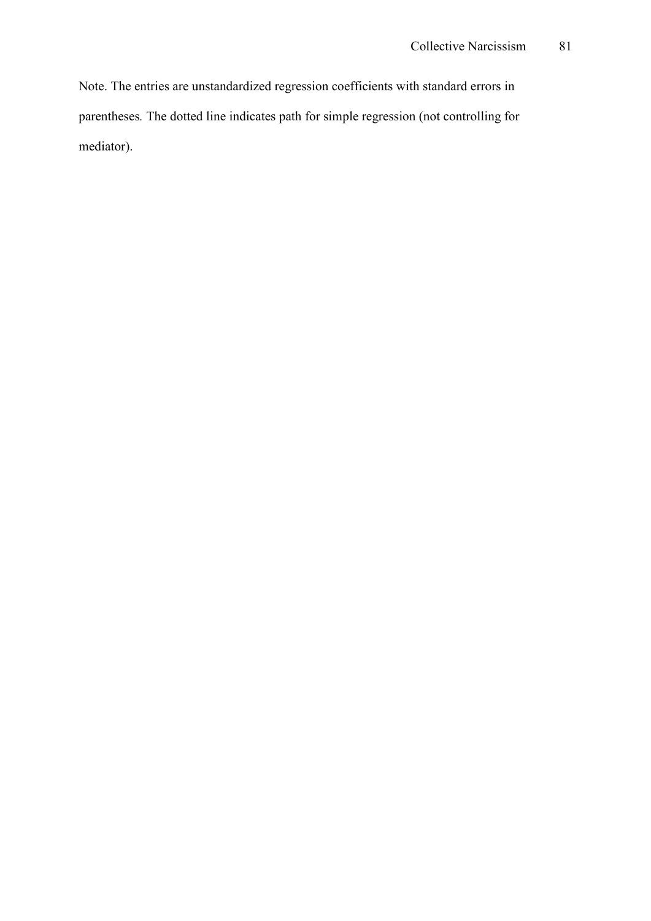Note. The entries are unstandardized regression coefficients with standard errors in parentheses*.* The dotted line indicates path for simple regression (not controlling for mediator).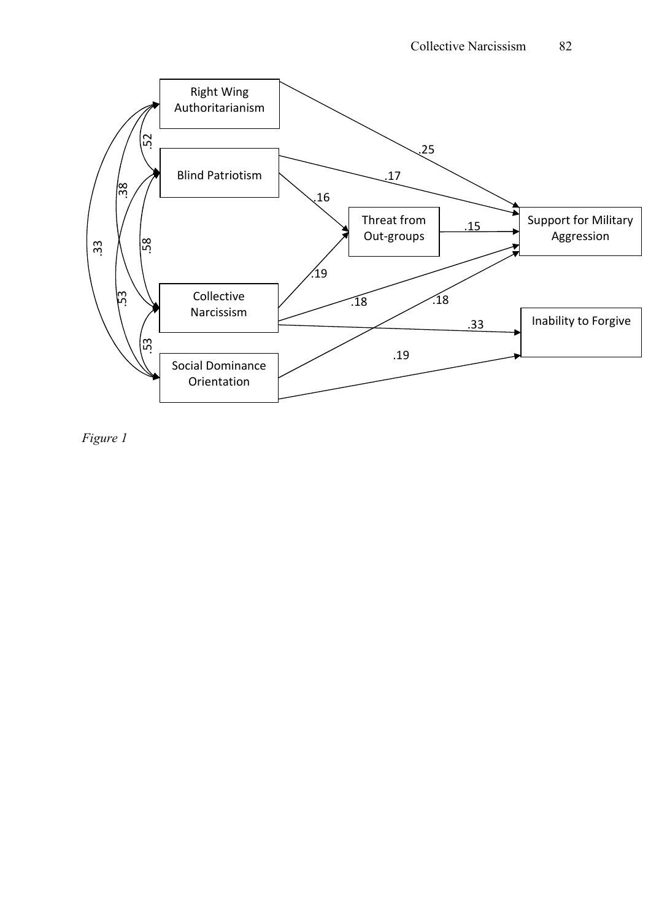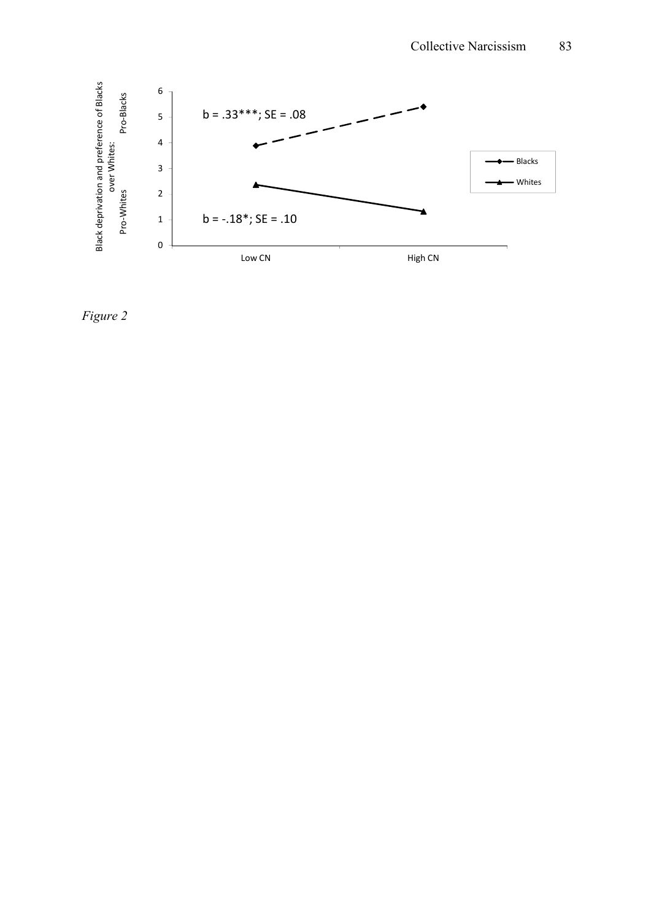

 *Figure 2*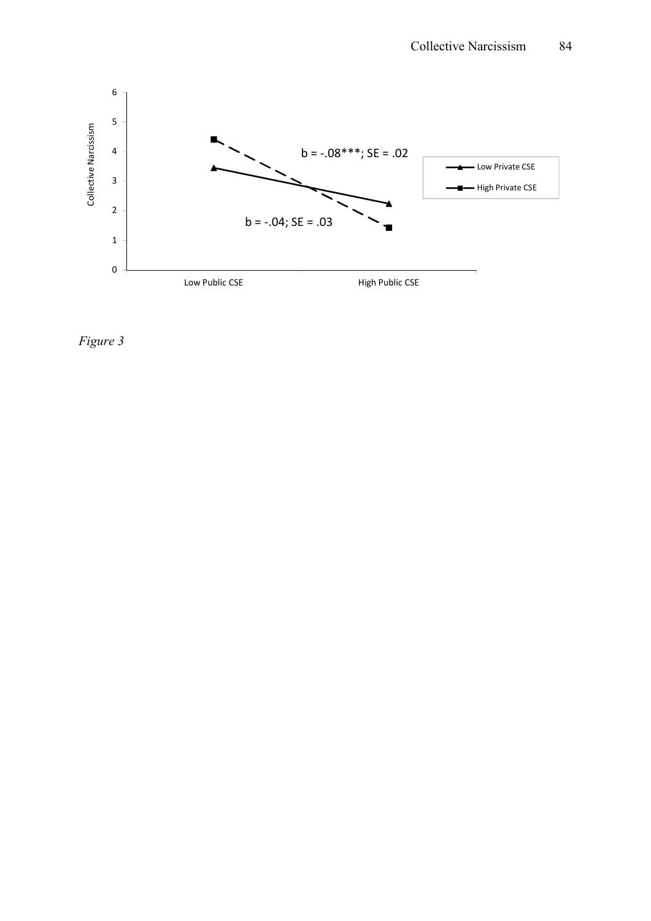

*Figure 3*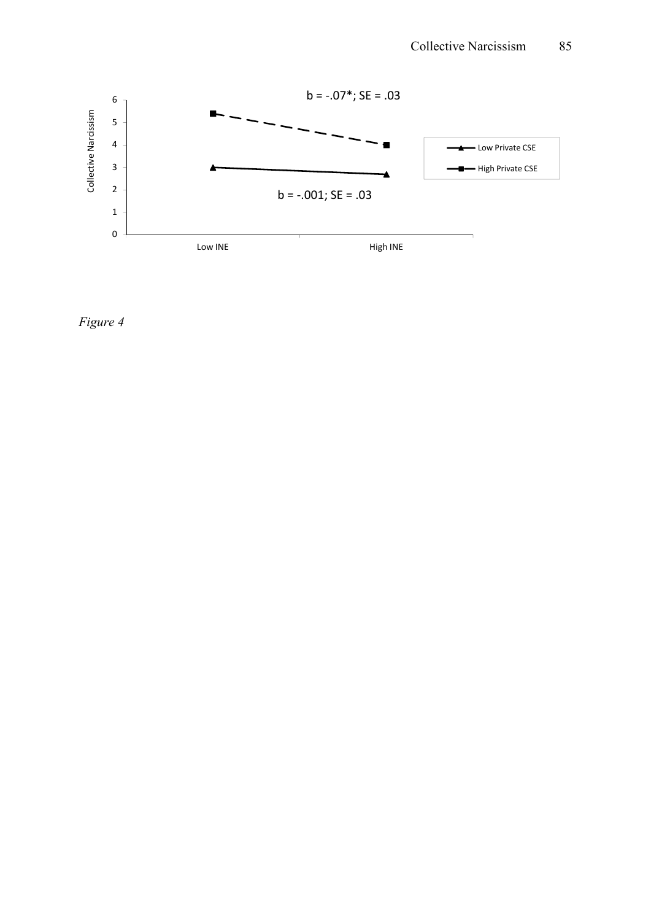

*Figure 4*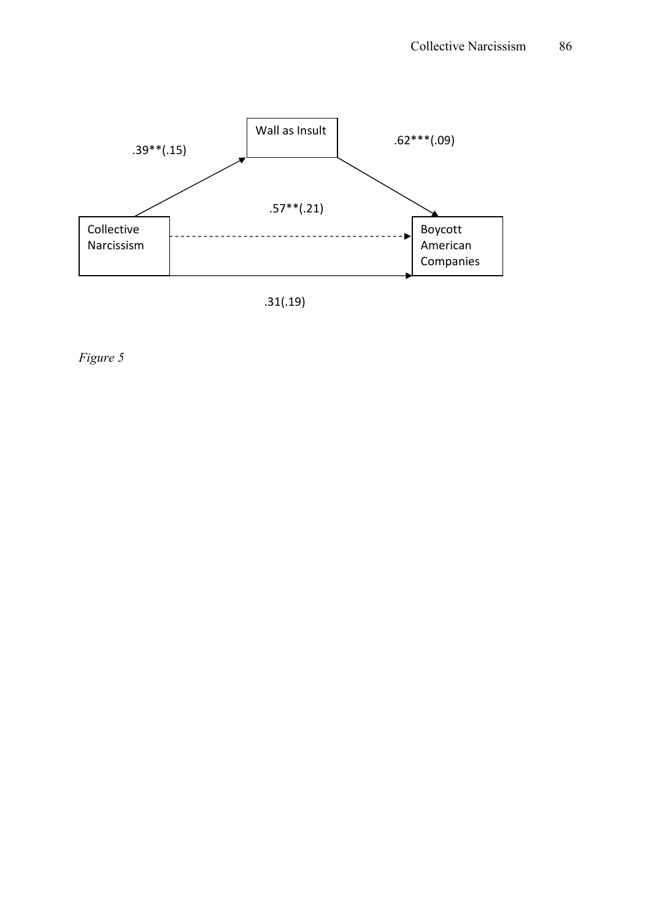

*Figure 5*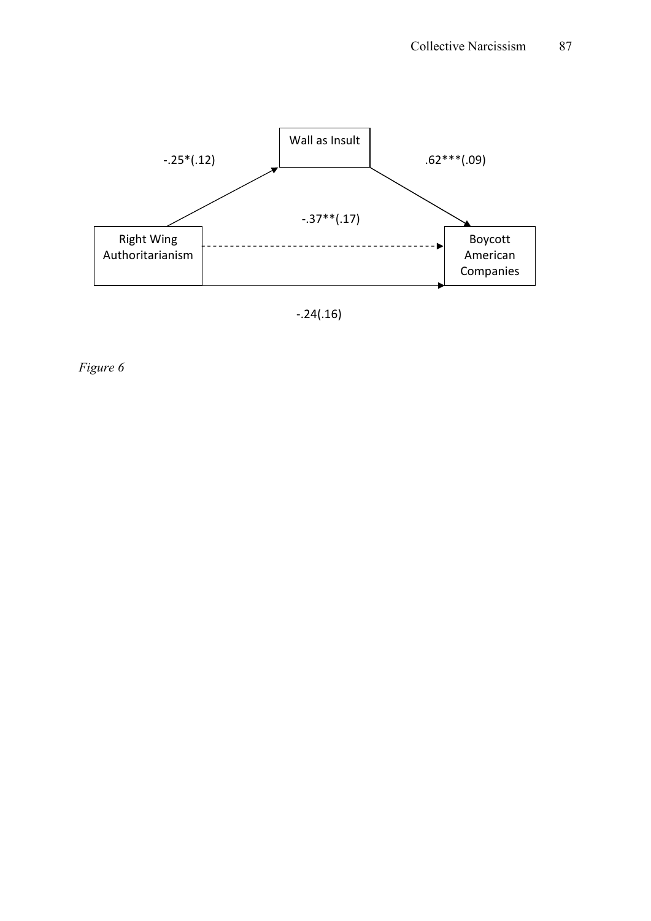

-.24(.16)

*Figure 6*